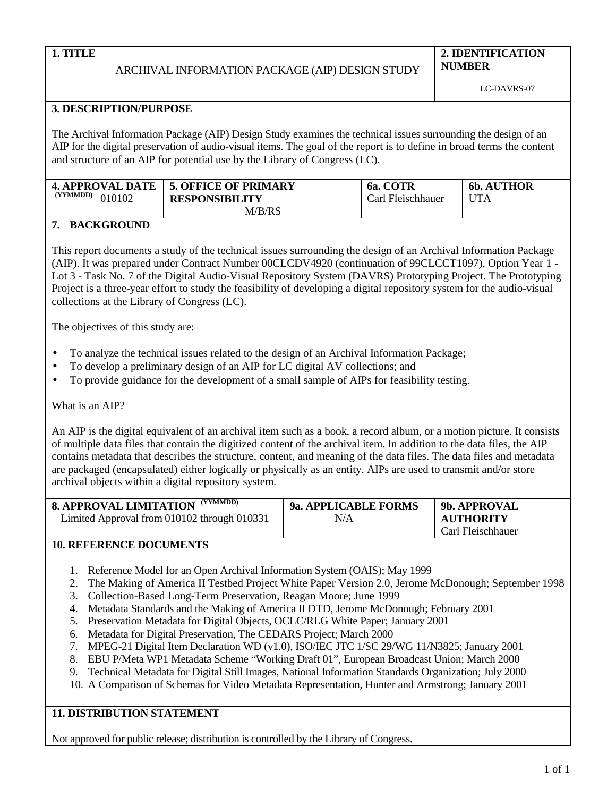# ARCHIVAL INFORMATION PACKAGE (AIP) DESIGN STUDY

**2. IDENTIFICATION NUMBER**

# **3. DESCRIPTION/PURPOSE**

The Archival Information Package (AIP) Design Study examines the technical issues surrounding the design of an AIP for the digital preservation of audio-visual items. The goal of the report is to define in broad terms the content and structure of an AIP for potential use by the Library of Congress (LC).

|                    | 4. APPROVAL DATE   5. OFFICE OF PRIMARY | 6a. COTR          | <b>6b. AUTHOR</b> |
|--------------------|-----------------------------------------|-------------------|-------------------|
| (YYMMDD)<br>010102 | <b>RESPONSIBILITY</b>                   | Carl Fleischhauer | <b>UTA</b>        |
|                    | M/B/RS                                  |                   |                   |

# **7. BACKGROUND**

This report documents a study of the technical issues surrounding the design of an Archival Information Package (AIP). It was prepared under Contract Number 00CLCDV4920 (continuation of 99CLCCT1097), Option Year 1 - Lot 3 - Task No. 7 of the Digital Audio-Visual Repository System (DAVRS) Prototyping Project. The Prototyping Project is a three-year effort to study the feasibility of developing a digital repository system for the audio-visual collections at the Library of Congress (LC).

The objectives of this study are:

- To analyze the technical issues related to the design of an Archival Information Package;
- To develop a preliminary design of an AIP for LC digital AV collections; and
- To provide guidance for the development of a small sample of AIPs for feasibility testing.

# What is an AIP?

An AIP is the digital equivalent of an archival item such as a book, a record album, or a motion picture. It consists of multiple data files that contain the digitized content of the archival item. In addition to the data files, the AIP contains metadata that describes the structure, content, and meaning of the data files. The data files and metadata are packaged (encapsulated) either logically or physically as an entity. AIPs are used to transmit and/or store archival objects within a digital repository system.

| <b>8. APPROVAL LIMITATION (YYMMDD)</b>      | <b>9a. APPLICABLE FORMS</b> | 9b. APPROVAL      |
|---------------------------------------------|-----------------------------|-------------------|
| Limited Approval from 010102 through 010331 | N/A                         | <b>AUTHORITY</b>  |
|                                             |                             | Carl Fleischhauer |

# **10. REFERENCE DOCUMENTS**

- 1. Reference Model for an Open Archival Information System (OAIS); May 1999
- 2. The Making of America II Testbed Project White Paper Version 2.0, Jerome McDonough; September 1998
- 3. Collection-Based Long-Term Preservation, Reagan Moore; June 1999
- 4. Metadata Standards and the Making of America II DTD, Jerome McDonough; February 2001
- 5. Preservation Metadata for Digital Objects, OCLC/RLG White Paper; January 2001
- 6. Metadata for Digital Preservation, The CEDARS Project; March 2000
- 7. MPEG-21 Digital Item Declaration WD (v1.0), ISO/IEC JTC 1/SC 29/WG 11/N3825; January 2001
- 8. EBU P/Meta WP1 Metadata Scheme "Working Draft 01", European Broadcast Union; March 2000
- 9. Technical Metadata for Digital Still Images, National Information Standards Organization; July 2000
- 10. A Comparison of Schemas for Video Metadata Representation, Hunter and Armstrong; January 2001

# **11. DISTRIBUTION STATEMENT**

Not approved for public release; distribution is controlled by the Library of Congress.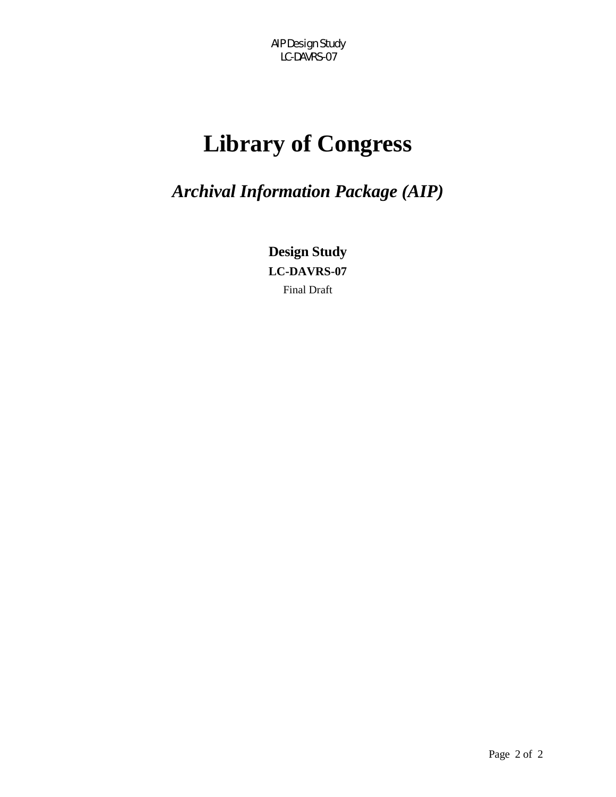# **Library of Congress**

*Archival Information Package (AIP)* 

**Design Study LC-DAVRS-07**  Final Draft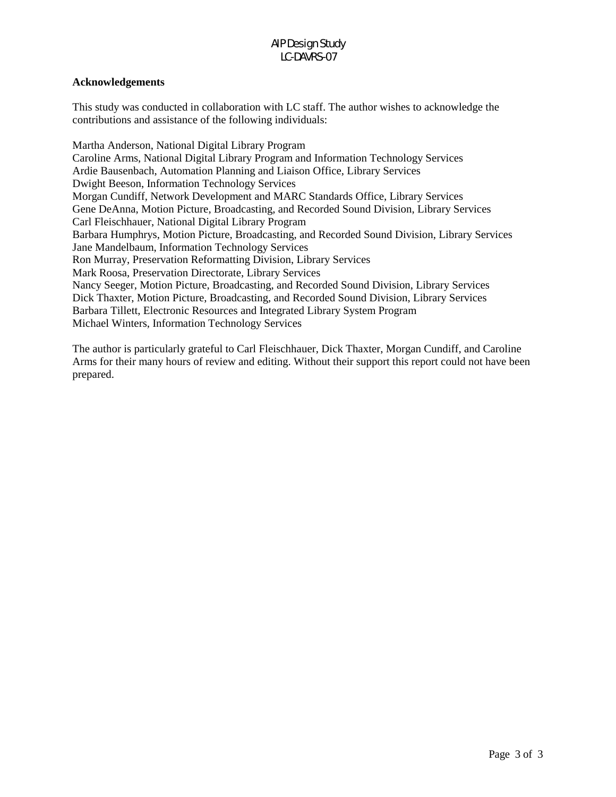#### **Acknowledgements**

This study was conducted in collaboration with LC staff. The author wishes to acknowledge the contributions and assistance of the following individuals:

Martha Anderson, National Digital Library Program Caroline Arms, National Digital Library Program and Information Technology Services Ardie Bausenbach, Automation Planning and Liaison Office, Library Services Dwight Beeson, Information Technology Services Morgan Cundiff, Network Development and MARC Standards Office, Library Services Gene DeAnna, Motion Picture, Broadcasting, and Recorded Sound Division, Library Services Carl Fleischhauer, National Digital Library Program Barbara Humphrys, Motion Picture, Broadcasting, and Recorded Sound Division, Library Services Jane Mandelbaum, Information Technology Services Ron Murray, Preservation Reformatting Division, Library Services Mark Roosa, Preservation Directorate, Library Services Nancy Seeger, Motion Picture, Broadcasting, and Recorded Sound Division, Library Services Dick Thaxter, Motion Picture, Broadcasting, and Recorded Sound Division, Library Services Barbara Tillett, Electronic Resources and Integrated Library System Program Michael Winters, Information Technology Services

The author is particularly grateful to Carl Fleischhauer, Dick Thaxter, Morgan Cundiff, and Caroline Arms for their many hours of review and editing. Without their support this report could not have been prepared.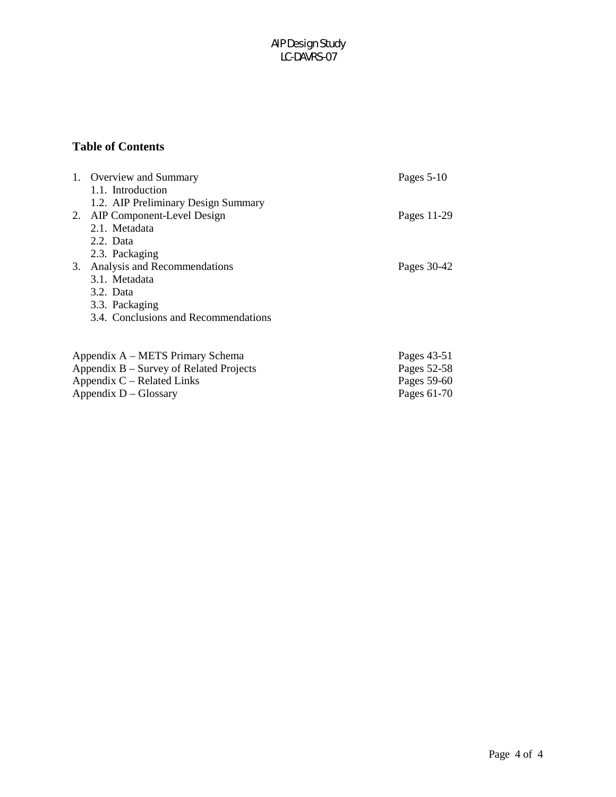# **Table of Contents**

|                                         | 1. Overview and Summary                | Pages $5-10$ |  |
|-----------------------------------------|----------------------------------------|--------------|--|
|                                         | 1.1. Introduction                      |              |  |
|                                         | 1.2. AIP Preliminary Design Summary    |              |  |
|                                         | 2. AIP Component-Level Design          | Pages 11-29  |  |
|                                         | 2.1. Metadata                          |              |  |
|                                         | 2.2. Data                              |              |  |
|                                         | 2.3. Packaging                         |              |  |
|                                         | 3. Analysis and Recommendations        | Pages 30-42  |  |
|                                         | 3.1. Metadata                          |              |  |
|                                         | 3.2. Data                              |              |  |
|                                         | 3.3. Packaging                         |              |  |
|                                         | 3.4. Conclusions and Recommendations   |              |  |
|                                         |                                        |              |  |
|                                         | Appendix A – METS Primary Schema       | Pages 43-51  |  |
| Appendix B – Survey of Related Projects |                                        | Pages 52-58  |  |
| Appendix $C$ – Related Links            | Pages 59-60                            |              |  |
|                                         | Appendix $D - Glossary$<br>Pages 61-70 |              |  |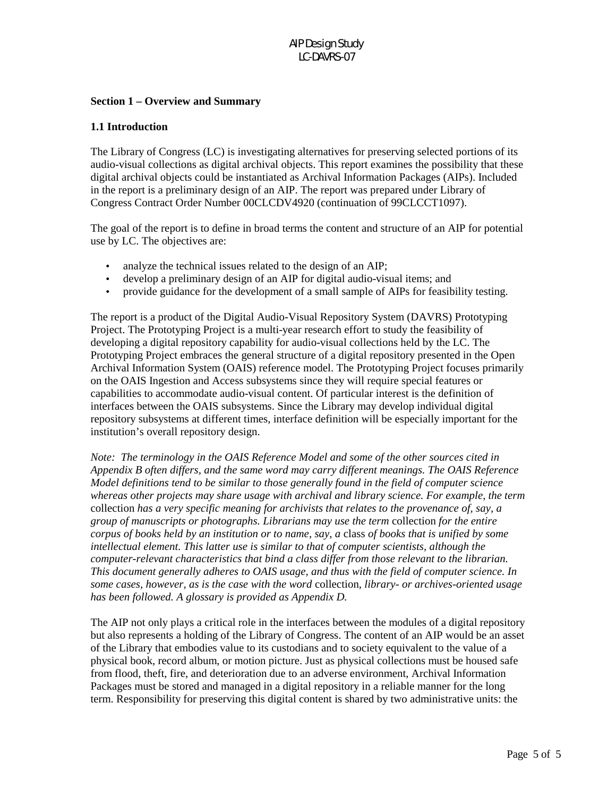#### **Section 1 – Overview and Summary**

#### **1.1 Introduction**

The Library of Congress (LC) is investigating alternatives for preserving selected portions of its audio-visual collections as digital archival objects. This report examines the possibility that these digital archival objects could be instantiated as Archival Information Packages (AIPs). Included in the report is a preliminary design of an AIP. The report was prepared under Library of Congress Contract Order Number 00CLCDV4920 (continuation of 99CLCCT1097).

The goal of the report is to define in broad terms the content and structure of an AIP for potential use by LC. The objectives are:

- analyze the technical issues related to the design of an AIP;
- develop a preliminary design of an AIP for digital audio-visual items; and
- provide guidance for the development of a small sample of AIPs for feasibility testing.

The report is a product of the Digital Audio-Visual Repository System (DAVRS) Prototyping Project. The Prototyping Project is a multi-year research effort to study the feasibility of developing a digital repository capability for audio-visual collections held by the LC. The Prototyping Project embraces the general structure of a digital repository presented in the Open Archival Information System (OAIS) reference model. The Prototyping Project focuses primarily on the OAIS Ingestion and Access subsystems since they will require special features or capabilities to accommodate audio-visual content. Of particular interest is the definition of interfaces between the OAIS subsystems. Since the Library may develop individual digital repository subsystems at different times, interface definition will be especially important for the institution's overall repository design.

*Note: The terminology in the OAIS Reference Model and some of the other sources cited in Appendix B often differs, and the same word may carry different meanings. The OAIS Reference Model definitions tend to be similar to those generally found in the field of computer science whereas other projects may share usage with archival and library science. For example, the term*  collection *has a very specific meaning for archivists that relates to the provenance of, say, a group of manuscripts or photographs. Librarians may use the term* collection *for the entire corpus of books held by an institution or to name, say, a* class *of books that is unified by some intellectual element. This latter use is similar to that of computer scientists, although the computer-relevant characteristics that bind a class differ from those relevant to the librarian. This document generally adheres to OAIS usage, and thus with the field of computer science. In some cases, however, as is the case with the word* collection*, library- or archives-oriented usage has been followed. A glossary is provided as Appendix D.*

The AIP not only plays a critical role in the interfaces between the modules of a digital repository but also represents a holding of the Library of Congress. The content of an AIP would be an asset of the Library that embodies value to its custodians and to society equivalent to the value of a physical book, record album, or motion picture. Just as physical collections must be housed safe from flood, theft, fire, and deterioration due to an adverse environment, Archival Information Packages must be stored and managed in a digital repository in a reliable manner for the long term. Responsibility for preserving this digital content is shared by two administrative units: the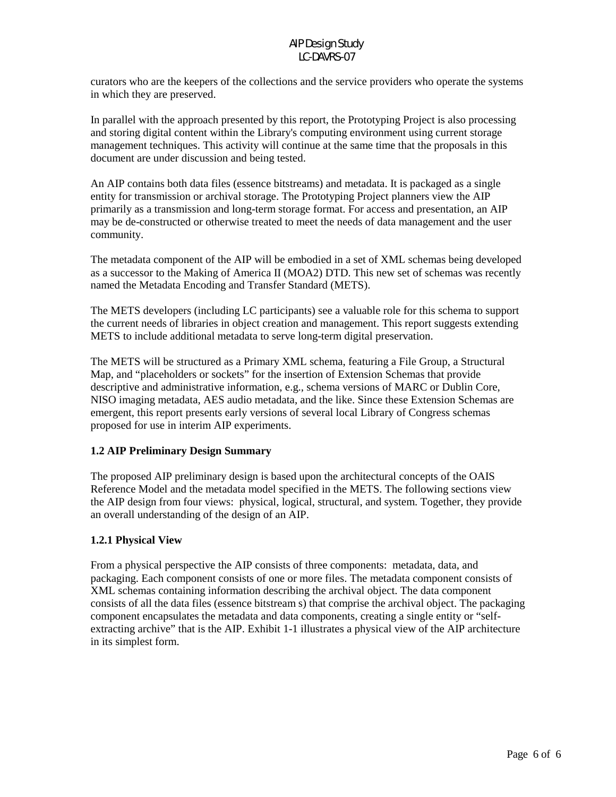curators who are the keepers of the collections and the service providers who operate the systems in which they are preserved.

In parallel with the approach presented by this report, the Prototyping Project is also processing and storing digital content within the Library's computing environment using current storage management techniques. This activity will continue at the same time that the proposals in this document are under discussion and being tested.

An AIP contains both data files (essence bitstreams) and metadata. It is packaged as a single entity for transmission or archival storage. The Prototyping Project planners view the AIP primarily as a transmission and long-term storage format. For access and presentation, an AIP may be de-constructed or otherwise treated to meet the needs of data management and the user community.

The metadata component of the AIP will be embodied in a set of XML schemas being developed as a successor to the Making of America II (MOA2) DTD. This new set of schemas was recently named the Metadata Encoding and Transfer Standard (METS).

The METS developers (including LC participants) see a valuable role for this schema to support the current needs of libraries in object creation and management. This report suggests extending METS to include additional metadata to serve long-term digital preservation.

The METS will be structured as a Primary XML schema, featuring a File Group, a Structural Map, and "placeholders or sockets" for the insertion of Extension Schemas that provide descriptive and administrative information, e.g., schema versions of MARC or Dublin Core, NISO imaging metadata, AES audio metadata, and the like. Since these Extension Schemas are emergent, this report presents early versions of several local Library of Congress schemas proposed for use in interim AIP experiments.

#### **1.2 AIP Preliminary Design Summary**

The proposed AIP preliminary design is based upon the architectural concepts of the OAIS Reference Model and the metadata model specified in the METS. The following sections view the AIP design from four views: physical, logical, structural, and system. Together, they provide an overall understanding of the design of an AIP.

#### **1.2.1 Physical View**

From a physical perspective the AIP consists of three components: metadata, data, and packaging. Each component consists of one or more files. The metadata component consists of XML schemas containing information describing the archival object. The data component consists of all the data files (essence bitstream s) that comprise the archival object. The packaging component encapsulates the metadata and data components, creating a single entity or "selfextracting archive" that is the AIP. Exhibit 1-1 illustrates a physical view of the AIP architecture in its simplest form.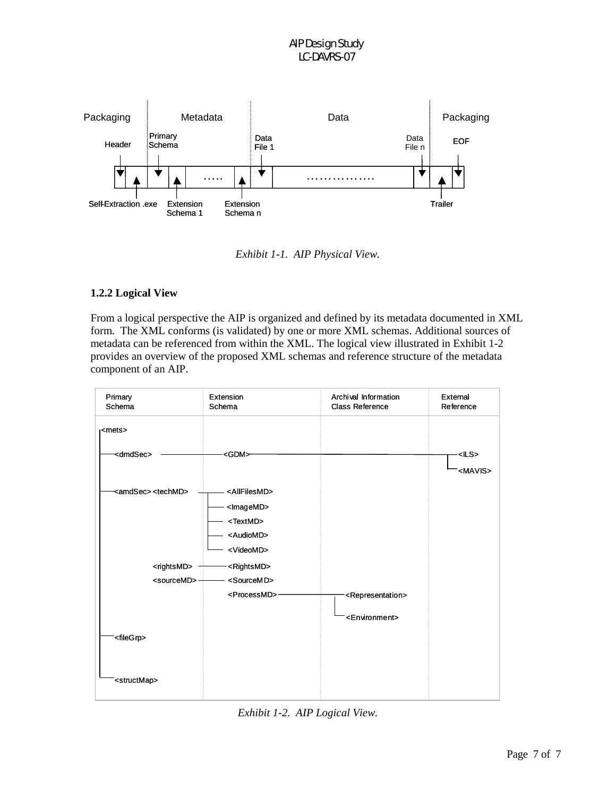

*Exhibit 1-1. AIP Physical View.* 

### **1.2.2 Logical View**

From a logical perspective the AIP is organized and defined by its metadata documented in XML form. The XML conforms (is validated) by one or more XML schemas. Additional sources of metadata can be referenced from within the XML. The logical view illustrated in Exhibit 1-2 provides an overview of the proposed XML schemas and reference structure of the metadata component of an AIP.



*Exhibit 1-2. AIP Logical View.*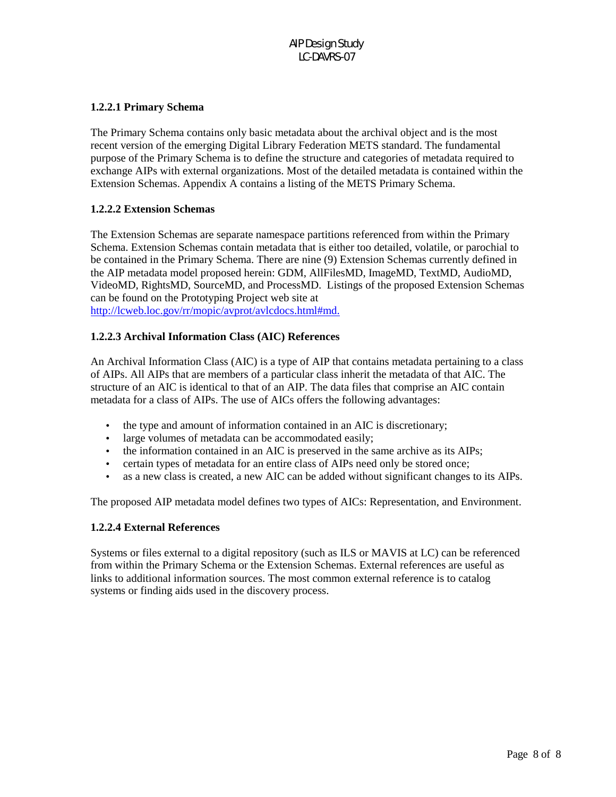#### **1.2.2.1 Primary Schema**

The Primary Schema contains only basic metadata about the archival object and is the most recent version of the emerging Digital Library Federation METS standard. The fundamental purpose of the Primary Schema is to define the structure and categories of metadata required to exchange AIPs with external organizations. Most of the detailed metadata is contained within the Extension Schemas. Appendix A contains a listing of the METS Primary Schema.

#### **1.2.2.2 Extension Schemas**

The Extension Schemas are separate namespace partitions referenced from within the Primary Schema. Extension Schemas contain metadata that is either too detailed, volatile, or parochial to be contained in the Primary Schema. There are nine (9) Extension Schemas currently defined in the AIP metadata model proposed herein: GDM, AllFilesMD, ImageMD, TextMD, AudioMD, VideoMD, RightsMD, SourceMD, and ProcessMD. Listings of the proposed Extension Schemas can be found on the Prototyping Project web site at http://lcweb.loc.gov/rr/mopic/avprot/avlcdocs.html#md.

#### **1.2.2.3 Archival Information Class (AIC) References**

An Archival Information Class (AIC) is a type of AIP that contains metadata pertaining to a class of AIPs. All AIPs that are members of a particular class inherit the metadata of that AIC. The structure of an AIC is identical to that of an AIP. The data files that comprise an AIC contain metadata for a class of AIPs. The use of AICs offers the following advantages:

- the type and amount of information contained in an AIC is discretionary;
- large volumes of metadata can be accommodated easily;
- the information contained in an AIC is preserved in the same archive as its AIPs;
- certain types of metadata for an entire class of AIPs need only be stored once;
- as a new class is created, a new AIC can be added without significant changes to its AIPs.

The proposed AIP metadata model defines two types of AICs: Representation, and Environment.

#### **1.2.2.4 External References**

Systems or files external to a digital repository (such as ILS or MAVIS at LC) can be referenced from within the Primary Schema or the Extension Schemas. External references are useful as links to additional information sources. The most common external reference is to catalog systems or finding aids used in the discovery process.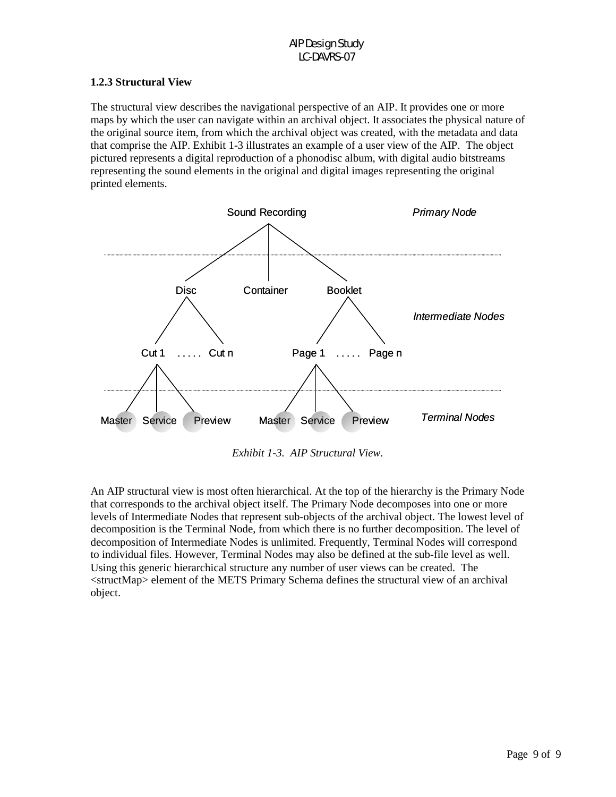### **1.2.3 Structural View**

The structural view describes the navigational perspective of an AIP. It provides one or more maps by which the user can navigate within an archival object. It associates the physical nature of the original source item, from which the archival object was created, with the metadata and data that comprise the AIP. Exhibit 1-3 illustrates an example of a user view of the AIP. The object pictured represents a digital reproduction of a phonodisc album, with digital audio bitstreams representing the sound elements in the original and digital images representing the original printed elements.



*Exhibit 1-3. AIP Structural View.* 

An AIP structural view is most often hierarchical. At the top of the hierarchy is the Primary Node that corresponds to the archival object itself. The Primary Node decomposes into one or more levels of Intermediate Nodes that represent sub-objects of the archival object. The lowest level of decomposition is the Terminal Node, from which there is no further decomposition. The level of decomposition of Intermediate Nodes is unlimited. Frequently, Terminal Nodes will correspond to individual files. However, Terminal Nodes may also be defined at the sub-file level as well. Using this generic hierarchical structure any number of user views can be created. The <structMap> element of the METS Primary Schema defines the structural view of an archival object.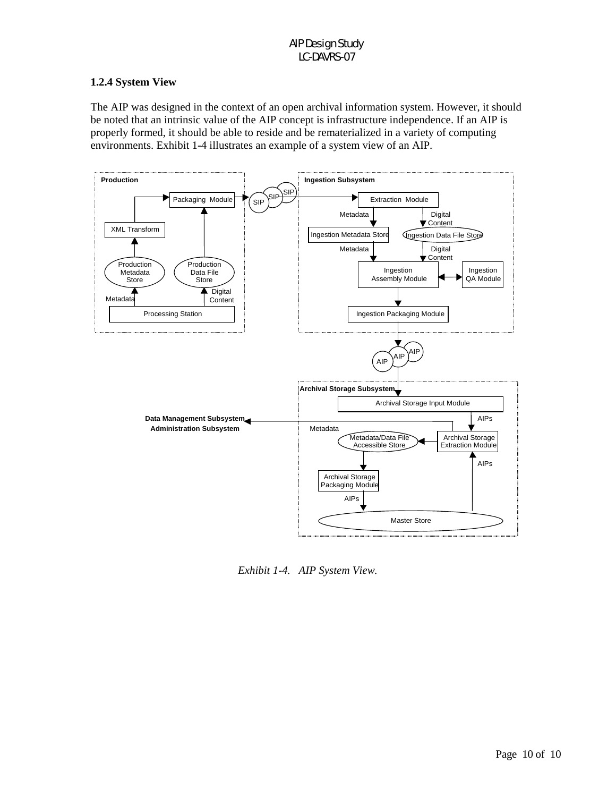# **1.2.4 System View**

The AIP was designed in the context of an open archival information system. However, it should be noted that an intrinsic value of the AIP concept is infrastructure independence. If an AIP is properly formed, it should be able to reside and be rematerialized in a variety of computing environments. Exhibit 1-4 illustrates an example of a system view of an AIP.



*Exhibit 1-4. AIP System View.*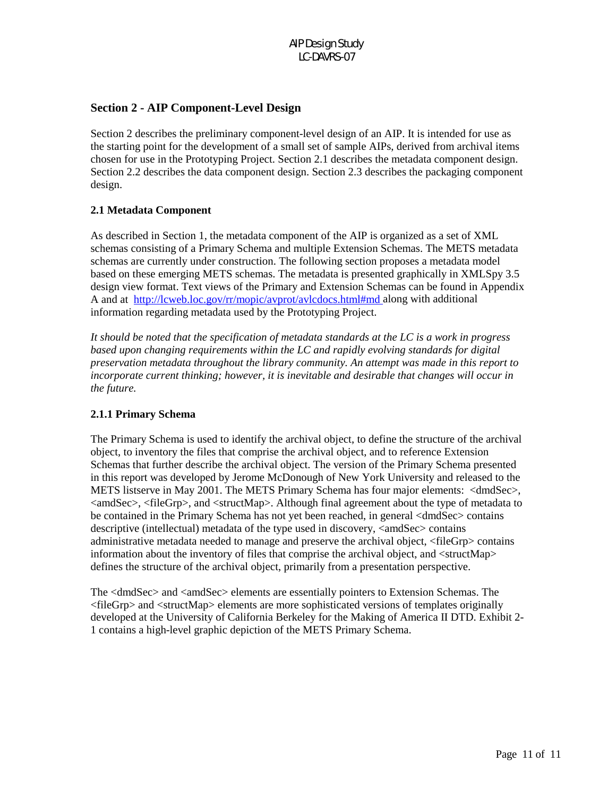# **Section 2 - AIP Component-Level Design**

Section 2 describes the preliminary component-level design of an AIP. It is intended for use as the starting point for the development of a small set of sample AIPs, derived from archival items chosen for use in the Prototyping Project. Section 2.1 describes the metadata component design. Section 2.2 describes the data component design. Section 2.3 describes the packaging component design.

# **2.1 Metadata Component**

As described in Section 1, the metadata component of the AIP is organized as a set of XML schemas consisting of a Primary Schema and multiple Extension Schemas. The METS metadata schemas are currently under construction. The following section proposes a metadata model based on these emerging METS schemas. The metadata is presented graphically in XMLSpy 3.5 design view format. Text views of the Primary and Extension Schemas can be found in Appendix A and at http://lcweb.loc.gov/rr/mopic/avprot/avlcdocs.html#md along with additional information regarding metadata used by the Prototyping Project.

*It should be noted that the specification of metadata standards at the LC is a work in progress based upon changing requirements within the LC and rapidly evolving standards for digital preservation metadata throughout the library community. An attempt was made in this report to incorporate current thinking; however, it is inevitable and desirable that changes will occur in the future.* 

#### **2.1.1 Primary Schema**

The Primary Schema is used to identify the archival object, to define the structure of the archival object, to inventory the files that comprise the archival object, and to reference Extension Schemas that further describe the archival object. The version of the Primary Schema presented in this report was developed by Jerome McDonough of New York University and released to the METS listserve in May 2001. The METS Primary Schema has four major elements: <dmdSec>, <amdSec>, <fileGrp>, and <structMap>. Although final agreement about the type of metadata to be contained in the Primary Schema has not yet been reached, in general <dmdSec> contains descriptive (intellectual) metadata of the type used in discovery,  $\langle$ amdSec $\rangle$  contains administrative metadata needed to manage and preserve the archival object, <fileGrp> contains information about the inventory of files that comprise the archival object, and <structMap> defines the structure of the archival object, primarily from a presentation perspective.

The <dmdSec> and <amdSec> elements are essentially pointers to Extension Schemas. The <fileGrp> and <structMap> elements are more sophisticated versions of templates originally developed at the University of California Berkeley for the Making of America II DTD. Exhibit 2- 1 contains a high-level graphic depiction of the METS Primary Schema.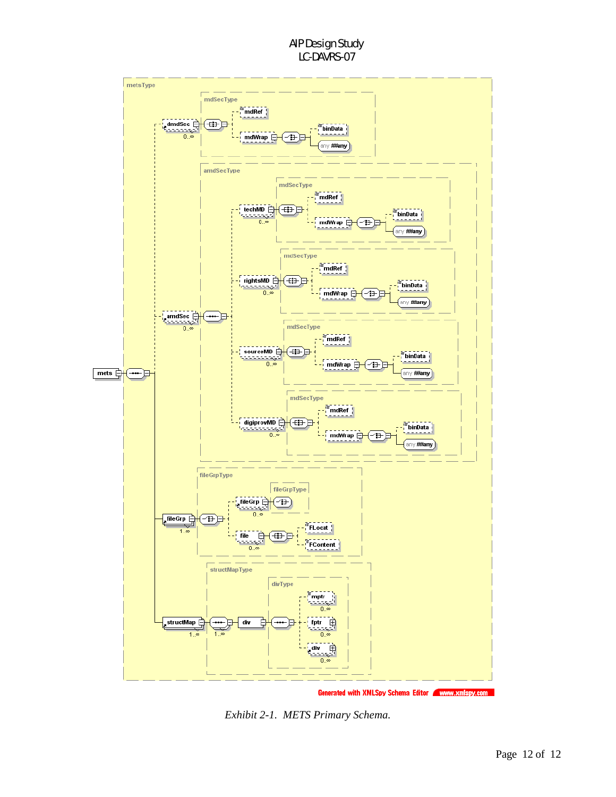

*Exhibit 2-1. METS Primary Schema.*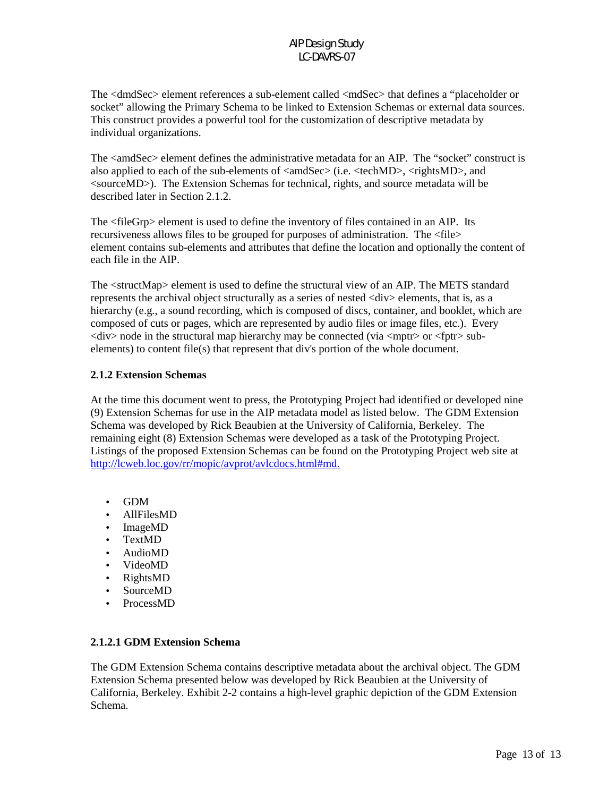The <dmdSec> element references a sub-element called <mdSec> that defines a "placeholder or socket" allowing the Primary Schema to be linked to Extension Schemas or external data sources. This construct provides a powerful tool for the customization of descriptive metadata by individual organizations.

The <amdSec> element defines the administrative metadata for an AIP. The "socket" construct is also applied to each of the sub-elements of  $\langle \text{amdSec}\rangle$  (i.e.  $\langle \text{techMD}\rangle$ ,  $\langle \text{rightMD}\rangle$ , and <sourceMD>). The Extension Schemas for technical, rights, and source metadata will be described later in Section 2.1.2.

The <fileGrp> element is used to define the inventory of files contained in an AIP. Its recursiveness allows files to be grouped for purposes of administration. The <file> element contains sub-elements and attributes that define the location and optionally the content of each file in the AIP.

The <structMap> element is used to define the structural view of an AIP. The METS standard represents the archival object structurally as a series of nested <div> elements, that is, as a hierarchy (e.g., a sound recording, which is composed of discs, container, and booklet, which are composed of cuts or pages, which are represented by audio files or image files, etc.). Every  $\langle$ div $>$  node in the structural map hierarchy may be connected (via  $\langle$ mptr $>$  or  $\langle$ fptr $>$  subelements) to content file(s) that represent that div's portion of the whole document.

# **2.1.2 Extension Schemas**

At the time this document went to press, the Prototyping Project had identified or developed nine (9) Extension Schemas for use in the AIP metadata model as listed below. The GDM Extension Schema was developed by Rick Beaubien at the University of California, Berkeley. The remaining eight (8) Extension Schemas were developed as a task of the Prototyping Project. Listings of the proposed Extension Schemas can be found on the Prototyping Project web site at http://lcweb.loc.gov/rr/mopic/avprot/avlcdocs.html#md.

- GDM
- AllFilesMD
- ImageMD
- TextMD
- AudioMD
- VideoMD
- RightsMD
- SourceMD
- ProcessMD

# **2.1.2.1 GDM Extension Schema**

The GDM Extension Schema contains descriptive metadata about the archival object. The GDM Extension Schema presented below was developed by Rick Beaubien at the University of California, Berkeley. Exhibit 2-2 contains a high-level graphic depiction of the GDM Extension Schema.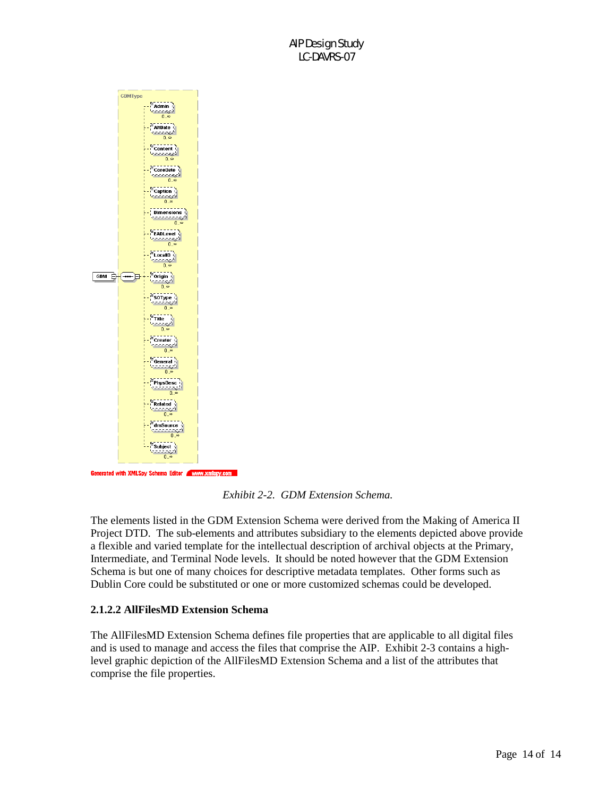

*Exhibit 2-2. GDM Extension Schema.* 

The elements listed in the GDM Extension Schema were derived from the Making of America II Project DTD. The sub-elements and attributes subsidiary to the elements depicted above provide a flexible and varied template for the intellectual description of archival objects at the Primary, Intermediate, and Terminal Node levels. It should be noted however that the GDM Extension Schema is but one of many choices for descriptive metadata templates. Other forms such as Dublin Core could be substituted or one or more customized schemas could be developed.

#### **2.1.2.2 AllFilesMD Extension Schema**

The AllFilesMD Extension Schema defines file properties that are applicable to all digital files and is used to manage and access the files that comprise the AIP. Exhibit 2-3 contains a highlevel graphic depiction of the AllFilesMD Extension Schema and a list of the attributes that comprise the file properties.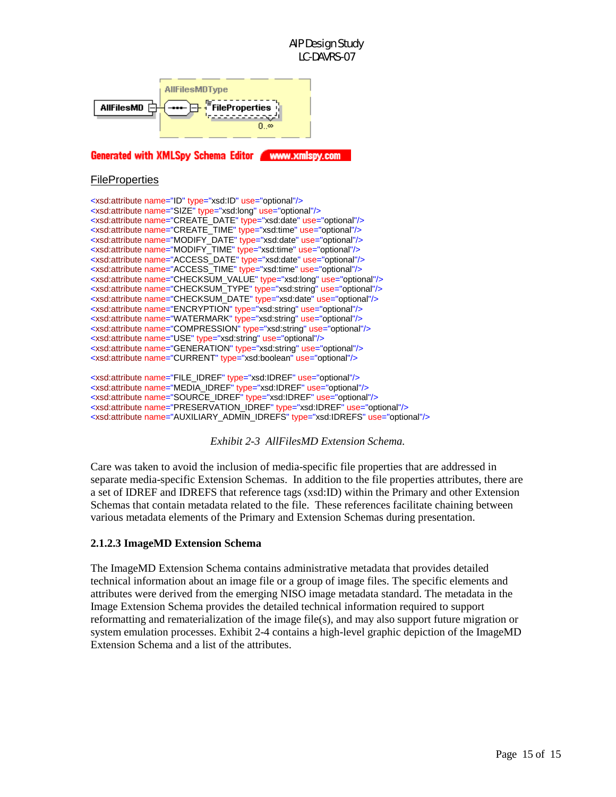

Generated with XMLSpy Schema Editor Www.xmlspy.com

#### **FileProperties**

| <xsd:attribute name="ID" type="xsd:ID" use="optional"></xsd:attribute>                |
|---------------------------------------------------------------------------------------|
| <xsd:attribute name="SIZE" type="xsd:long" use="optional"></xsd:attribute>            |
| <xsd:attribute name="CREATE DATE" type="xsd:date" use="optional"></xsd:attribute>     |
| <xsd:attribute name="CREATE TIME" type="xsd:time" use="optional"></xsd:attribute>     |
| <xsd:attribute name="MODIFY DATE" type="xsd:date" use="optional"></xsd:attribute>     |
| <xsd:attribute name="MODIFY TIME" type="xsd:time" use="optional"></xsd:attribute>     |
| <xsd:attribute name="ACCESS DATE" type="xsd:date" use="optional"></xsd:attribute>     |
| <xsd:attribute name="ACCESS TIME" type="xsd:time" use="optional"></xsd:attribute>     |
| <xsd:attribute name="CHECKSUM VALUE" type="xsd:long" use="optional"></xsd:attribute>  |
| <xsd:attribute name="CHECKSUM TYPE" type="xsd:string" use="optional"></xsd:attribute> |
| <xsd:attribute name="CHECKSUM_DATE" type="xsd:date" use="optional"></xsd:attribute>   |
| <xsd:attribute name="ENCRYPTION" type="xsd:string" use="optional"></xsd:attribute>    |
| <xsd:attribute name="WATERMARK" type="xsd:string" use="optional"></xsd:attribute>     |
| <xsd:attribute name="COMPRESSION" type="xsd:string" use="optional"></xsd:attribute>   |
| <xsd:attribute name="USE" type="xsd:string" use="optional"></xsd:attribute>           |
| <xsd:attribute name="GENERATION" type="xsd:string" use="optional"></xsd:attribute>    |
| <xsd:attribute name="CURRENT" type="xsd:boolean" use="optional"></xsd:attribute>      |
|                                                                                       |
| arabitata da manga "FILE IDDEE" tang "wadiDDEE" isa "satishal"/.                      |

<xsd:attribute name="FILE\_IDREF" type="xsd:IDREF" use="optional"/> <xsd:attribute name="MEDIA\_IDREF" type="xsd:IDREF" use="optional"/> <xsd:attribute name="SOURCE\_IDREF" type="xsd:IDREF" use="optional"/> <xsd:attribute name="PRESERVATION\_IDREF" type="xsd:IDREF" use="optional"/> <xsd:attribute name="AUXILIARY\_ADMIN\_IDREFS" type="xsd:IDREFS" use="optional"/>

*Exhibit 2-3 AllFilesMD Extension Schema.* 

Care was taken to avoid the inclusion of media-specific file properties that are addressed in separate media-specific Extension Schemas. In addition to the file properties attributes, there are a set of IDREF and IDREFS that reference tags (xsd:ID) within the Primary and other Extension Schemas that contain metadata related to the file. These references facilitate chaining between various metadata elements of the Primary and Extension Schemas during presentation.

#### **2.1.2.3 ImageMD Extension Schema**

The ImageMD Extension Schema contains administrative metadata that provides detailed technical information about an image file or a group of image files. The specific elements and attributes were derived from the emerging NISO image metadata standard. The metadata in the Image Extension Schema provides the detailed technical information required to support reformatting and rematerialization of the image file(s), and may also support future migration or system emulation processes. Exhibit 2-4 contains a high-level graphic depiction of the ImageMD Extension Schema and a list of the attributes.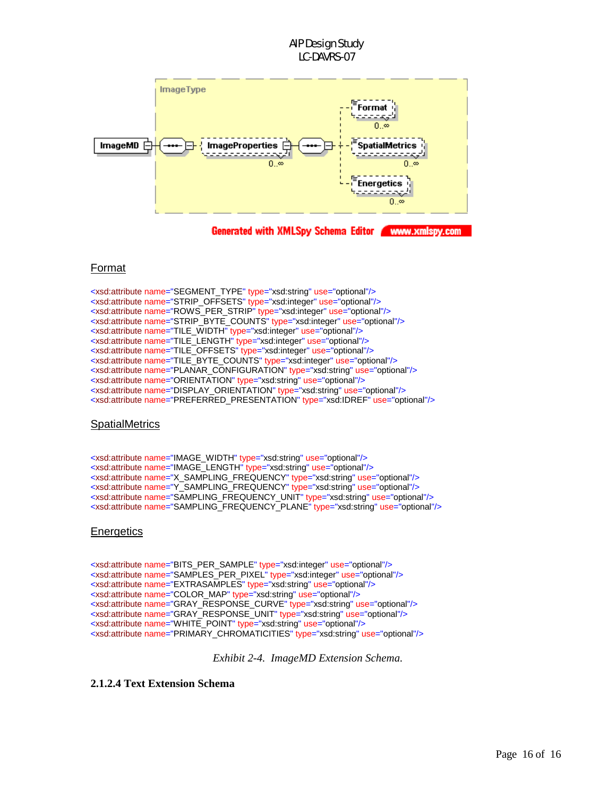

Generated with XMLSpy Schema Editor Www.xmlspy.com

# Format

<xsd:attribute name="SEGMENT\_TYPE" type="xsd:string" use="optional"/> <xsd:attribute name="STRIP\_OFFSETS" type="xsd:integer" use="optional"/> <xsd:attribute name="ROWS\_PER\_STRIP" type="xsd:integer" use="optional"/> <xsd:attribute name="STRIP\_BYTE\_COUNTS" type="xsd:integer" use="optional"/> <xsd:attribute name="TILE\_WIDTH" type="xsd:integer" use="optional"/> <xsd:attribute name="TILE\_LENGTH" type="xsd:integer" use="optional"/> <xsd:attribute name="TILE\_OFFSETS" type="xsd:integer" use="optional"/> <xsd:attribute name="TILE\_BYTE\_COUNTS" type="xsd:integer" use="optional"/> <xsd:attribute name="PLANAR\_CONFIGURATION" type="xsd:string" use="optional"/> <xsd:attribute name="ORIENTATION" type="xsd:string" use="optional"/> <xsd:attribute name="DISPLAY\_ORIENTATION" type="xsd:string" use="optional"/> <xsd:attribute name="PREFERRED\_PRESENTATION" type="xsd:IDREF" use="optional"/>

#### **SpatialMetrics**

<xsd:attribute name="IMAGE\_WIDTH" type="xsd:string" use="optional"/> <xsd:attribute name="IMAGE\_LENGTH" type="xsd:string" use="optional"/> <xsd:attribute name="X\_SAMPLING\_FREQUENCY" type="xsd:string" use="optional"/> <xsd:attribute name="Y\_SAMPLING\_FREQUENCY" type="xsd:string" use="optional"/> <xsd:attribute name="SAMPLING\_FREQUENCY\_UNIT" type="xsd:string" use="optional"/> <xsd:attribute name="SAMPLING\_FREQUENCY\_PLANE" type="xsd:string" use="optional"/>

#### **Energetics**

<xsd:attribute name="BITS\_PER\_SAMPLE" type="xsd:integer" use="optional"/> <xsd:attribute name="SAMPLES\_PER\_PIXEL" type="xsd:integer" use="optional"/> <xsd:attribute name="EXTRASAMPLES" type="xsd:string" use="optional"/> <xsd:attribute name="COLOR\_MAP" type="xsd:string" use="optional"/> <xsd:attribute name="GRAY\_RESPONSE\_CURVE" type="xsd:string" use="optional"/> <xsd:attribute name="GRAY\_RESPONSE\_UNIT" type="xsd:string" use="optional"/> <xsd:attribute name="WHITE\_POINT" type="xsd:string" use="optional"/> <xsd:attribute name="PRIMARY\_CHROMATICITIES" type="xsd:string" use="optional"/>

*Exhibit 2-4. ImageMD Extension Schema.* 

**2.1.2.4 Text Extension Schema**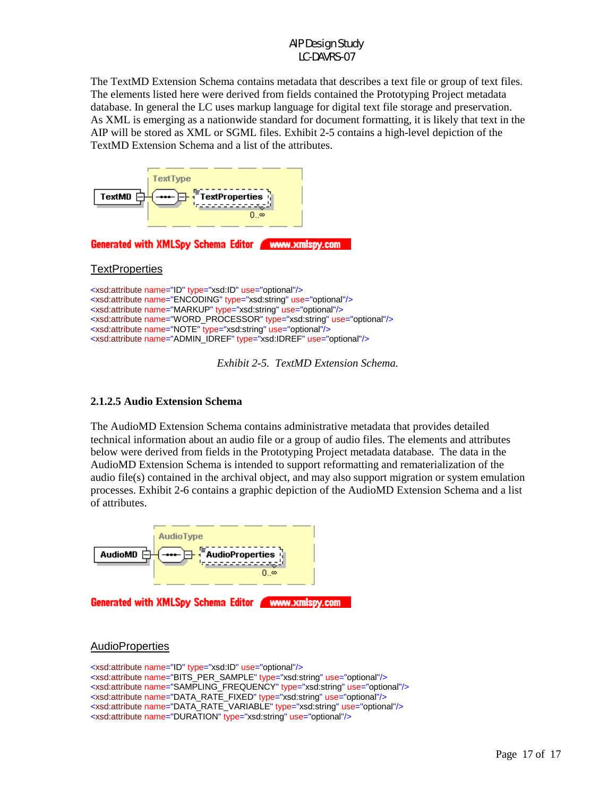The TextMD Extension Schema contains metadata that describes a text file or group of text files. The elements listed here were derived from fields contained the Prototyping Project metadata database. In general the LC uses markup language for digital text file storage and preservation. As XML is emerging as a nationwide standard for document formatting, it is likely that text in the AIP will be stored as XML or SGML files. Exhibit 2-5 contains a high-level depiction of the TextMD Extension Schema and a list of the attributes.



*Exhibit 2-5. TextMD Extension Schema.* 

# **2.1.2.5 Audio Extension Schema**

The AudioMD Extension Schema contains administrative metadata that provides detailed technical information about an audio file or a group of audio files. The elements and attributes below were derived from fields in the Prototyping Project metadata database. The data in the AudioMD Extension Schema is intended to support reformatting and rematerialization of the audio file(s) contained in the archival object, and may also support migration or system emulation processes. Exhibit 2-6 contains a graphic depiction of the AudioMD Extension Schema and a list of attributes.



# **AudioProperties**

<xsd:attribute name="ID" type="xsd:ID" use="optional"/> <xsd:attribute name="BITS\_PER\_SAMPLE" type="xsd:string" use="optional"/> <xsd:attribute name="SAMPLING\_FREQUENCY" type="xsd:string" use="optional"/> <xsd:attribute name="DATA\_RATE\_FIXED" type="xsd:string" use="optional"/> <xsd:attribute name="DATA\_RATE\_VARIABLE" type="xsd:string" use="optional"/> <xsd:attribute name="DURATION" type="xsd:string" use="optional"/>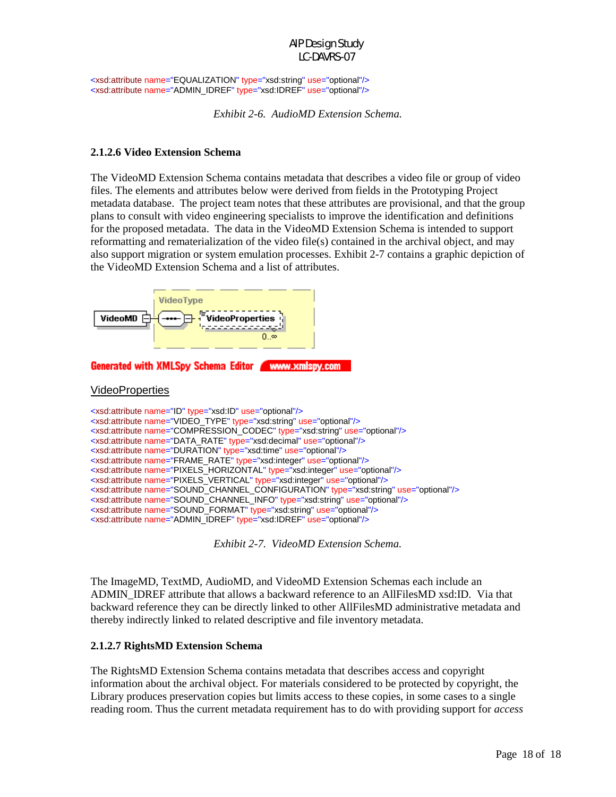<xsd:attribute name="EQUALIZATION" type="xsd:string" use="optional"/> <xsd:attribute name="ADMIN\_IDREF" type="xsd:IDREF" use="optional"/>

*Exhibit 2-6. AudioMD Extension Schema.* 

#### **2.1.2.6 Video Extension Schema**

The VideoMD Extension Schema contains metadata that describes a video file or group of video files. The elements and attributes below were derived from fields in the Prototyping Project metadata database. The project team notes that these attributes are provisional, and that the group plans to consult with video engineering specialists to improve the identification and definitions for the proposed metadata. The data in the VideoMD Extension Schema is intended to support reformatting and rematerialization of the video file(s) contained in the archival object, and may also support migration or system emulation processes. Exhibit 2-7 contains a graphic depiction of the VideoMD Extension Schema and a list of attributes.



*Exhibit 2-7. VideoMD Extension Schema.* 

The ImageMD, TextMD, AudioMD, and VideoMD Extension Schemas each include an ADMIN IDREF attribute that allows a backward reference to an AllFilesMD xsd:ID. Via that backward reference they can be directly linked to other AllFilesMD administrative metadata and thereby indirectly linked to related descriptive and file inventory metadata.

#### **2.1.2.7 RightsMD Extension Schema**

The RightsMD Extension Schema contains metadata that describes access and copyright information about the archival object. For materials considered to be protected by copyright, the Library produces preservation copies but limits access to these copies, in some cases to a single reading room. Thus the current metadata requirement has to do with providing support for *access*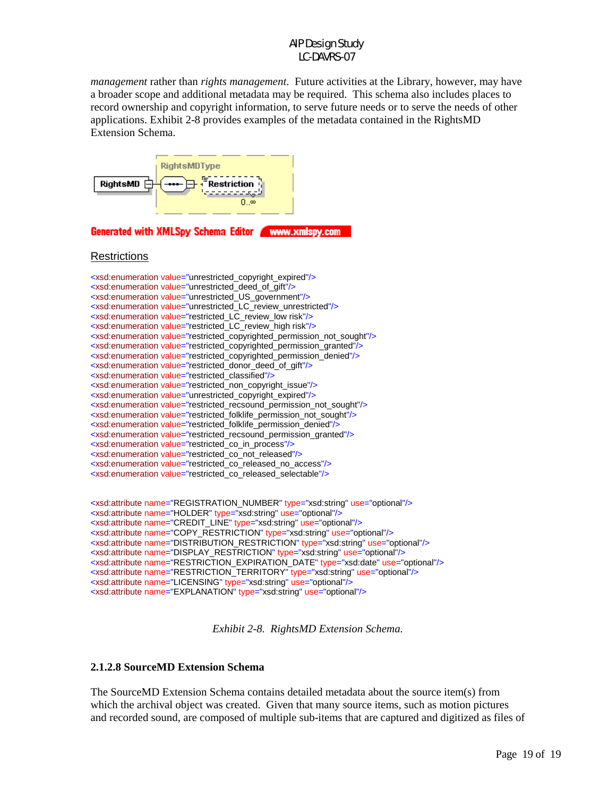*management* rather than *rights management*. Future activities at the Library, however, may have a broader scope and additional metadata may be required. This schema also includes places to record ownership and copyright information, to serve future needs or to serve the needs of other applications. Exhibit 2-8 provides examples of the metadata contained in the RightsMD Extension Schema.



Generated with XMLSpy Schema Editor Www.xmlspy.com

#### **Restrictions**

| <xsd:enumeration value="unrestricted copyright expired"></xsd:enumeration>                        |
|---------------------------------------------------------------------------------------------------|
| <xsd:enumeration value="unrestricted_deed_of_gift"></xsd:enumeration>                             |
| <xsd:enumeration value="unrestricted_US_government"></xsd:enumeration>                            |
| <xsd:enumeration value="unrestricted_LC_review_unrestricted"></xsd:enumeration>                   |
| <xsd:enumeration value="restricted LC review low risk"></xsd:enumeration>                         |
| <xsd:enumeration value="restricted_LC_review_high risk"></xsd:enumeration>                        |
| <xsd:enumeration value="restricted_copyrighted_permission_not_sought"></xsd:enumeration>          |
| <xsd:enumeration value="restricted_copyrighted_permission_granted"></xsd:enumeration>             |
| <xsd:enumeration value="restricted_copyrighted_permission_denied"></xsd:enumeration>              |
| <xsd:enumeration value="restricted donor deed of gift"></xsd:enumeration>                         |
| <xsd:enumeration value="restricted classified"></xsd:enumeration>                                 |
| <xsd:enumeration value="restricted non copyright issue"></xsd:enumeration>                        |
| <xsd:enumeration value="unrestricted_copyright_expired"></xsd:enumeration>                        |
| <xsd:enumeration value="restricted_recsound_permission_not_sought"></xsd:enumeration>             |
| <xsd:enumeration value="restricted_folklife_permission_not_sought"></xsd:enumeration>             |
| <xsd:enumeration value="restricted_folklife_permission_denied"></xsd:enumeration>                 |
| <xsd:enumeration value="restricted recsound permission granted"></xsd:enumeration>                |
| <xsd:enumeration value="restricted_co_in_process"></xsd:enumeration>                              |
| <xsd:enumeration value="restricted_co_not_released"></xsd:enumeration>                            |
| <xsd:enumeration value="restricted_co_released_no_access"></xsd:enumeration>                      |
| <xsd:enumeration value="restricted co released selectable"></xsd:enumeration>                     |
|                                                                                                   |
|                                                                                                   |
| <xsd:attribute name="REGISTRATION_NUMBER" type="xsd:string" use="optional"></xsd:attribute>       |
| <xsd:attribute name="HOLDER" type="xsd:string" use="optional"></xsd:attribute>                    |
| <xsd:attribute name="CREDIT_LINE" type="xsd:string" use="optional"></xsd:attribute>               |
| <xsd:attribute name="COPY_RESTRICTION" type="xsd:string" use="optional"></xsd:attribute>          |
| <xsd:attribute name="DISTRIBUTION_RESTRICTION" type="xsd:string" use="optional"></xsd:attribute>  |
| <xsd:attribute name="DISPLAY_RESTRICTION" type="xsd:string" use="optional"></xsd:attribute>       |
| <xsd:attribute name="RESTRICTION_EXPIRATION_DATE" type="xsd:date" use="optional"></xsd:attribute> |
| <xsd:attribute name="RESTRICTION_TERRITORY" type="xsd:string" use="optional"></xsd:attribute>     |

<xsd:attribute name="LICENSING" type="xsd:string" use="optional"/>

<xsd:attribute name="EXPLANATION" type="xsd:string" use="optional"/>

*Exhibit 2-8. RightsMD Extension Schema.* 

### **2.1.2.8 SourceMD Extension Schema**

The SourceMD Extension Schema contains detailed metadata about the source item(s) from which the archival object was created. Given that many source items, such as motion pictures and recorded sound, are composed of multiple sub-items that are captured and digitized as files of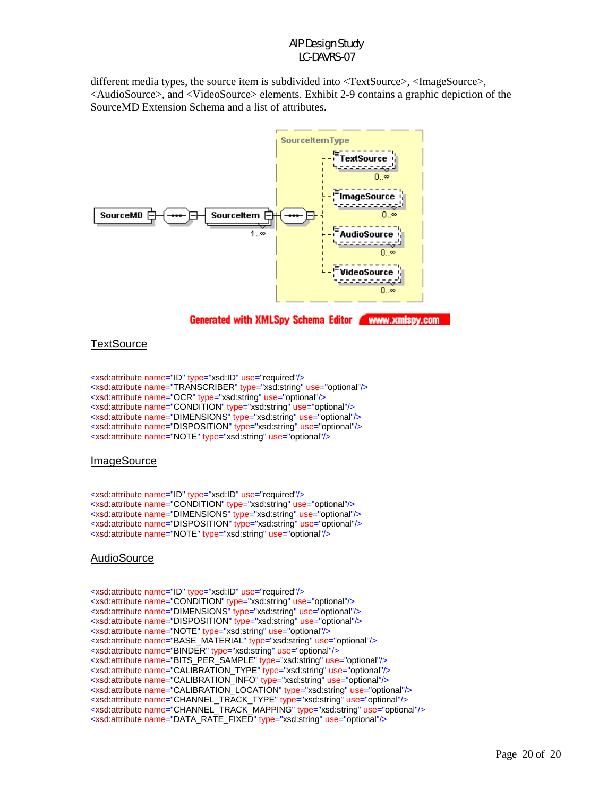different media types, the source item is subdivided into <TextSource>, <ImageSource>, <AudioSource>, and <VideoSource> elements. Exhibit 2-9 contains a graphic depiction of the SourceMD Extension Schema and a list of attributes.



#### **TextSource**

<xsd:attribute name="ID" type="xsd:ID" use="required"/> <xsd:attribute name="TRANSCRIBER" type="xsd:string" use="optional"/> <xsd:attribute name="OCR" type="xsd:string" use="optional"/> <xsd:attribute name="CONDITION" type="xsd:string" use="optional"/> <xsd:attribute name="DIMENSIONS" type="xsd:string" use="optional"/> <xsd:attribute name="DISPOSITION" type="xsd:string" use="optional"/> <xsd:attribute name="NOTE" type="xsd:string" use="optional"/>

#### **ImageSource**

<xsd:attribute name="ID" type="xsd:ID" use="required"/> <xsd:attribute name="CONDITION" type="xsd:string" use="optional"/> <xsd:attribute name="DIMENSIONS" type="xsd:string" use="optional"/> <xsd:attribute name="DISPOSITION" type="xsd:string" use="optional"/> <xsd:attribute name="NOTE" type="xsd:string" use="optional"/>

#### **AudioSource**

<xsd:attribute name="ID" type="xsd:ID" use="required"/> <xsd:attribute name="CONDITION" type="xsd:string" use="optional"/> <xsd:attribute name="DIMENSIONS" type="xsd:string" use="optional"/> <xsd:attribute name="DISPOSITION" type="xsd:string" use="optional"/> <xsd:attribute name="NOTE" type="xsd:string" use="optional"/> <xsd:attribute name="BASE\_MATERIAL" type="xsd:string" use="optional"/> <xsd:attribute name="BINDER" type="xsd:string" use="optional"/> <xsd:attribute name="BITS\_PER\_SAMPLE" type="xsd:string" use="optional"/> <xsd:attribute name="CALIBRATION\_TYPE" type="xsd:string" use="optional"/> <xsd:attribute name="CALIBRATION\_INFO" type="xsd:string" use="optional"/> <xsd:attribute name="CALIBRATION\_LOCATION" type="xsd:string" use="optional"/> <xsd:attribute name="CHANNEL\_TRACK\_TYPE" type="xsd:string" use="optional"/> <xsd:attribute name="CHANNEL\_TRACK\_MAPPING" type="xsd:string" use="optional"/> <xsd:attribute name="DATA\_RATE\_FIXED" type="xsd:string" use="optional"/>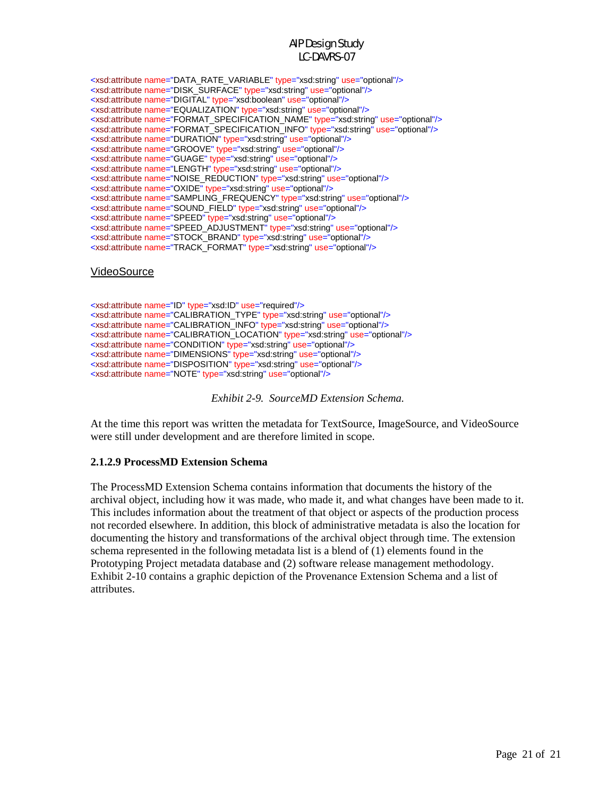| <xsd:attribute name="DATA RATE VARIABLE" type="xsd:string" use="optional"></xsd:attribute>        |
|---------------------------------------------------------------------------------------------------|
| <xsd:attribute name="DISK SURFACE" type="xsd:string" use="optional"></xsd:attribute>              |
| <xsd:attribute name="DIGITAL" type="xsd:boolean" use="optional"></xsd:attribute>                  |
| <xsd:attribute name="EQUALIZATION" type="xsd:string" use="optional"></xsd:attribute>              |
| <xsd:attribute name="FORMAT_SPECIFICATION_NAME" type="xsd:string" use="optional"></xsd:attribute> |
| <xsd:attribute name="FORMAT SPECIFICATION INFO" type="xsd:string" use="optional"></xsd:attribute> |
| <xsd:attribute name="DURATION" type="xsd:string" use="optional"></xsd:attribute>                  |
| <xsd:attribute name="GROOVE" type="xsd:string" use="optional"></xsd:attribute>                    |
| <xsd:attribute name="GUAGE" type="xsd:string" use="optional"></xsd:attribute>                     |
| <xsd:attribute name="LENGTH" type="xsd:string" use="optional"></xsd:attribute>                    |
| <xsd:attribute name="NOISE REDUCTION" type="xsd:string" use="optional"></xsd:attribute>           |
| <xsd:attribute name="OXIDE" type="xsd:string" use="optional"></xsd:attribute>                     |
| <xsd:attribute name="SAMPLING_FREQUENCY" type="xsd:string" use="optional"></xsd:attribute>        |
| <xsd:attribute name="SOUND_FIELD" type="xsd:string" use="optional"></xsd:attribute>               |
| <xsd:attribute name="SPEED" type="xsd:string" use="optional"></xsd:attribute>                     |
| <xsd:attribute name="SPEED ADJUSTMENT" type="xsd:string" use="optional"></xsd:attribute>          |
| <xsd:attribute name="STOCK_BRAND" type="xsd:string" use="optional"></xsd:attribute>               |
| <xsd:attribute name="TRACK_FORMAT" type="xsd:string" use="optional"></xsd:attribute>              |
|                                                                                                   |

#### **VideoSource**

<xsd:attribute name="ID" type="xsd:ID" use="required"/> <xsd:attribute name="CALIBRATION\_TYPE" type="xsd:string" use="optional"/> <xsd:attribute name="CALIBRATION\_INFO" type="xsd:string" use="optional"/> <xsd:attribute name="CALIBRATION\_LOCATION" type="xsd:string" use="optional"/> <xsd:attribute name="CONDITION" type="xsd:string" use="optional"/> <xsd:attribute name="DIMENSIONS" type="xsd:string" use="optional"/> <xsd:attribute name="DISPOSITION" type="xsd:string" use="optional"/> <xsd:attribute name="NOTE" type="xsd:string" use="optional"/>

*Exhibit 2-9. SourceMD Extension Schema.*

At the time this report was written the metadata for TextSource, ImageSource, and VideoSource were still under development and are therefore limited in scope.

#### **2.1.2.9 ProcessMD Extension Schema**

The ProcessMD Extension Schema contains information that documents the history of the archival object, including how it was made, who made it, and what changes have been made to it. This includes information about the treatment of that object or aspects of the production process not recorded elsewhere. In addition, this block of administrative metadata is also the location for documenting the history and transformations of the archival object through time. The extension schema represented in the following metadata list is a blend of (1) elements found in the Prototyping Project metadata database and (2) software release management methodology. Exhibit 2-10 contains a graphic depiction of the Provenance Extension Schema and a list of attributes.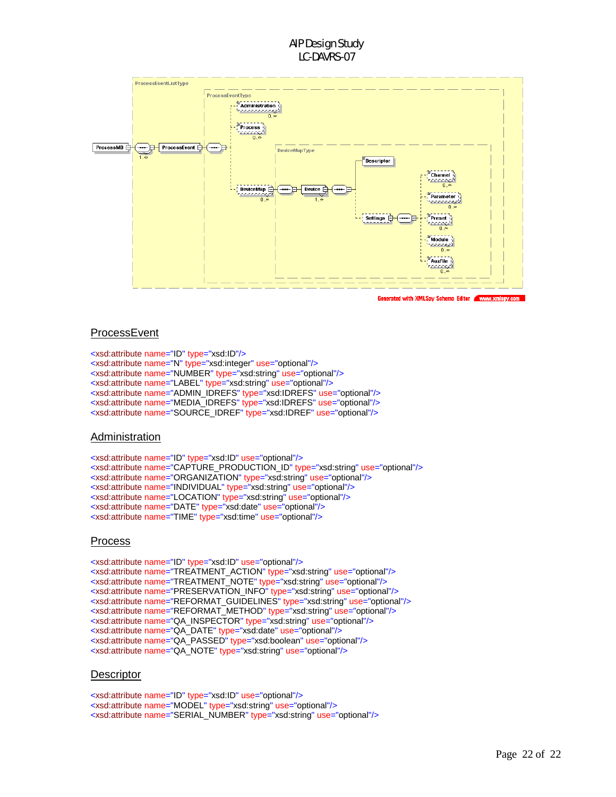

Generated with XMLSpy Schema Editor nv.co

#### **ProcessEvent**

<xsd:attribute name="ID" type="xsd:ID"/> <xsd:attribute name="N" type="xsd:integer" use="optional"/> <xsd:attribute name="NUMBER" type="xsd:string" use="optional"/> <xsd:attribute name="LABEL" type="xsd:string" use="optional"/> <xsd:attribute name="ADMIN\_IDREFS" type="xsd:IDREFS" use="optional"/> <xsd:attribute name="MEDIA\_IDREFS" type="xsd:IDREFS" use="optional"/> <xsd:attribute name="SOURCE\_IDREF" type="xsd:IDREF" use="optional"/>

#### Administration

<xsd:attribute name="ID" type="xsd:ID" use="optional"/> <xsd:attribute name="CAPTURE\_PRODUCTION\_ID" type="xsd:string" use="optional"/> <xsd:attribute name="ORGANIZATION" type="xsd:string" use="optional"/> <xsd:attribute name="INDIVIDUAL" type="xsd:string" use="optional"/> <xsd:attribute name="LOCATION" type="xsd:string" use="optional"/> <xsd:attribute name="DATE" type="xsd:date" use="optional"/> <xsd:attribute name="TIME" type="xsd:time" use="optional"/>

#### Process

<xsd:attribute name="ID" type="xsd:ID" use="optional"/> <xsd:attribute name="TREATMENT\_ACTION" type="xsd:string" use="optional"/> <xsd:attribute name="TREATMENT\_NOTE" type="xsd:string" use="optional"/> <xsd:attribute name="PRESERVATION\_INFO" type="xsd:string" use="optional"/> <xsd:attribute name="REFORMAT\_GUIDELINES" type="xsd:string" use="optional"/> <xsd:attribute name="REFORMAT\_METHOD" type="xsd:string" use="optional"/> <xsd:attribute name="QA\_INSPECTOR" type="xsd:string" use="optional"/> <xsd:attribute name="QA\_DATE" type="xsd:date" use="optional"/> <xsd:attribute name="QA\_PASSED" type="xsd:boolean" use="optional"/> <xsd:attribute name="QA\_NOTE" type="xsd:string" use="optional"/>

#### **Descriptor**

<xsd:attribute name="ID" type="xsd:ID" use="optional"/> <xsd:attribute name="MODEL" type="xsd:string" use="optional"/> <xsd:attribute name="SERIAL\_NUMBER" type="xsd:string" use="optional"/>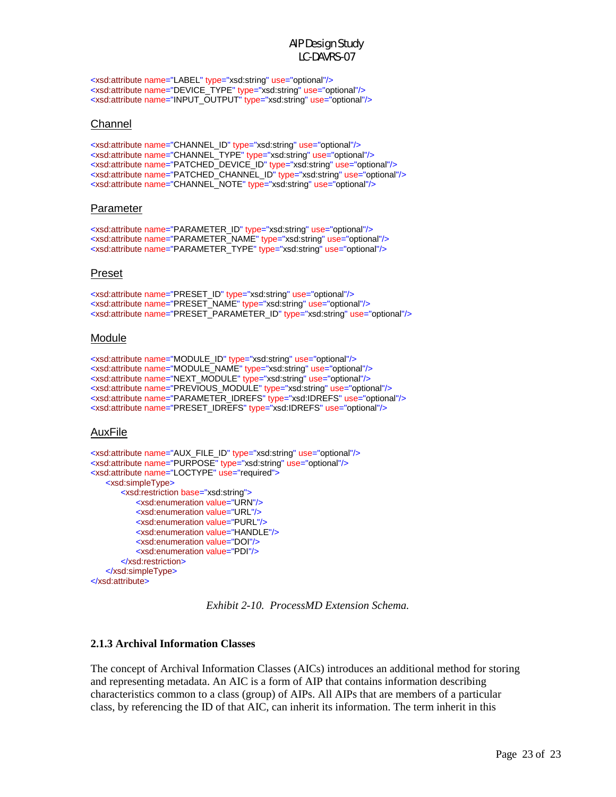<xsd:attribute name="LABEL" type="xsd:string" use="optional"/> <xsd:attribute name="DEVICE\_TYPE" type="xsd:string" use="optional"/> <xsd:attribute name="INPUT\_OUTPUT" type="xsd:string" use="optional"/>

#### Channel

<xsd:attribute name="CHANNEL\_ID" type="xsd:string" use="optional"/> <xsd:attribute name="CHANNEL\_TYPE" type="xsd:string" use="optional"/> <xsd:attribute name="PATCHED\_DEVICE\_ID" type="xsd:string" use="optional"/> <xsd:attribute name="PATCHED\_CHANNEL\_ID" type="xsd:string" use="optional"/> <xsd:attribute name="CHANNEL\_NOTE" type="xsd:string" use="optional"/>

#### Parameter

<xsd:attribute name="PARAMETER\_ID" type="xsd:string" use="optional"/> <xsd:attribute name="PARAMETER\_NAME" type="xsd:string" use="optional"/> <xsd:attribute name="PARAMETER\_TYPE" type="xsd:string" use="optional"/>

#### Preset

<xsd:attribute name="PRESET\_ID" type="xsd:string" use="optional"/> <xsd:attribute name="PRESET\_NAME" type="xsd:string" use="optional"/> <xsd:attribute name="PRESET\_PARAMETER\_ID" type="xsd:string" use="optional"/>

#### Module

<xsd:attribute name="MODULE\_ID" type="xsd:string" use="optional"/> <xsd:attribute name="MODULE\_NAME" type="xsd:string" use="optional"/> <xsd:attribute name="NEXT\_MODULE" type="xsd:string" use="optional"/> <xsd:attribute name="PREVIOUS\_MODULE" type="xsd:string" use="optional"/> <xsd:attribute name="PARAMETER\_IDREFS" type="xsd:IDREFS" use="optional"/> <xsd:attribute name="PRESET\_IDREFS" type="xsd:IDREFS" use="optional"/>

#### AuxFile

```
<xsd:attribute name="AUX_FILE_ID" type="xsd:string" use="optional"/>
<xsd:attribute name="PURPOSE" type="xsd:string" use="optional"/>
<xsd:attribute name="LOCTYPE" use="required">
    <xsd:simpleType>
       <xsd:restriction base="xsd:string">
            <xsd:enumeration value="URN"/>
            <xsd:enumeration value="URL"/>
            <xsd:enumeration value="PURL"/>
            <xsd:enumeration value="HANDLE"/>
            <xsd:enumeration value="DOI"/>
            <xsd:enumeration value="PDI"/>
        </xsd:restriction>
   </xsd:simpleType>
</xsd:attribute>
```
*Exhibit 2-10. ProcessMD Extension Schema.* 

#### **2.1.3 Archival Information Classes**

The concept of Archival Information Classes (AICs) introduces an additional method for storing and representing metadata. An AIC is a form of AIP that contains information describing characteristics common to a class (group) of AIPs. All AIPs that are members of a particular class, by referencing the ID of that AIC, can inherit its information. The term inherit in this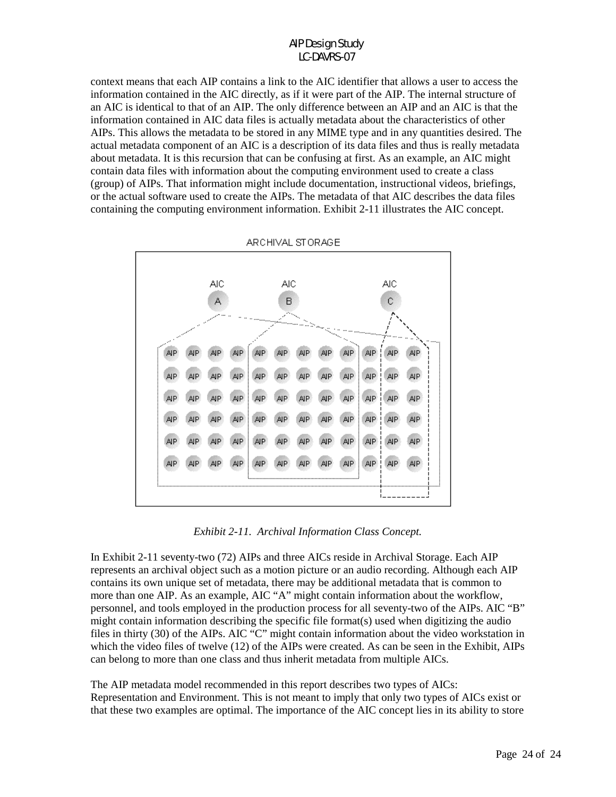context means that each AIP contains a link to the AIC identifier that allows a user to access the information contained in the AIC directly, as if it were part of the AIP. The internal structure of an AIC is identical to that of an AIP. The only difference between an AIP and an AIC is that the information contained in AIC data files is actually metadata about the characteristics of other AIPs. This allows the metadata to be stored in any MIME type and in any quantities desired. The actual metadata component of an AIC is a description of its data files and thus is really metadata about metadata. It is this recursion that can be confusing at first. As an example, an AIC might contain data files with information about the computing environment used to create a class (group) of AIPs. That information might include documentation, instructional videos, briefings, or the actual software used to create the AIPs. The metadata of that AIC describes the data files containing the computing environment information. Exhibit 2-11 illustrates the AIC concept.



ARCHIVAL STORAGE

*Exhibit 2-11. Archival Information Class Concept.* 

In Exhibit 2-11 seventy-two (72) AIPs and three AICs reside in Archival Storage. Each AIP represents an archival object such as a motion picture or an audio recording. Although each AIP contains its own unique set of metadata, there may be additional metadata that is common to more than one AIP. As an example, AIC "A" might contain information about the workflow, personnel, and tools employed in the production process for all seventy-two of the AIPs. AIC "B" might contain information describing the specific file format(s) used when digitizing the audio files in thirty (30) of the AIPs. AIC "C" might contain information about the video workstation in which the video files of twelve (12) of the AIPs were created. As can be seen in the Exhibit, AIPs can belong to more than one class and thus inherit metadata from multiple AICs.

The AIP metadata model recommended in this report describes two types of AICs: Representation and Environment. This is not meant to imply that only two types of AICs exist or that these two examples are optimal. The importance of the AIC concept lies in its ability to store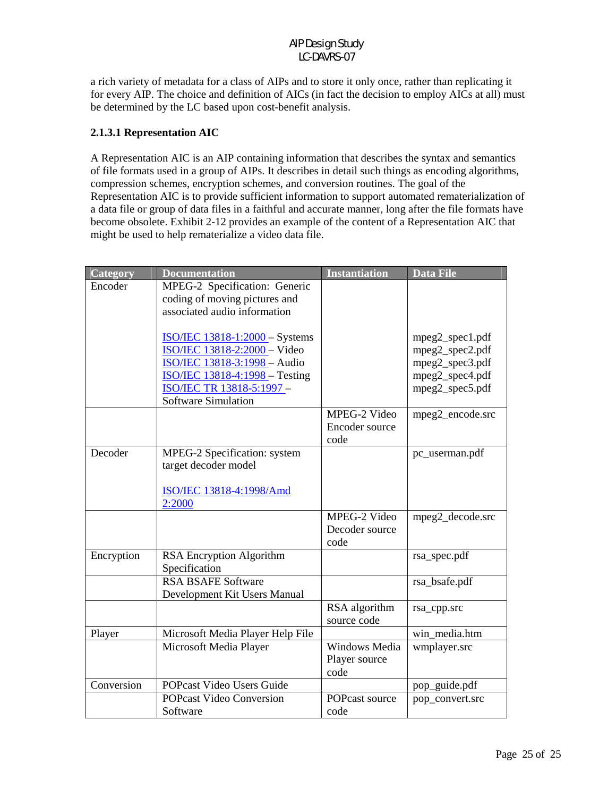a rich variety of metadata for a class of AIPs and to store it only once, rather than replicating it for every AIP. The choice and definition of AICs (in fact the decision to employ AICs at all) must be determined by the LC based upon cost-benefit analysis.

### **2.1.3.1 Representation AIC**

A Representation AIC is an AIP containing information that describes the syntax and semantics of file formats used in a group of AIPs. It describes in detail such things as encoding algorithms, compression schemes, encryption schemes, and conversion routines. The goal of the Representation AIC is to provide sufficient information to support automated rematerialization of a data file or group of data files in a faithful and accurate manner, long after the file formats have become obsolete. Exhibit 2-12 provides an example of the content of a Representation AIC that might be used to help rematerialize a video data file.

| Category   | <b>Documentation</b>                  | <b>Instantiation</b>         | <b>Data File</b> |
|------------|---------------------------------------|------------------------------|------------------|
| Encoder    | MPEG-2 Specification: Generic         |                              |                  |
|            | coding of moving pictures and         |                              |                  |
|            | associated audio information          |                              |                  |
|            | <b>ISO/IEC 13818-1:2000 - Systems</b> |                              | mpeg2_spec1.pdf  |
|            | ISO/IEC 13818-2:2000 - Video          |                              | mpeg2_spec2.pdf  |
|            | ISO/IEC 13818-3:1998 - Audio          |                              | mpeg2_spec3.pdf  |
|            | <b>ISO/IEC 13818-4:1998 - Testing</b> |                              | mpeg2_spec4.pdf  |
|            | ISO/IEC TR 13818-5:1997 -             |                              | mpeg2_spec5.pdf  |
|            | <b>Software Simulation</b>            |                              |                  |
|            |                                       | MPEG-2 Video                 | mpeg2_encode.src |
|            |                                       | Encoder source               |                  |
|            |                                       | code                         |                  |
| Decoder    | MPEG-2 Specification: system          |                              | pc_userman.pdf   |
|            | target decoder model                  |                              |                  |
|            |                                       |                              |                  |
|            | ISO/IEC 13818-4:1998/Amd              |                              |                  |
|            | 2:2000                                |                              |                  |
|            |                                       | MPEG-2 Video                 | mpeg2_decode.src |
|            |                                       | Decoder source               |                  |
|            |                                       | code                         |                  |
| Encryption | RSA Encryption Algorithm              |                              | rsa_spec.pdf     |
|            | Specification                         |                              |                  |
|            | <b>RSA BSAFE Software</b>             |                              | rsa_bsafe.pdf    |
|            | Development Kit Users Manual          |                              |                  |
|            |                                       | RSA algorithm<br>source code | rsa_cpp.src      |
| Player     | Microsoft Media Player Help File      |                              | win media.htm    |
|            | Microsoft Media Player                | Windows Media                | wmplayer.src     |
|            |                                       | Player source                |                  |
|            |                                       | code                         |                  |
| Conversion | POPcast Video Users Guide             |                              | pop_guide.pdf    |
|            | <b>POPcast Video Conversion</b>       | POPcast source               | pop_convert.src  |
|            | Software                              | code                         |                  |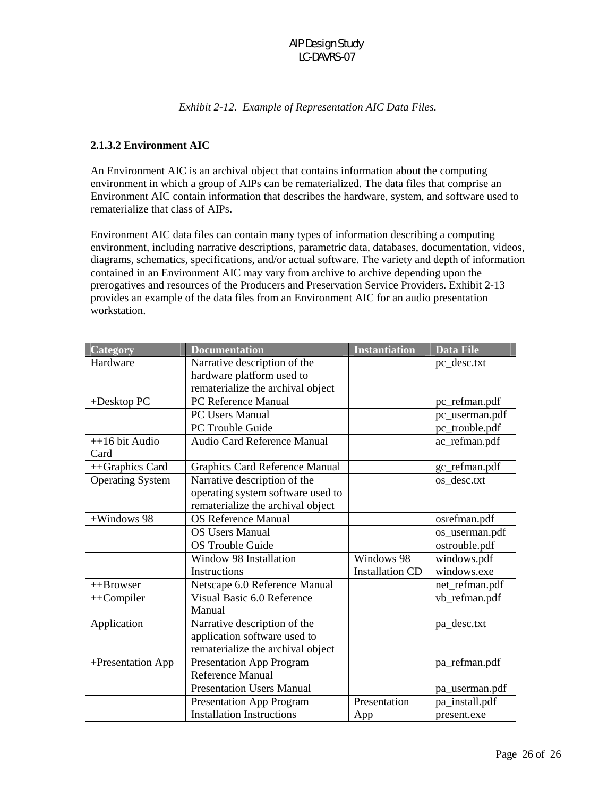#### *Exhibit 2-12. Example of Representation AIC Data Files.*

### **2.1.3.2 Environment AIC**

An Environment AIC is an archival object that contains information about the computing environment in which a group of AIPs can be rematerialized. The data files that comprise an Environment AIC contain information that describes the hardware, system, and software used to rematerialize that class of AIPs.

Environment AIC data files can contain many types of information describing a computing environment, including narrative descriptions, parametric data, databases, documentation, videos, diagrams, schematics, specifications, and/or actual software. The variety and depth of information contained in an Environment AIC may vary from archive to archive depending upon the prerogatives and resources of the Producers and Preservation Service Providers. Exhibit 2-13 provides an example of the data files from an Environment AIC for an audio presentation workstation.

| Category                | <b>Documentation</b>                  | <b>Instantiation</b>   | <b>Data File</b> |
|-------------------------|---------------------------------------|------------------------|------------------|
| Hardware                | Narrative description of the          |                        | pc_desc.txt      |
|                         | hardware platform used to             |                        |                  |
|                         | rematerialize the archival object     |                        |                  |
| +Desktop PC             | PC Reference Manual                   |                        | pc_refman.pdf    |
|                         | <b>PC Users Manual</b>                |                        | pc_userman.pdf   |
|                         | PC Trouble Guide                      |                        | pc_trouble.pdf   |
| $++16$ bit Audio        | Audio Card Reference Manual           |                        | ac refman.pdf    |
| Card                    |                                       |                        |                  |
| ++Graphics Card         | <b>Graphics Card Reference Manual</b> |                        | gc_refman.pdf    |
| <b>Operating System</b> | Narrative description of the          |                        | os desc.txt      |
|                         | operating system software used to     |                        |                  |
|                         | rematerialize the archival object     |                        |                  |
| +Windows 98             | <b>OS Reference Manual</b>            |                        | osrefman.pdf     |
|                         | <b>OS Users Manual</b>                |                        | os_userman.pdf   |
|                         | <b>OS Trouble Guide</b>               |                        | ostrouble.pdf    |
|                         | Window 98 Installation                | Windows 98             | windows.pdf      |
|                         | Instructions                          | <b>Installation CD</b> | windows.exe      |
| $++Browser$             | Netscape 6.0 Reference Manual         |                        | net_refman.pdf   |
| $++$ Compiler           | Visual Basic 6.0 Reference            |                        | vb_refman.pdf    |
|                         | Manual                                |                        |                  |
| Application             | Narrative description of the          |                        | pa_desc.txt      |
|                         | application software used to          |                        |                  |
|                         | rematerialize the archival object     |                        |                  |
| +Presentation App       | <b>Presentation App Program</b>       |                        | pa_refman.pdf    |
|                         | Reference Manual                      |                        |                  |
|                         | <b>Presentation Users Manual</b>      |                        | pa_userman.pdf   |
|                         | Presentation App Program              | Presentation           | pa_install.pdf   |
|                         | <b>Installation Instructions</b>      | App                    | present.exe      |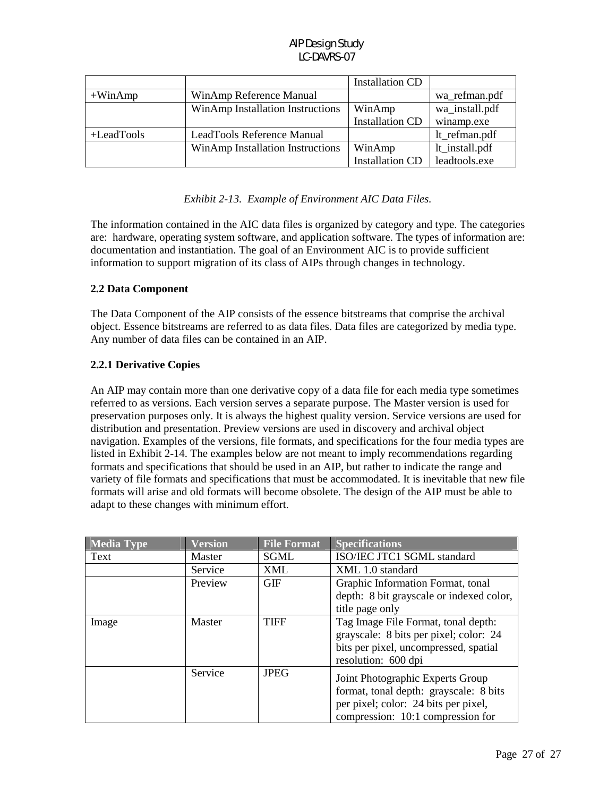|               |                                  | <b>Installation CD</b> |                |
|---------------|----------------------------------|------------------------|----------------|
| $+W$ inAmp    | WinAmp Reference Manual          |                        | wa_refman.pdf  |
|               | WinAmp Installation Instructions | WinAmp                 | wa_install.pdf |
|               |                                  | <b>Installation CD</b> | winamp.exe     |
| $+$ LeadTools | LeadTools Reference Manual       |                        | lt_refman.pdf  |
|               | WinAmp Installation Instructions | WinAmp                 | lt_install.pdf |
|               |                                  | <b>Installation CD</b> | leadtools.exe  |

#### *Exhibit 2-13. Example of Environment AIC Data Files.*

The information contained in the AIC data files is organized by category and type. The categories are: hardware, operating system software, and application software. The types of information are: documentation and instantiation. The goal of an Environment AIC is to provide sufficient information to support migration of its class of AIPs through changes in technology.

### **2.2 Data Component**

The Data Component of the AIP consists of the essence bitstreams that comprise the archival object. Essence bitstreams are referred to as data files. Data files are categorized by media type. Any number of data files can be contained in an AIP.

### **2.2.1 Derivative Copies**

An AIP may contain more than one derivative copy of a data file for each media type sometimes referred to as versions. Each version serves a separate purpose. The Master version is used for preservation purposes only. It is always the highest quality version. Service versions are used for distribution and presentation. Preview versions are used in discovery and archival object navigation. Examples of the versions, file formats, and specifications for the four media types are listed in Exhibit 2-14. The examples below are not meant to imply recommendations regarding formats and specifications that should be used in an AIP, but rather to indicate the range and variety of file formats and specifications that must be accommodated. It is inevitable that new file formats will arise and old formats will become obsolete. The design of the AIP must be able to adapt to these changes with minimum effort.

| <b>Media Type</b> | <b>Version</b> | <b>File Format</b> | <b>Specifications</b>                    |
|-------------------|----------------|--------------------|------------------------------------------|
| Text              | Master         | <b>SGML</b>        | ISO/IEC JTC1 SGML standard               |
|                   | Service        | <b>XML</b>         | XML 1.0 standard                         |
|                   | Preview        | <b>GIF</b>         | Graphic Information Format, tonal        |
|                   |                |                    | depth: 8 bit grayscale or indexed color, |
|                   |                |                    | title page only                          |
| Image             | Master         | <b>TIFF</b>        | Tag Image File Format, tonal depth:      |
|                   |                |                    | grayscale: 8 bits per pixel; color: 24   |
|                   |                |                    | bits per pixel, uncompressed, spatial    |
|                   |                |                    | resolution: 600 dpi                      |
|                   | Service        | <b>JPEG</b>        | Joint Photographic Experts Group         |
|                   |                |                    | format, tonal depth: grayscale: 8 bits   |
|                   |                |                    | per pixel; color: 24 bits per pixel,     |
|                   |                |                    | compression: 10:1 compression for        |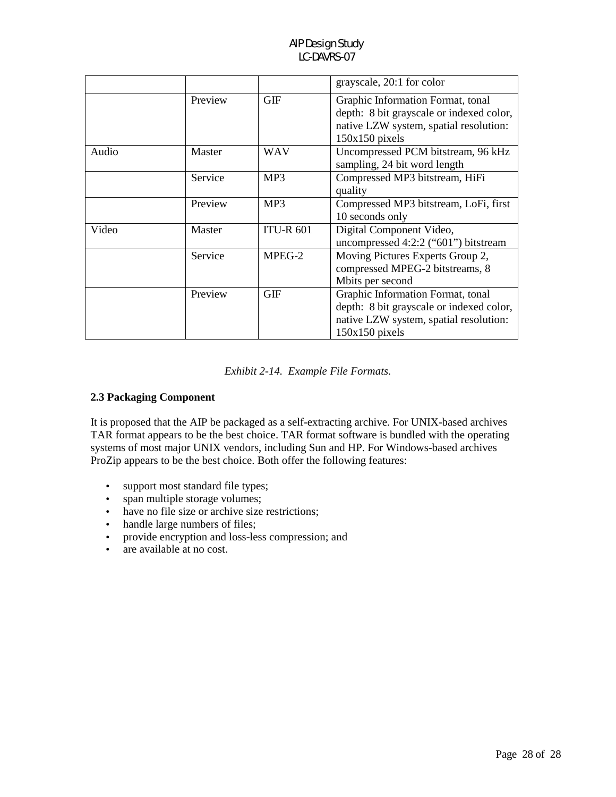|       |         |                  | grayscale, 20:1 for color                                                                                                                   |
|-------|---------|------------------|---------------------------------------------------------------------------------------------------------------------------------------------|
|       | Preview | <b>GIF</b>       | Graphic Information Format, tonal<br>depth: 8 bit grayscale or indexed color,<br>native LZW system, spatial resolution:<br>$150x150$ pixels |
| Audio | Master  | <b>WAV</b>       | Uncompressed PCM bitstream, 96 kHz<br>sampling, 24 bit word length                                                                          |
|       | Service | MP3              | Compressed MP3 bitstream, HiFi<br>quality                                                                                                   |
|       | Preview | MP3              | Compressed MP3 bitstream, LoFi, first<br>10 seconds only                                                                                    |
| Video | Master  | <b>ITU-R 601</b> | Digital Component Video,<br>uncompressed 4:2:2 ("601") bitstream                                                                            |
|       | Service | MPEG-2           | Moving Pictures Experts Group 2,<br>compressed MPEG-2 bitstreams, 8<br>Mbits per second                                                     |
|       | Preview | <b>GIF</b>       | Graphic Information Format, tonal<br>depth: 8 bit grayscale or indexed color,<br>native LZW system, spatial resolution:<br>$150x150$ pixels |

#### *Exhibit 2-14. Example File Formats.*

# **2.3 Packaging Component**

It is proposed that the AIP be packaged as a self-extracting archive. For UNIX-based archives TAR format appears to be the best choice. TAR format software is bundled with the operating systems of most major UNIX vendors, including Sun and HP. For Windows-based archives ProZip appears to be the best choice. Both offer the following features:

- support most standard file types;
- span multiple storage volumes;
- have no file size or archive size restrictions;
- handle large numbers of files;
- provide encryption and loss-less compression; and
- are available at no cost.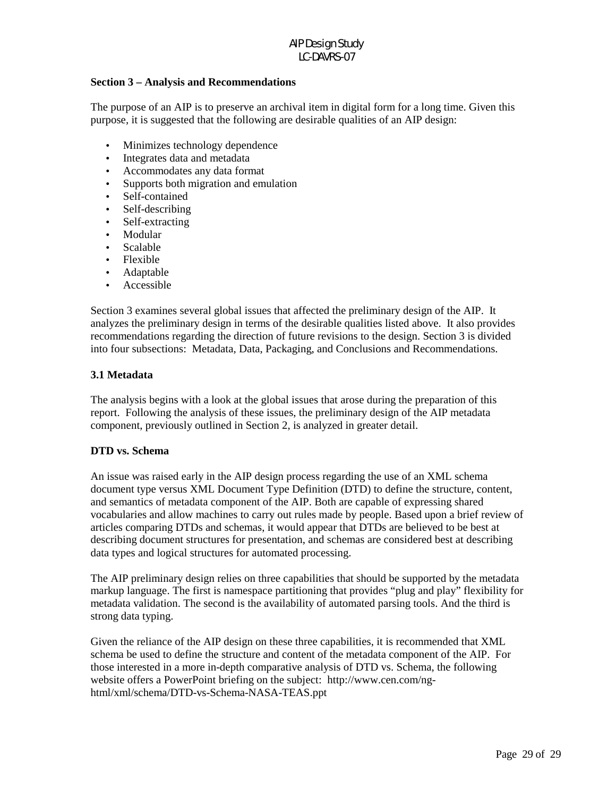#### **Section 3 – Analysis and Recommendations**

The purpose of an AIP is to preserve an archival item in digital form for a long time. Given this purpose, it is suggested that the following are desirable qualities of an AIP design:

- Minimizes technology dependence
- Integrates data and metadata
- Accommodates any data format
- Supports both migration and emulation
- Self-contained
- Self-describing
- Self-extracting
- Modular
- Scalable
- Flexible
- Adaptable
- Accessible

Section 3 examines several global issues that affected the preliminary design of the AIP. It analyzes the preliminary design in terms of the desirable qualities listed above. It also provides recommendations regarding the direction of future revisions to the design. Section 3 is divided into four subsections: Metadata, Data, Packaging, and Conclusions and Recommendations.

### **3.1 Metadata**

The analysis begins with a look at the global issues that arose during the preparation of this report. Following the analysis of these issues, the preliminary design of the AIP metadata component, previously outlined in Section 2, is analyzed in greater detail.

#### **DTD vs. Schema**

An issue was raised early in the AIP design process regarding the use of an XML schema document type versus XML Document Type Definition (DTD) to define the structure, content, and semantics of metadata component of the AIP. Both are capable of expressing shared vocabularies and allow machines to carry out rules made by people. Based upon a brief review of articles comparing DTDs and schemas, it would appear that DTDs are believed to be best at describing document structures for presentation, and schemas are considered best at describing data types and logical structures for automated processing.

The AIP preliminary design relies on three capabilities that should be supported by the metadata markup language. The first is namespace partitioning that provides "plug and play" flexibility for metadata validation. The second is the availability of automated parsing tools. And the third is strong data typing.

Given the reliance of the AIP design on these three capabilities, it is recommended that XML schema be used to define the structure and content of the metadata component of the AIP. For those interested in a more in-depth comparative analysis of DTD vs. Schema, the following website offers a PowerPoint briefing on the subject: http://www.cen.com/nghtml/xml/schema/DTD-vs-Schema-NASA-TEAS.ppt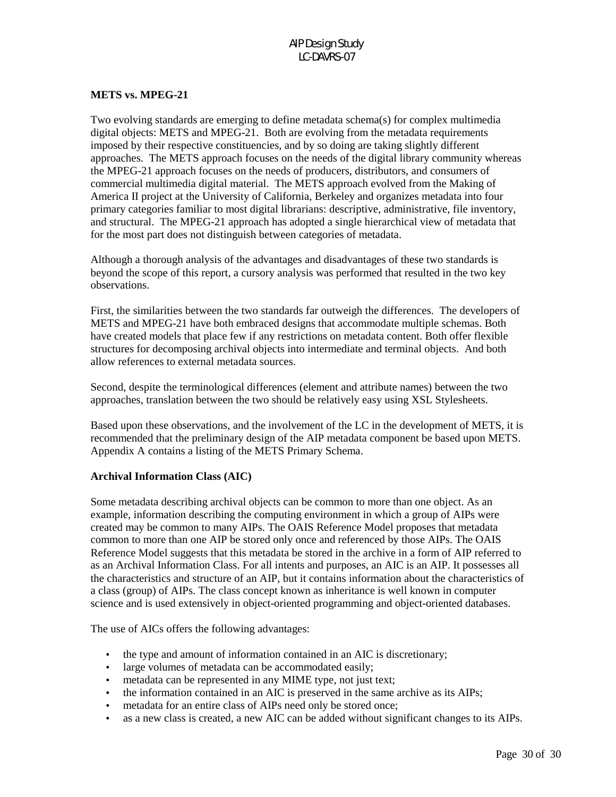# **METS vs. MPEG-21**

Two evolving standards are emerging to define metadata schema(s) for complex multimedia digital objects: METS and MPEG-21. Both are evolving from the metadata requirements imposed by their respective constituencies, and by so doing are taking slightly different approaches. The METS approach focuses on the needs of the digital library community whereas the MPEG-21 approach focuses on the needs of producers, distributors, and consumers of commercial multimedia digital material. The METS approach evolved from the Making of America II project at the University of California, Berkeley and organizes metadata into four primary categories familiar to most digital librarians: descriptive, administrative, file inventory, and structural. The MPEG-21 approach has adopted a single hierarchical view of metadata that for the most part does not distinguish between categories of metadata.

Although a thorough analysis of the advantages and disadvantages of these two standards is beyond the scope of this report, a cursory analysis was performed that resulted in the two key observations.

First, the similarities between the two standards far outweigh the differences. The developers of METS and MPEG-21 have both embraced designs that accommodate multiple schemas. Both have created models that place few if any restrictions on metadata content. Both offer flexible structures for decomposing archival objects into intermediate and terminal objects. And both allow references to external metadata sources.

Second, despite the terminological differences (element and attribute names) between the two approaches, translation between the two should be relatively easy using XSL Stylesheets.

Based upon these observations, and the involvement of the LC in the development of METS, it is recommended that the preliminary design of the AIP metadata component be based upon METS. Appendix A contains a listing of the METS Primary Schema.

#### **Archival Information Class (AIC)**

Some metadata describing archival objects can be common to more than one object. As an example, information describing the computing environment in which a group of AIPs were created may be common to many AIPs. The OAIS Reference Model proposes that metadata common to more than one AIP be stored only once and referenced by those AIPs. The OAIS Reference Model suggests that this metadata be stored in the archive in a form of AIP referred to as an Archival Information Class. For all intents and purposes, an AIC is an AIP. It possesses all the characteristics and structure of an AIP, but it contains information about the characteristics of a class (group) of AIPs. The class concept known as inheritance is well known in computer science and is used extensively in object-oriented programming and object-oriented databases.

The use of AICs offers the following advantages:

- the type and amount of information contained in an AIC is discretionary;
- large volumes of metadata can be accommodated easily;
- metadata can be represented in any MIME type, not just text;
- the information contained in an AIC is preserved in the same archive as its AIPs;
- metadata for an entire class of AIPs need only be stored once;
- as a new class is created, a new AIC can be added without significant changes to its AIPs.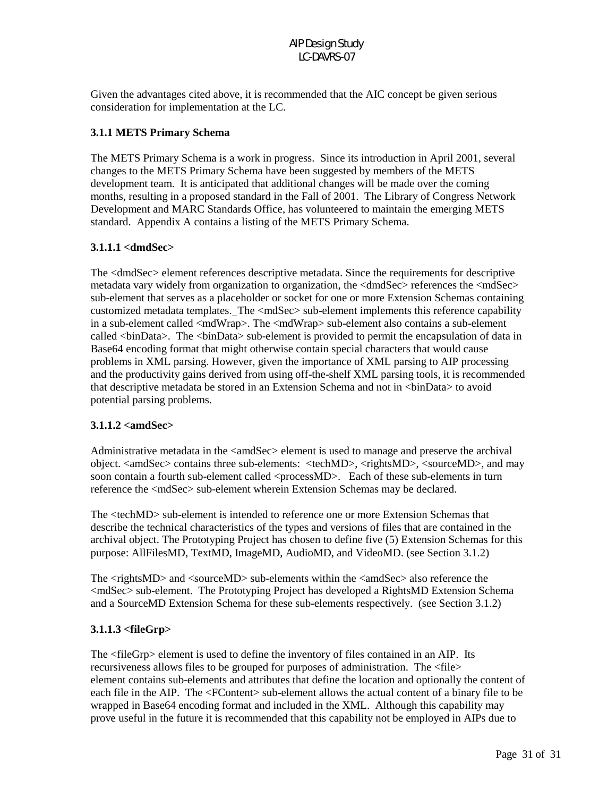Given the advantages cited above, it is recommended that the AIC concept be given serious consideration for implementation at the LC.

### **3.1.1 METS Primary Schema**

The METS Primary Schema is a work in progress. Since its introduction in April 2001, several changes to the METS Primary Schema have been suggested by members of the METS development team. It is anticipated that additional changes will be made over the coming months, resulting in a proposed standard in the Fall of 2001. The Library of Congress Network Development and MARC Standards Office, has volunteered to maintain the emerging METS standard. Appendix A contains a listing of the METS Primary Schema.

### **3.1.1.1 <dmdSec>**

The <dmdSec> element references descriptive metadata. Since the requirements for descriptive metadata vary widely from organization to organization, the <dmdSec> references the <mdSec> sub-element that serves as a placeholder or socket for one or more Extension Schemas containing customized metadata templates. The <mdSec> sub-element implements this reference capability in a sub-element called <mdWrap>. The <mdWrap> sub-element also contains a sub-element called <br/>  $\langle$  binData>. The <br/> \educatable sub-element is provided to permit the encapsulation of data in Base64 encoding format that might otherwise contain special characters that would cause problems in XML parsing. However, given the importance of XML parsing to AIP processing and the productivity gains derived from using off-the-shelf XML parsing tools, it is recommended that descriptive metadata be stored in an Extension Schema and not in <binData> to avoid potential parsing problems.

#### **3.1.1.2 <amdSec>**

Administrative metadata in the  $\langle$ amdSec $\rangle$  element is used to manage and preserve the archival object. <amdSec> contains three sub-elements: <techMD>, <rightsMD>, <sourceMD>, and may soon contain a fourth sub-element called <processMD>. Each of these sub-elements in turn reference the <mdSec> sub-element wherein Extension Schemas may be declared.

The <techMD> sub-element is intended to reference one or more Extension Schemas that describe the technical characteristics of the types and versions of files that are contained in the archival object. The Prototyping Project has chosen to define five (5) Extension Schemas for this purpose: AllFilesMD, TextMD, ImageMD, AudioMD, and VideoMD. (see Section 3.1.2)

The <rightsMD> and <sourceMD> sub-elements within the <amdSec> also reference the <mdSec> sub-element. The Prototyping Project has developed a RightsMD Extension Schema and a SourceMD Extension Schema for these sub-elements respectively. (see Section 3.1.2)

#### **3.1.1.3 <fileGrp>**

The <fileGrp> element is used to define the inventory of files contained in an AIP. Its recursiveness allows files to be grouped for purposes of administration. The <file> element contains sub-elements and attributes that define the location and optionally the content of each file in the AIP. The <FContent> sub-element allows the actual content of a binary file to be wrapped in Base64 encoding format and included in the XML. Although this capability may prove useful in the future it is recommended that this capability not be employed in AIPs due to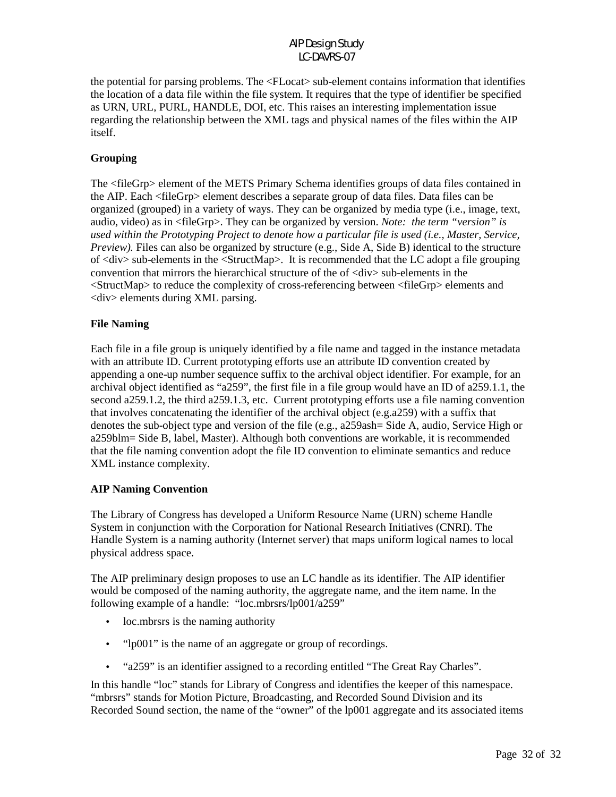the potential for parsing problems. The <FLocat> sub-element contains information that identifies the location of a data file within the file system. It requires that the type of identifier be specified as URN, URL, PURL, HANDLE, DOI, etc. This raises an interesting implementation issue regarding the relationship between the XML tags and physical names of the files within the AIP itself.

### **Grouping**

The <fileGrp> element of the METS Primary Schema identifies groups of data files contained in the AIP. Each <fileGrp> element describes a separate group of data files. Data files can be organized (grouped) in a variety of ways. They can be organized by media type (i.e., image, text, audio, video) as in <fileGrp>. They can be organized by version. *Note: the term "version" is used within the Prototyping Project to denote how a particular file is used (i.e., Master, Service, Preview).* Files can also be organized by structure (e.g., Side A, Side B) identical to the structure of <div> sub-elements in the <StructMap>. It is recommended that the LC adopt a file grouping convention that mirrors the hierarchical structure of the of <div> sub-elements in the <StructMap> to reduce the complexity of cross-referencing between <fileGrp> elements and <div> elements during XML parsing.

### **File Naming**

Each file in a file group is uniquely identified by a file name and tagged in the instance metadata with an attribute ID. Current prototyping efforts use an attribute ID convention created by appending a one-up number sequence suffix to the archival object identifier. For example, for an archival object identified as "a259", the first file in a file group would have an ID of a259.1.1, the second a259.1.2, the third a259.1.3, etc. Current prototyping efforts use a file naming convention that involves concatenating the identifier of the archival object (e.g.a259) with a suffix that denotes the sub-object type and version of the file (e.g., a259ash= Side A, audio, Service High or a259blm= Side B, label, Master). Although both conventions are workable, it is recommended that the file naming convention adopt the file ID convention to eliminate semantics and reduce XML instance complexity.

#### **AIP Naming Convention**

The Library of Congress has developed a Uniform Resource Name (URN) scheme Handle System in conjunction with the Corporation for National Research Initiatives (CNRI). The Handle System is a naming authority (Internet server) that maps uniform logical names to local physical address space.

The AIP preliminary design proposes to use an LC handle as its identifier. The AIP identifier would be composed of the naming authority, the aggregate name, and the item name. In the following example of a handle: "loc.mbrsrs/lp001/a259"

- loc.mbrsrs is the naming authority
- "lp001" is the name of an aggregate or group of recordings.
- "a259" is an identifier assigned to a recording entitled "The Great Ray Charles".

In this handle "loc" stands for Library of Congress and identifies the keeper of this namespace. "mbrsrs" stands for Motion Picture, Broadcasting, and Recorded Sound Division and its Recorded Sound section, the name of the "owner" of the lp001 aggregate and its associated items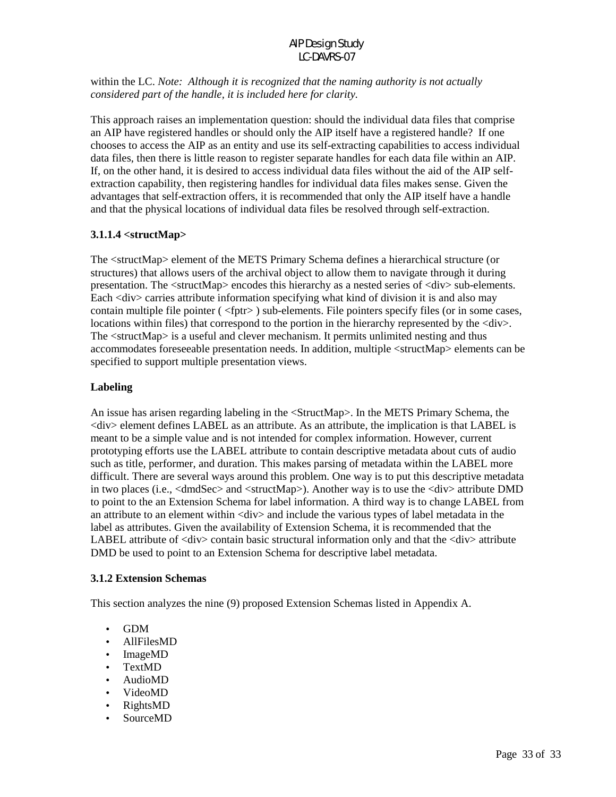within the LC. *Note: Although it is recognized that the naming authority is not actually considered part of the handle, it is included here for clarity.*

This approach raises an implementation question: should the individual data files that comprise an AIP have registered handles or should only the AIP itself have a registered handle? If one chooses to access the AIP as an entity and use its self-extracting capabilities to access individual data files, then there is little reason to register separate handles for each data file within an AIP. If, on the other hand, it is desired to access individual data files without the aid of the AIP selfextraction capability, then registering handles for individual data files makes sense. Given the advantages that self-extraction offers, it is recommended that only the AIP itself have a handle and that the physical locations of individual data files be resolved through self-extraction.

### **3.1.1.4 <structMap>**

The <structMap> element of the METS Primary Schema defines a hierarchical structure (or structures) that allows users of the archival object to allow them to navigate through it during presentation. The <structMap> encodes this hierarchy as a nested series of <div> sub-elements. Each <div> carries attribute information specifying what kind of division it is and also may contain multiple file pointer ( <fptr> ) sub-elements. File pointers specify files (or in some cases, locations within files) that correspond to the portion in the hierarchy represented by the  $\langle \text{div} \rangle$ . The <structMap> is a useful and clever mechanism. It permits unlimited nesting and thus accommodates foreseeable presentation needs. In addition, multiple <structMap> elements can be specified to support multiple presentation views.

### **Labeling**

An issue has arisen regarding labeling in the <StructMap>. In the METS Primary Schema, the <div> element defines LABEL as an attribute. As an attribute, the implication is that LABEL is meant to be a simple value and is not intended for complex information. However, current prototyping efforts use the LABEL attribute to contain descriptive metadata about cuts of audio such as title, performer, and duration. This makes parsing of metadata within the LABEL more difficult. There are several ways around this problem. One way is to put this descriptive metadata in two places (i.e.,  $\langle$ dmdSec $\rangle$  and  $\langle$ structMap $\rangle$ ). Another way is to use the  $\langle$ div $\rangle$  attribute DMD to point to the an Extension Schema for label information. A third way is to change LABEL from an attribute to an element within <div> and include the various types of label metadata in the label as attributes. Given the availability of Extension Schema, it is recommended that the LABEL attribute of  $\langle \text{div} \rangle$  contain basic structural information only and that the  $\langle \text{div} \rangle$  attribute DMD be used to point to an Extension Schema for descriptive label metadata.

#### **3.1.2 Extension Schemas**

This section analyzes the nine (9) proposed Extension Schemas listed in Appendix A.

- GDM
- AllFilesMD
- ImageMD
- TextMD
- AudioMD
- VideoMD
- RightsMD
- SourceMD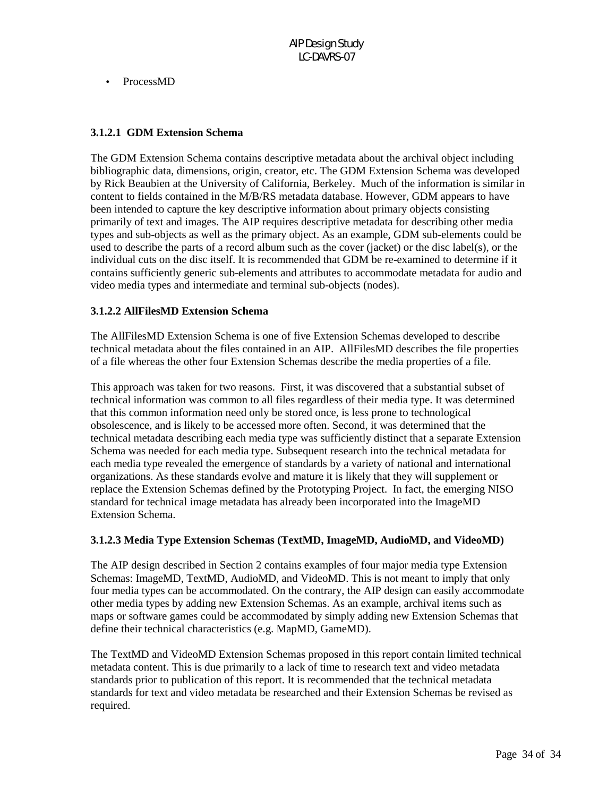• ProcessMD

### **3.1.2.1 GDM Extension Schema**

The GDM Extension Schema contains descriptive metadata about the archival object including bibliographic data, dimensions, origin, creator, etc. The GDM Extension Schema was developed by Rick Beaubien at the University of California, Berkeley. Much of the information is similar in content to fields contained in the M/B/RS metadata database. However, GDM appears to have been intended to capture the key descriptive information about primary objects consisting primarily of text and images. The AIP requires descriptive metadata for describing other media types and sub-objects as well as the primary object. As an example, GDM sub-elements could be used to describe the parts of a record album such as the cover (jacket) or the disc label(s), or the individual cuts on the disc itself. It is recommended that GDM be re-examined to determine if it contains sufficiently generic sub-elements and attributes to accommodate metadata for audio and video media types and intermediate and terminal sub-objects (nodes).

#### **3.1.2.2 AllFilesMD Extension Schema**

The AllFilesMD Extension Schema is one of five Extension Schemas developed to describe technical metadata about the files contained in an AIP. AllFilesMD describes the file properties of a file whereas the other four Extension Schemas describe the media properties of a file.

This approach was taken for two reasons. First, it was discovered that a substantial subset of technical information was common to all files regardless of their media type. It was determined that this common information need only be stored once, is less prone to technological obsolescence, and is likely to be accessed more often. Second, it was determined that the technical metadata describing each media type was sufficiently distinct that a separate Extension Schema was needed for each media type. Subsequent research into the technical metadata for each media type revealed the emergence of standards by a variety of national and international organizations. As these standards evolve and mature it is likely that they will supplement or replace the Extension Schemas defined by the Prototyping Project. In fact, the emerging NISO standard for technical image metadata has already been incorporated into the ImageMD Extension Schema.

#### **3.1.2.3 Media Type Extension Schemas (TextMD, ImageMD, AudioMD, and VideoMD)**

The AIP design described in Section 2 contains examples of four major media type Extension Schemas: ImageMD, TextMD, AudioMD, and VideoMD. This is not meant to imply that only four media types can be accommodated. On the contrary, the AIP design can easily accommodate other media types by adding new Extension Schemas. As an example, archival items such as maps or software games could be accommodated by simply adding new Extension Schemas that define their technical characteristics (e.g. MapMD, GameMD).

The TextMD and VideoMD Extension Schemas proposed in this report contain limited technical metadata content. This is due primarily to a lack of time to research text and video metadata standards prior to publication of this report. It is recommended that the technical metadata standards for text and video metadata be researched and their Extension Schemas be revised as required.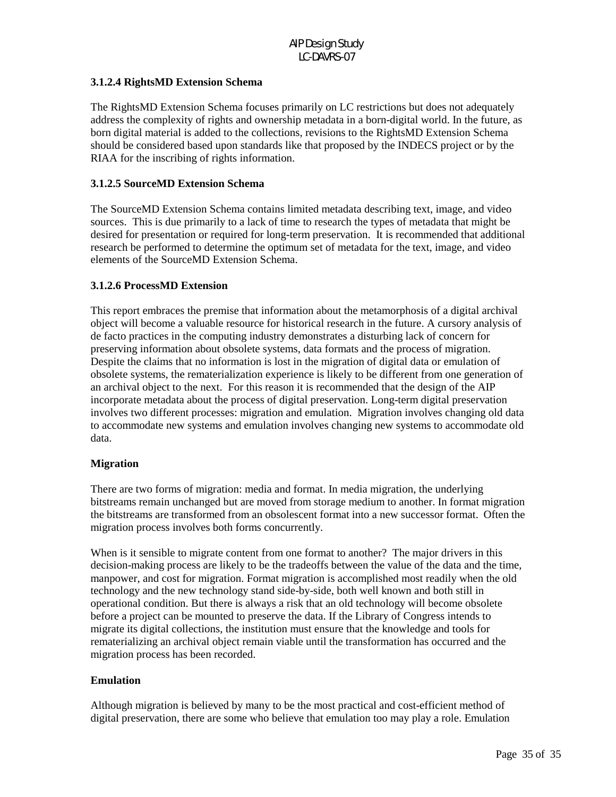### **3.1.2.4 RightsMD Extension Schema**

The RightsMD Extension Schema focuses primarily on LC restrictions but does not adequately address the complexity of rights and ownership metadata in a born-digital world. In the future, as born digital material is added to the collections, revisions to the RightsMD Extension Schema should be considered based upon standards like that proposed by the INDECS project or by the RIAA for the inscribing of rights information.

### **3.1.2.5 SourceMD Extension Schema**

The SourceMD Extension Schema contains limited metadata describing text, image, and video sources. This is due primarily to a lack of time to research the types of metadata that might be desired for presentation or required for long-term preservation. It is recommended that additional research be performed to determine the optimum set of metadata for the text, image, and video elements of the SourceMD Extension Schema.

### **3.1.2.6 ProcessMD Extension**

This report embraces the premise that information about the metamorphosis of a digital archival object will become a valuable resource for historical research in the future. A cursory analysis of de facto practices in the computing industry demonstrates a disturbing lack of concern for preserving information about obsolete systems, data formats and the process of migration. Despite the claims that no information is lost in the migration of digital data or emulation of obsolete systems, the rematerialization experience is likely to be different from one generation of an archival object to the next. For this reason it is recommended that the design of the AIP incorporate metadata about the process of digital preservation. Long-term digital preservation involves two different processes: migration and emulation. Migration involves changing old data to accommodate new systems and emulation involves changing new systems to accommodate old data.

#### **Migration**

There are two forms of migration: media and format. In media migration, the underlying bitstreams remain unchanged but are moved from storage medium to another. In format migration the bitstreams are transformed from an obsolescent format into a new successor format. Often the migration process involves both forms concurrently.

When is it sensible to migrate content from one format to another? The major drivers in this decision-making process are likely to be the tradeoffs between the value of the data and the time, manpower, and cost for migration. Format migration is accomplished most readily when the old technology and the new technology stand side-by-side, both well known and both still in operational condition. But there is always a risk that an old technology will become obsolete before a project can be mounted to preserve the data. If the Library of Congress intends to migrate its digital collections, the institution must ensure that the knowledge and tools for rematerializing an archival object remain viable until the transformation has occurred and the migration process has been recorded.

#### **Emulation**

Although migration is believed by many to be the most practical and cost-efficient method of digital preservation, there are some who believe that emulation too may play a role. Emulation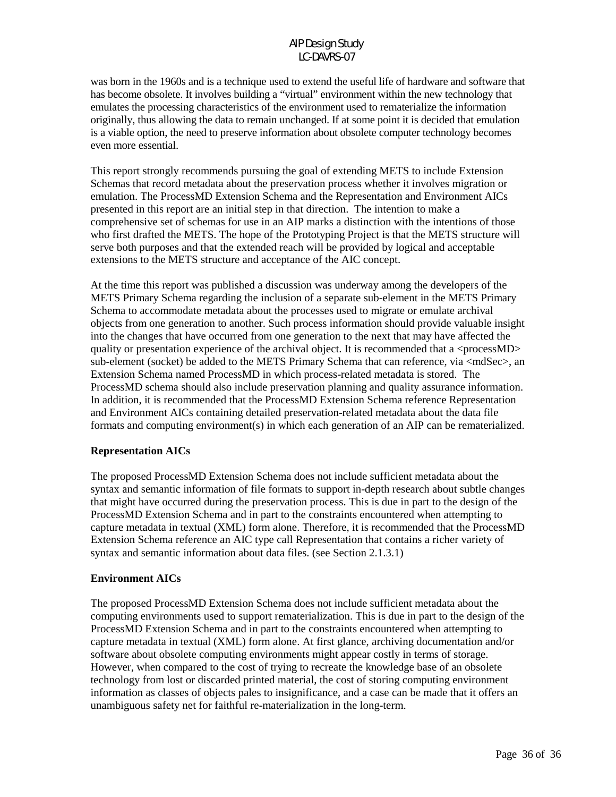was born in the 1960s and is a technique used to extend the useful life of hardware and software that has become obsolete. It involves building a "virtual" environment within the new technology that emulates the processing characteristics of the environment used to rematerialize the information originally, thus allowing the data to remain unchanged. If at some point it is decided that emulation is a viable option, the need to preserve information about obsolete computer technology becomes even more essential.

This report strongly recommends pursuing the goal of extending METS to include Extension Schemas that record metadata about the preservation process whether it involves migration or emulation. The ProcessMD Extension Schema and the Representation and Environment AICs presented in this report are an initial step in that direction. The intention to make a comprehensive set of schemas for use in an AIP marks a distinction with the intentions of those who first drafted the METS. The hope of the Prototyping Project is that the METS structure will serve both purposes and that the extended reach will be provided by logical and acceptable extensions to the METS structure and acceptance of the AIC concept.

At the time this report was published a discussion was underway among the developers of the METS Primary Schema regarding the inclusion of a separate sub-element in the METS Primary Schema to accommodate metadata about the processes used to migrate or emulate archival objects from one generation to another. Such process information should provide valuable insight into the changes that have occurred from one generation to the next that may have affected the quality or presentation experience of the archival object. It is recommended that a  $<$ processMD $>$ sub-element (socket) be added to the METS Primary Schema that can reference, via  $\langle$ mdSec $\rangle$ , an Extension Schema named ProcessMD in which process-related metadata is stored. The ProcessMD schema should also include preservation planning and quality assurance information. In addition, it is recommended that the ProcessMD Extension Schema reference Representation and Environment AICs containing detailed preservation-related metadata about the data file formats and computing environment(s) in which each generation of an AIP can be rematerialized.

#### **Representation AICs**

The proposed ProcessMD Extension Schema does not include sufficient metadata about the syntax and semantic information of file formats to support in-depth research about subtle changes that might have occurred during the preservation process. This is due in part to the design of the ProcessMD Extension Schema and in part to the constraints encountered when attempting to capture metadata in textual (XML) form alone. Therefore, it is recommended that the ProcessMD Extension Schema reference an AIC type call Representation that contains a richer variety of syntax and semantic information about data files. (see Section 2.1.3.1)

#### **Environment AICs**

The proposed ProcessMD Extension Schema does not include sufficient metadata about the computing environments used to support rematerialization. This is due in part to the design of the ProcessMD Extension Schema and in part to the constraints encountered when attempting to capture metadata in textual (XML) form alone. At first glance, archiving documentation and/or software about obsolete computing environments might appear costly in terms of storage. However, when compared to the cost of trying to recreate the knowledge base of an obsolete technology from lost or discarded printed material, the cost of storing computing environment information as classes of objects pales to insignificance, and a case can be made that it offers an unambiguous safety net for faithful re-materialization in the long-term.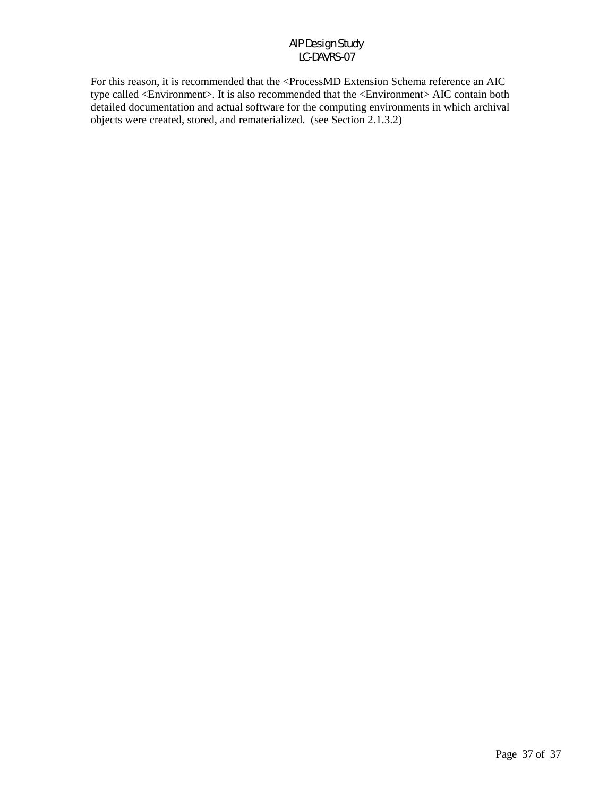For this reason, it is recommended that the <ProcessMD Extension Schema reference an AIC type called <Environment>. It is also recommended that the <Environment> AIC contain both detailed documentation and actual software for the computing environments in which archival objects were created, stored, and rematerialized. (see Section 2.1.3.2)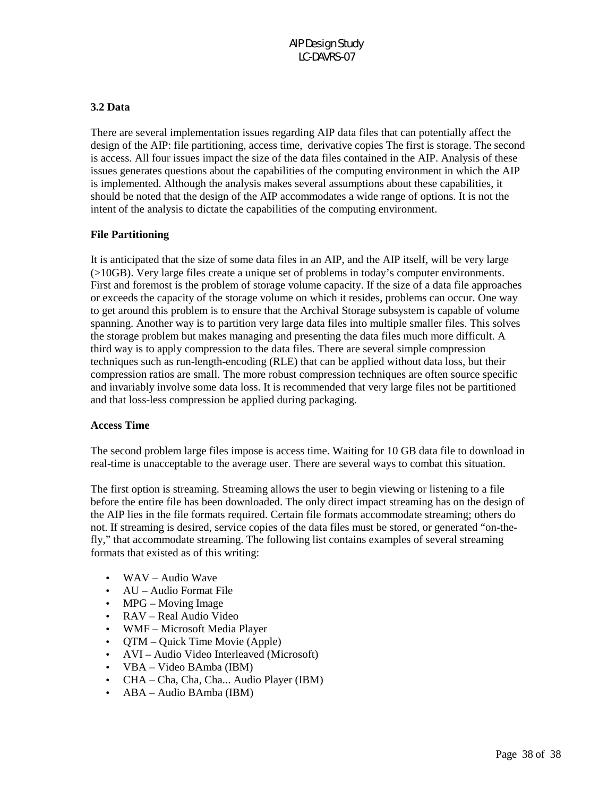### **3.2 Data**

There are several implementation issues regarding AIP data files that can potentially affect the design of the AIP: file partitioning, access time, derivative copies The first is storage. The second is access. All four issues impact the size of the data files contained in the AIP. Analysis of these issues generates questions about the capabilities of the computing environment in which the AIP is implemented. Although the analysis makes several assumptions about these capabilities, it should be noted that the design of the AIP accommodates a wide range of options. It is not the intent of the analysis to dictate the capabilities of the computing environment.

### **File Partitioning**

It is anticipated that the size of some data files in an AIP, and the AIP itself, will be very large (>10GB). Very large files create a unique set of problems in today's computer environments. First and foremost is the problem of storage volume capacity. If the size of a data file approaches or exceeds the capacity of the storage volume on which it resides, problems can occur. One way to get around this problem is to ensure that the Archival Storage subsystem is capable of volume spanning. Another way is to partition very large data files into multiple smaller files. This solves the storage problem but makes managing and presenting the data files much more difficult. A third way is to apply compression to the data files. There are several simple compression techniques such as run-length-encoding (RLE) that can be applied without data loss, but their compression ratios are small. The more robust compression techniques are often source specific and invariably involve some data loss. It is recommended that very large files not be partitioned and that loss-less compression be applied during packaging.

#### **Access Time**

The second problem large files impose is access time. Waiting for 10 GB data file to download in real-time is unacceptable to the average user. There are several ways to combat this situation.

The first option is streaming. Streaming allows the user to begin viewing or listening to a file before the entire file has been downloaded. The only direct impact streaming has on the design of the AIP lies in the file formats required. Certain file formats accommodate streaming; others do not. If streaming is desired, service copies of the data files must be stored, or generated "on-thefly," that accommodate streaming. The following list contains examples of several streaming formats that existed as of this writing:

- WAV Audio Wave
- AU Audio Format File
- MPG Moving Image
- RAV Real Audio Video
- WMF Microsoft Media Player
- QTM Quick Time Movie (Apple)
- AVI Audio Video Interleaved (Microsoft)
- VBA Video BAmba (IBM)
- CHA Cha, Cha, Cha... Audio Player (IBM)
- ABA Audio BAmba (IBM)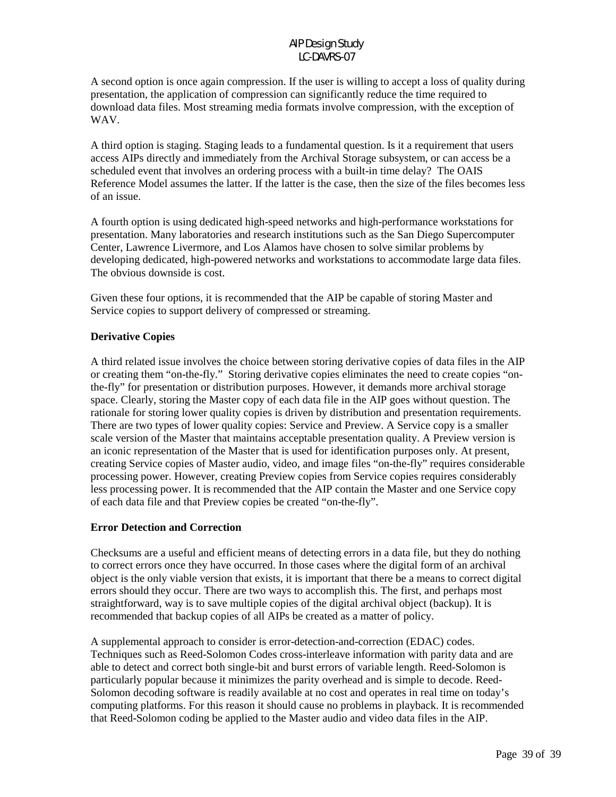A second option is once again compression. If the user is willing to accept a loss of quality during presentation, the application of compression can significantly reduce the time required to download data files. Most streaming media formats involve compression, with the exception of WAV.

A third option is staging. Staging leads to a fundamental question. Is it a requirement that users access AIPs directly and immediately from the Archival Storage subsystem, or can access be a scheduled event that involves an ordering process with a built-in time delay? The OAIS Reference Model assumes the latter. If the latter is the case, then the size of the files becomes less of an issue.

A fourth option is using dedicated high-speed networks and high-performance workstations for presentation. Many laboratories and research institutions such as the San Diego Supercomputer Center, Lawrence Livermore, and Los Alamos have chosen to solve similar problems by developing dedicated, high-powered networks and workstations to accommodate large data files. The obvious downside is cost.

Given these four options, it is recommended that the AIP be capable of storing Master and Service copies to support delivery of compressed or streaming.

### **Derivative Copies**

A third related issue involves the choice between storing derivative copies of data files in the AIP or creating them "on-the-fly." Storing derivative copies eliminates the need to create copies "onthe-fly" for presentation or distribution purposes. However, it demands more archival storage space. Clearly, storing the Master copy of each data file in the AIP goes without question. The rationale for storing lower quality copies is driven by distribution and presentation requirements. There are two types of lower quality copies: Service and Preview. A Service copy is a smaller scale version of the Master that maintains acceptable presentation quality. A Preview version is an iconic representation of the Master that is used for identification purposes only. At present, creating Service copies of Master audio, video, and image files "on-the-fly" requires considerable processing power. However, creating Preview copies from Service copies requires considerably less processing power. It is recommended that the AIP contain the Master and one Service copy of each data file and that Preview copies be created "on-the-fly".

#### **Error Detection and Correction**

Checksums are a useful and efficient means of detecting errors in a data file, but they do nothing to correct errors once they have occurred. In those cases where the digital form of an archival object is the only viable version that exists, it is important that there be a means to correct digital errors should they occur. There are two ways to accomplish this. The first, and perhaps most straightforward, way is to save multiple copies of the digital archival object (backup). It is recommended that backup copies of all AIPs be created as a matter of policy.

A supplemental approach to consider is error-detection-and-correction (EDAC) codes. Techniques such as Reed-Solomon Codes cross-interleave information with parity data and are able to detect and correct both single-bit and burst errors of variable length. Reed-Solomon is particularly popular because it minimizes the parity overhead and is simple to decode. Reed-Solomon decoding software is readily available at no cost and operates in real time on today's computing platforms. For this reason it should cause no problems in playback. It is recommended that Reed-Solomon coding be applied to the Master audio and video data files in the AIP.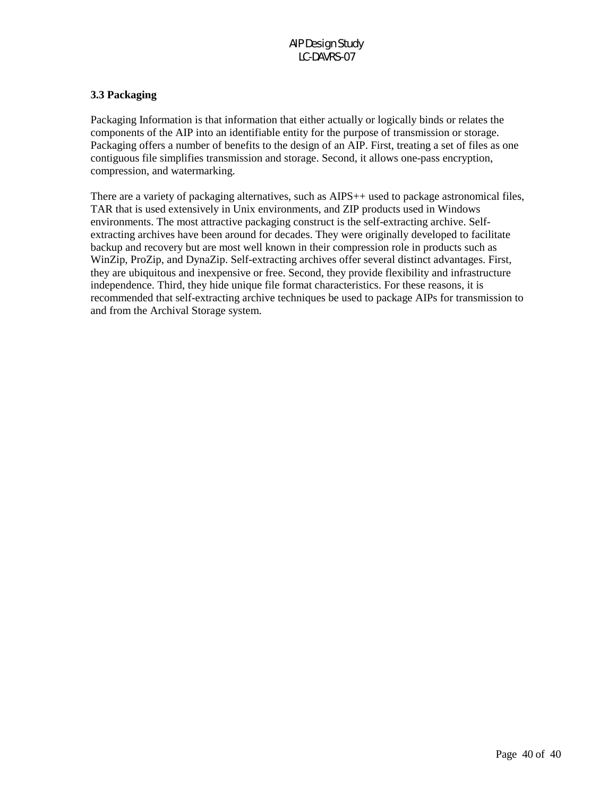# **3.3 Packaging**

Packaging Information is that information that either actually or logically binds or relates the components of the AIP into an identifiable entity for the purpose of transmission or storage. Packaging offers a number of benefits to the design of an AIP. First, treating a set of files as one contiguous file simplifies transmission and storage. Second, it allows one-pass encryption, compression, and watermarking.

There are a variety of packaging alternatives, such as AIPS $++$  used to package astronomical files, TAR that is used extensively in Unix environments, and ZIP products used in Windows environments. The most attractive packaging construct is the self-extracting archive. Selfextracting archives have been around for decades. They were originally developed to facilitate backup and recovery but are most well known in their compression role in products such as WinZip, ProZip, and DynaZip. Self-extracting archives offer several distinct advantages. First, they are ubiquitous and inexpensive or free. Second, they provide flexibility and infrastructure independence. Third, they hide unique file format characteristics. For these reasons, it is recommended that self-extracting archive techniques be used to package AIPs for transmission to and from the Archival Storage system.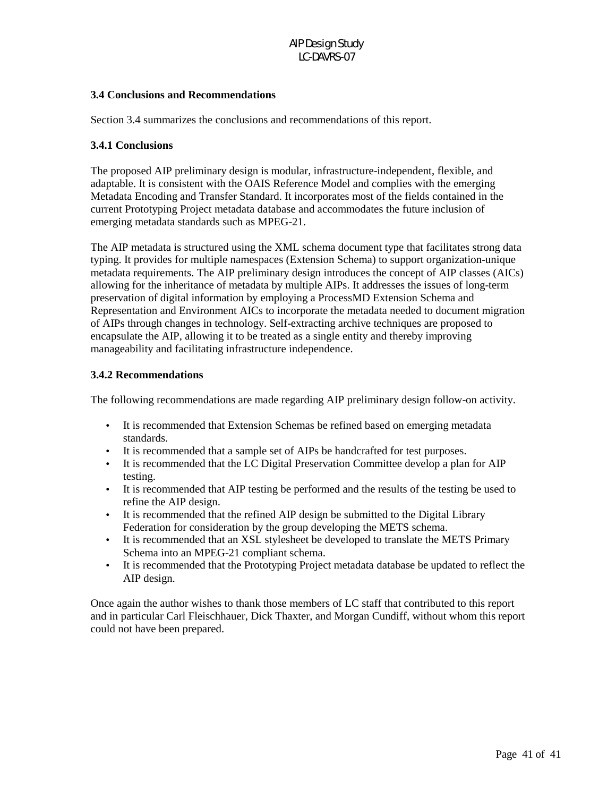# **3.4 Conclusions and Recommendations**

Section 3.4 summarizes the conclusions and recommendations of this report.

#### **3.4.1 Conclusions**

The proposed AIP preliminary design is modular, infrastructure-independent, flexible, and adaptable. It is consistent with the OAIS Reference Model and complies with the emerging Metadata Encoding and Transfer Standard. It incorporates most of the fields contained in the current Prototyping Project metadata database and accommodates the future inclusion of emerging metadata standards such as MPEG-21.

The AIP metadata is structured using the XML schema document type that facilitates strong data typing. It provides for multiple namespaces (Extension Schema) to support organization-unique metadata requirements. The AIP preliminary design introduces the concept of AIP classes (AICs) allowing for the inheritance of metadata by multiple AIPs. It addresses the issues of long-term preservation of digital information by employing a ProcessMD Extension Schema and Representation and Environment AICs to incorporate the metadata needed to document migration of AIPs through changes in technology. Self-extracting archive techniques are proposed to encapsulate the AIP, allowing it to be treated as a single entity and thereby improving manageability and facilitating infrastructure independence.

#### **3.4.2 Recommendations**

The following recommendations are made regarding AIP preliminary design follow-on activity.

- It is recommended that Extension Schemas be refined based on emerging metadata standards.
- It is recommended that a sample set of AIPs be handcrafted for test purposes.
- It is recommended that the LC Digital Preservation Committee develop a plan for AIP testing.
- It is recommended that AIP testing be performed and the results of the testing be used to refine the AIP design.
- It is recommended that the refined AIP design be submitted to the Digital Library Federation for consideration by the group developing the METS schema.
- It is recommended that an XSL stylesheet be developed to translate the METS Primary Schema into an MPEG-21 compliant schema.
- It is recommended that the Prototyping Project metadata database be updated to reflect the AIP design.

Once again the author wishes to thank those members of LC staff that contributed to this report and in particular Carl Fleischhauer, Dick Thaxter, and Morgan Cundiff, without whom this report could not have been prepared.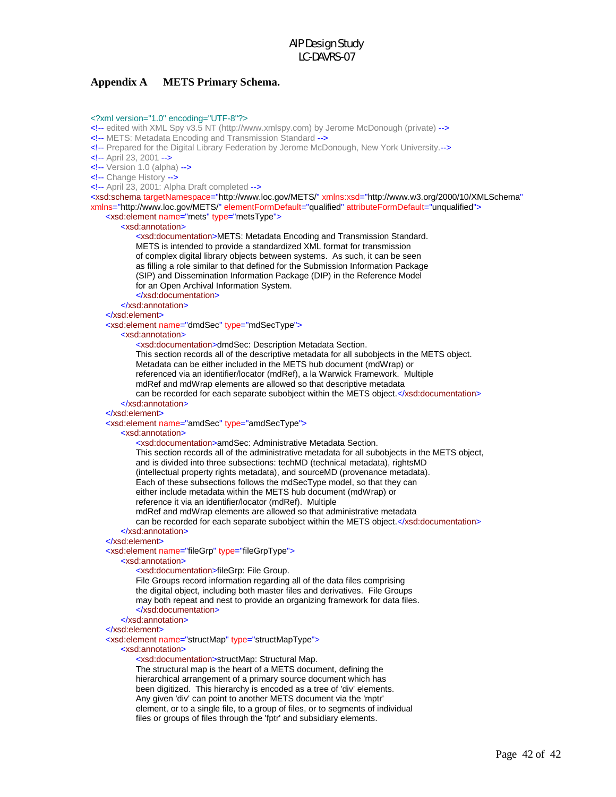#### **Appendix A METS Primary Schema.**

#### <?xml version="1.0" encoding="UTF-8"?>

<!-- edited with XML Spy v3.5 NT (http://www.xmlspy.com) by Jerome McDonough (private) -->

- <!-- METS: Metadata Encoding and Transmission Standard -->
- <!-- Prepared for the Digital Library Federation by Jerome McDonough, New York University.-->
- <!-- April 23, 2001 -->

 $\leftarrow$ ! -- Version 1.0 (alpha) -->

<!-- Change History -->

<!-- April 23, 2001: Alpha Draft completed -->

<xsd:schema targetNamespace="http://www.loc.gov/METS/" xmlns:xsd="http://www.w3.org/2000/10/XMLSchema" xmlns="http://www.loc.gov/METS/" elementFormDefault="qualified" attributeFormDefault="unqualified">

#### <xsd:element name="mets" type="metsType">

#### <xsd:annotation>

 <xsd:documentation>METS: Metadata Encoding and Transmission Standard. METS is intended to provide a standardized XML format for transmission of complex digital library objects between systems. As such, it can be seen as filling a role similar to that defined for the Submission Information Package (SIP) and Dissemination Information Package (DIP) in the Reference Model for an Open Archival Information System.

</xsd:documentation>

</xsd:annotation>

#### </xsd:element>

<xsd:element name="dmdSec" type="mdSecType">

#### <xsd:annotation>

<xsd:documentation>dmdSec: Description Metadata Section.

This section records all of the descriptive metadata for all subobjects in the METS object.

Metadata can be either included in the METS hub document (mdWrap) or

referenced via an identifier/locator (mdRef), a la Warwick Framework. Multiple

mdRef and mdWrap elements are allowed so that descriptive metadata

can be recorded for each separate subobject within the METS object.</xsd:documentation> </xsd:annotation>

#### </xsd:element>

<xsd:element name="amdSec" type="amdSecType">

#### <xsd:annotation>

<xsd:documentation>amdSec: Administrative Metadata Section.

This section records all of the administrative metadata for all subobjects in the METS object,

and is divided into three subsections: techMD (technical metadata), rightsMD

(intellectual property rights metadata), and sourceMD (provenance metadata).

Each of these subsections follows the mdSecType model, so that they can

either include metadata within the METS hub document (mdWrap) or

reference it via an identifier/locator (mdRef). Multiple

mdRef and mdWrap elements are allowed so that administrative metadata

can be recorded for each separate subobject within the METS object.</xsd:documentation> </xsd:annotation>

#### </xsd:element>

#### <xsd:element name="fileGrp" type="fileGrpType">

<xsd:annotation>

<xsd:documentation>fileGrp: File Group.

File Groups record information regarding all of the data files comprising

the digital object, including both master files and derivatives. File Groups

may both repeat and nest to provide an organizing framework for data files.

#### </xsd:documentation>

</xsd:annotation>

#### </xsd:element>

<xsd:element name="structMap" type="structMapType">

#### <xsd:annotation>

<xsd:documentation>structMap: Structural Map.

 The structural map is the heart of a METS document, defining the hierarchical arrangement of a primary source document which has been digitized. This hierarchy is encoded as a tree of 'div' elements. Any given 'div' can point to another METS document via the 'mptr' element, or to a single file, to a group of files, or to segments of individual files or groups of files through the 'fptr' and subsidiary elements.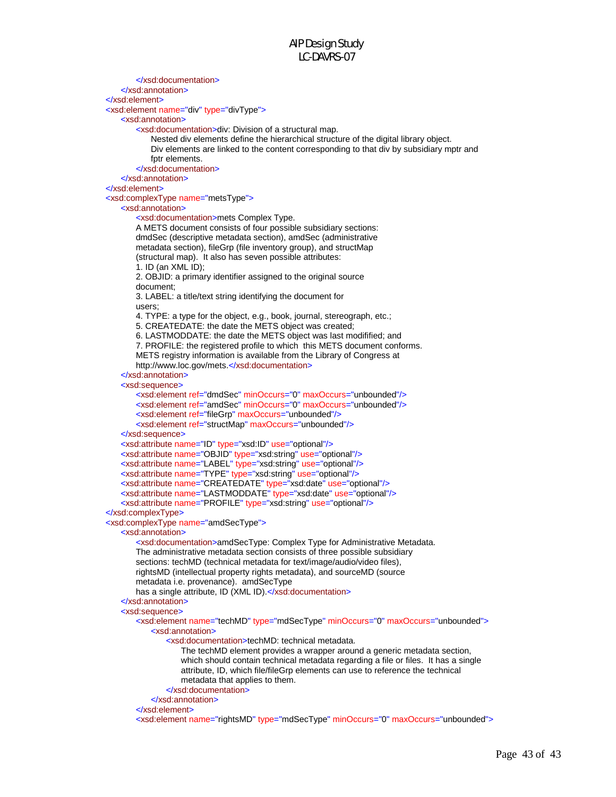</xsd:documentation> </xsd:annotation> </xsd:element> <xsd:element name="div" type="divType"> <xsd:annotation> <xsd:documentation>div: Division of a structural map. Nested div elements define the hierarchical structure of the digital library object. Div elements are linked to the content corresponding to that div by subsidiary mptr and fptr elements. </xsd:documentation> </xsd:annotation> </xsd:element> <xsd:complexType name="metsType"> <xsd:annotation> <xsd:documentation>mets Complex Type. A METS document consists of four possible subsidiary sections: dmdSec (descriptive metadata section), amdSec (administrative metadata section), fileGrp (file inventory group), and structMap (structural map). It also has seven possible attributes: 1. ID (an XML ID); 2. OBJID: a primary identifier assigned to the original source document; 3. LABEL: a title/text string identifying the document for users; 4. TYPE: a type for the object, e.g., book, journal, stereograph, etc.; 5. CREATEDATE: the date the METS object was created; 6. LASTMODDATE: the date the METS object was last modifified; and 7. PROFILE: the registered profile to which this METS document conforms. METS registry information is available from the Library of Congress at http://www.loc.gov/mets.</xsd:documentation> </xsd:annotation> <xsd:sequence> <xsd:element ref="dmdSec" minOccurs="0" maxOccurs="unbounded"/> <xsd:element ref="amdSec" minOccurs="0" maxOccurs="unbounded"/> <xsd:element ref="fileGrp" maxOccurs="unbounded"/> <xsd:element ref="structMap" maxOccurs="unbounded"/> </xsd:sequence> <xsd:attribute name="ID" type="xsd:ID" use="optional"/> <xsd:attribute name="OBJID" type="xsd:string" use="optional"/> <xsd:attribute name="LABEL" type="xsd:string" use="optional"/> <xsd:attribute name="TYPE" type="xsd:string" use="optional"/> <xsd:attribute name="CREATEDATE" type="xsd:date" use="optional"/> <xsd:attribute name="LASTMODDATE" type="xsd:date" use="optional"/> <xsd:attribute name="PROFILE" type="xsd:string" use="optional"/> </xsd:complexType> <xsd:complexType name="amdSecType"> <xsd:annotation> <xsd:documentation>amdSecType: Complex Type for Administrative Metadata. The administrative metadata section consists of three possible subsidiary sections: techMD (technical metadata for text/image/audio/video files), rightsMD (intellectual property rights metadata), and sourceMD (source metadata i.e. provenance). amdSecType has a single attribute, ID (XML ID).</xsd:documentation> </xsd:annotation> <xsd:sequence> <xsd:element name="techMD" type="mdSecType" minOccurs="0" maxOccurs="unbounded"> <xsd:annotation> <xsd:documentation>techMD: technical metadata. The techMD element provides a wrapper around a generic metadata section, which should contain technical metadata regarding a file or files. It has a single attribute, ID, which file/fileGrp elements can use to reference the technical metadata that applies to them. </xsd:documentation> </xsd:annotation> </xsd:element> <xsd:element name="rightsMD" type="mdSecType" minOccurs="0" maxOccurs="unbounded">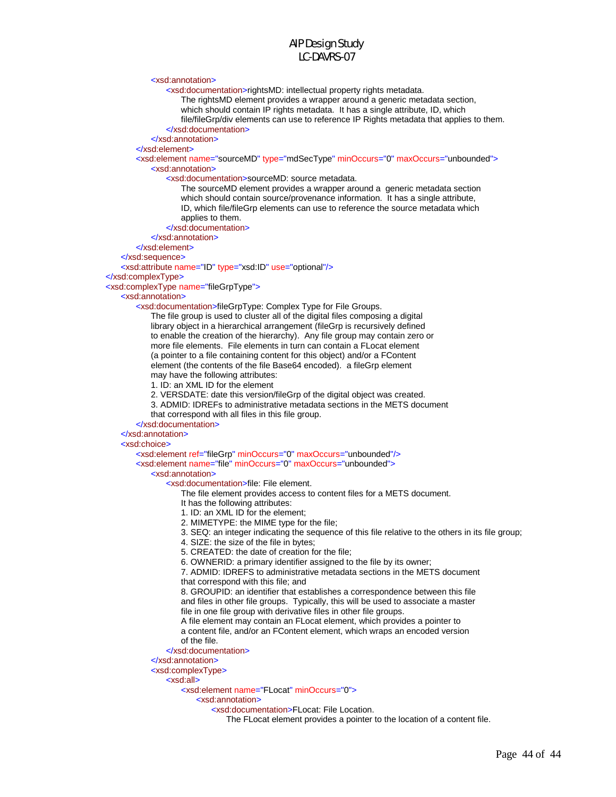<xsd:annotation>

<xsd:documentation>rightsMD: intellectual property rights metadata.

The rightsMD element provides a wrapper around a generic metadata section,

which should contain IP rights metadata. It has a single attribute, ID, which

file/fileGrp/div elements can use to reference IP Rights metadata that applies to them.

</xsd:documentation>

</xsd:annotation>

#### </xsd:element>

 <xsd:element name="sourceMD" type="mdSecType" minOccurs="0" maxOccurs="unbounded"> <xsd:annotation>

<xsd:documentation>sourceMD: source metadata.

 The sourceMD element provides a wrapper around a generic metadata section which should contain source/provenance information. It has a single attribute, ID, which file/fileGrp elements can use to reference the source metadata which applies to them.

</xsd:documentation>

</xsd:annotation>

</xsd:element>

</xsd:sequence>

<xsd:attribute name="ID" type="xsd:ID" use="optional"/>

</xsd:complexType>

<xsd:complexType name="fileGrpType">

#### <xsd:annotation>

<xsd:documentation>fileGrpType: Complex Type for File Groups.

 The file group is used to cluster all of the digital files composing a digital library object in a hierarchical arrangement (fileGrp is recursively defined to enable the creation of the hierarchy). Any file group may contain zero or more file elements. File elements in turn can contain a FLocat element (a pointer to a file containing content for this object) and/or a FContent element (the contents of the file Base64 encoded). a fileGrp element may have the following attributes:

1. ID: an XML ID for the element

2. VERSDATE: date this version/fileGrp of the digital object was created.

3. ADMID: IDREFs to administrative metadata sections in the METS document

that correspond with all files in this file group.

</xsd:documentation>

</xsd:annotation>

#### <xsd:choice>

<xsd:element ref="fileGrp" minOccurs="0" maxOccurs="unbounded"/>

<xsd:element name="file" minOccurs="0" maxOccurs="unbounded">

#### <xsd:annotation>

<xsd:documentation>file: File element.

The file element provides access to content files for a METS document.

It has the following attributes:

1. ID: an XML ID for the element;

2. MIMETYPE: the MIME type for the file;

3. SEQ: an integer indicating the sequence of this file relative to the others in its file group;

4. SIZE: the size of the file in bytes;

5. CREATED: the date of creation for the file;

6. OWNERID: a primary identifier assigned to the file by its owner;

 7. ADMID: IDREFS to administrative metadata sections in the METS document that correspond with this file; and

 8. GROUPID: an identifier that establishes a correspondence between this file and files in other file groups. Typically, this will be used to associate a master file in one file group with derivative files in other file groups.

A file element may contain an FLocat element, which provides a pointer to

 a content file, and/or an FContent element, which wraps an encoded version of the file.

</xsd:documentation>

</xsd:annotation>

<xsd:complexType>

#### <xsd:all>

<xsd:element name="FLocat" minOccurs="0">

<xsd:annotation>

<xsd:documentation>FLocat: File Location.

The FLocat element provides a pointer to the location of a content file.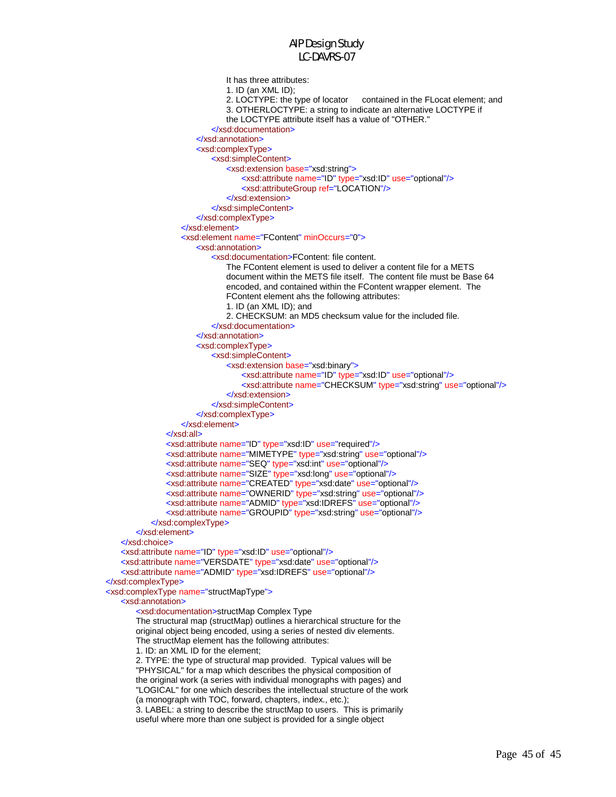```
 It has three attributes: 
                                1. ID (an XML ID); 
                               2. LOCTYPE: the type of locator contained in the FLocat element; and
                                3. OTHERLOCTYPE: a string to indicate an alternative LOCTYPE if 
                                the LOCTYPE attribute itself has a value of "OTHER." 
                            </xsd:documentation>
                        </xsd:annotation>
                       <xsd:complexType>
                            <xsd:simpleContent>
                                <xsd:extension base="xsd:string">
                                    <xsd:attribute name="ID" type="xsd:ID" use="optional"/>
                                    <xsd:attributeGroup ref="LOCATION"/>
                                </xsd:extension>
                            </xsd:simpleContent>
                        </xsd:complexType>
                    </xsd:element>
                    <xsd:element name="FContent" minOccurs="0">
                        <xsd:annotation>
                            <xsd:documentation>FContent: file content. 
                                The FContent element is used to deliver a content file for a METS 
                                document within the METS file itself. The content file must be Base 64 
                                encoded, and contained within the FContent wrapper element. The 
                                FContent element ahs the following attributes: 
                                1. ID (an XML ID); and 
                                2. CHECKSUM: an MD5 checksum value for the included file. 
                            </xsd:documentation>
                        </xsd:annotation>
                       <xsd:complexType>
                            <xsd:simpleContent>
                                <xsd:extension base="xsd:binary">
                                    <xsd:attribute name="ID" type="xsd:ID" use="optional"/>
                                    <xsd:attribute name="CHECKSUM" type="xsd:string" use="optional"/>
                                </xsd:extension>
                            </xsd:simpleContent>
                        </xsd:complexType>
                    </xsd:element>
                </xsd:all>
                <xsd:attribute name="ID" type="xsd:ID" use="required"/>
                <xsd:attribute name="MIMETYPE" type="xsd:string" use="optional"/>
                <xsd:attribute name="SEQ" type="xsd:int" use="optional"/>
                <xsd:attribute name="SIZE" type="xsd:long" use="optional"/>
                <xsd:attribute name="CREATED" type="xsd:date" use="optional"/>
               <xsd:attribute name="OWNERID" type="xsd:string" use="optional"/>
                <xsd:attribute name="ADMID" type="xsd:IDREFS" use="optional"/>
                <xsd:attribute name="GROUPID" type="xsd:string" use="optional"/>
            </xsd:complexType>
        </xsd:element>
    </xsd:choice>
    <xsd:attribute name="ID" type="xsd:ID" use="optional"/>
    <xsd:attribute name="VERSDATE" type="xsd:date" use="optional"/>
    <xsd:attribute name="ADMID" type="xsd:IDREFS" use="optional"/>
</xsd:complexType>
<xsd:complexType name="structMapType">
    <xsd:annotation>
        <xsd:documentation>structMap Complex Type 
        The structural map (structMap) outlines a hierarchical structure for the 
        original object being encoded, using a series of nested div elements. 
        The structMap element has the following attributes: 
        1. ID: an XML ID for the element; 
        2. TYPE: the type of structural map provided. Typical values will be 
        "PHYSICAL" for a map which describes the physical composition of 
        the original work (a series with individual monographs with pages) and 
        "LOGICAL" for one which describes the intellectual structure of the work 
        (a monograph with TOC, forward, chapters, index., etc.); 
        3. LABEL: a string to describe the structMap to users. This is primarily 
        useful where more than one subject is provided for a single object
```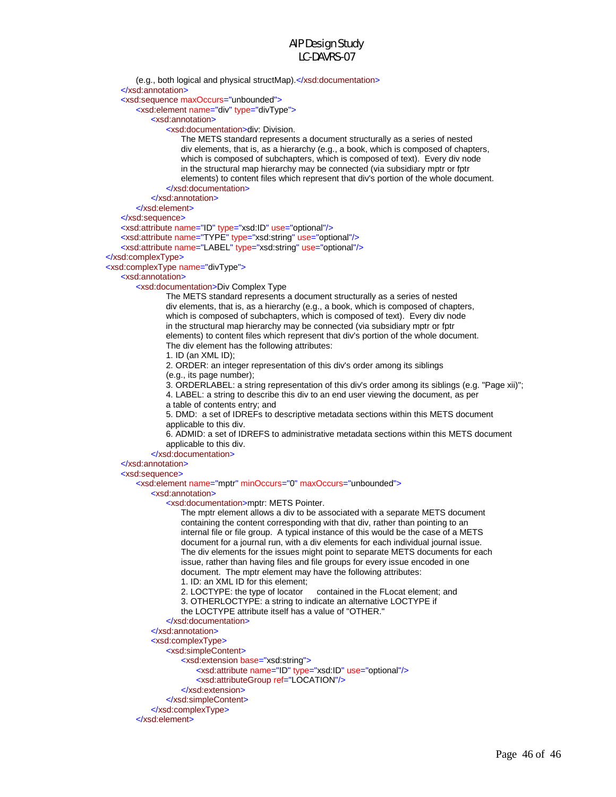(e.g., both logical and physical structMap).</xsd:documentation> </xsd:annotation> <xsd:sequence maxOccurs="unbounded"> <xsd:element name="div" type="divType"> <xsd:annotation> <xsd:documentation>div: Division. The METS standard represents a document structurally as a series of nested div elements, that is, as a hierarchy (e.g., a book, which is composed of chapters, which is composed of subchapters, which is composed of text). Every div node in the structural map hierarchy may be connected (via subsidiary mptr or fptr elements) to content files which represent that div's portion of the whole document. </xsd:documentation> </xsd:annotation> </xsd:element> </xsd:sequence> <xsd:attribute name="ID" type="xsd:ID" use="optional"/> <xsd:attribute name="TYPE" type="xsd:string" use="optional"/> <xsd:attribute name="LABEL" type="xsd:string" use="optional"/> </xsd:complexType> <xsd:complexType name="divType"> <xsd:annotation> <xsd:documentation>Div Complex Type The METS standard represents a document structurally as a series of nested div elements, that is, as a hierarchy (e.g., a book, which is composed of chapters, which is composed of subchapters, which is composed of text). Every div node in the structural map hierarchy may be connected (via subsidiary mptr or fptr elements) to content files which represent that div's portion of the whole document. The div element has the following attributes: 1. ID (an XML ID); 2. ORDER: an integer representation of this div's order among its siblings (e.g., its page number); 3. ORDERLABEL: a string representation of this div's order among its siblings (e.g. "Page xii)"; 4. LABEL: a string to describe this div to an end user viewing the document, as per a table of contents entry; and 5. DMD: a set of IDREFs to descriptive metadata sections within this METS document applicable to this div. 6. ADMID: a set of IDREFS to administrative metadata sections within this METS document applicable to this div. </xsd:documentation> </xsd:annotation> <xsd:sequence> <xsd:element name="mptr" minOccurs="0" maxOccurs="unbounded"> <xsd:annotation> <xsd:documentation>mptr: METS Pointer. The mptr element allows a div to be associated with a separate METS document containing the content corresponding with that div, rather than pointing to an internal file or file group. A typical instance of this would be the case of a METS document for a journal run, with a div elements for each individual journal issue. The div elements for the issues might point to separate METS documents for each issue, rather than having files and file groups for every issue encoded in one document. The mptr element may have the following attributes: 1. ID: an XML ID for this element; 2. LOCTYPE: the type of locator contained in the FLocat element; and 3. OTHERLOCTYPE: a string to indicate an alternative LOCTYPE if the LOCTYPE attribute itself has a value of "OTHER." </xsd:documentation> </xsd:annotation> <xsd:complexType> <xsd:simpleContent> <xsd:extension base="xsd:string"> <xsd:attribute name="ID" type="xsd:ID" use="optional"/> <xsd:attributeGroup ref="LOCATION"/> </xsd:extension> </xsd:simpleContent> </xsd:complexType> </xsd:element>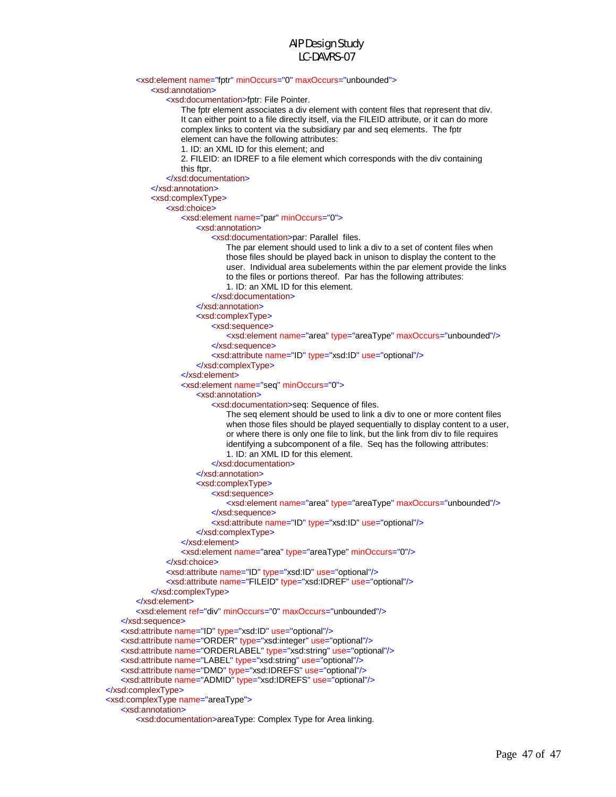#### <xsd:element name="fptr" minOccurs="0" maxOccurs="unbounded">

<xsd:annotation>

<xsd:documentation>fptr: File Pointer.

 The fptr element associates a div element with content files that represent that div. It can either point to a file directly itself, via the FILEID attribute, or it can do more complex links to content via the subsidiary par and seq elements. The fptr element can have the following attributes:

1. ID: an XML ID for this element; and

 2. FILEID: an IDREF to a file element which corresponds with the div containing this ftpr.

</xsd:documentation>

</xsd:annotation>

<xsd:complexType>

#### <xsd:choice>

<xsd:element name="par" minOccurs="0">

<xsd:annotation>

<xsd:documentation>par: Parallel files.

 The par element should used to link a div to a set of content files when those files should be played back in unison to display the content to the user. Individual area subelements within the par element provide the links to the files or portions thereof. Par has the following attributes: 1. ID: an XML ID for this element.

</xsd:documentation>

</xsd:annotation>

<xsd:complexType>

<xsd:sequence>

<xsd:element name="area" type="areaType" maxOccurs="unbounded"/>

</xsd:sequence>

<xsd:attribute name="ID" type="xsd:ID" use="optional"/>

</xsd:complexType>

```
 </xsd:element>
```
<xsd:element name="seq" minOccurs="0">

<xsd:annotation>

<xsd:documentation>seq: Sequence of files.

 The seq element should be used to link a div to one or more content files when those files should be played sequentially to display content to a user, or where there is only one file to link, but the link from div to file requires identifying a subcomponent of a file. Seq has the following attributes: 1. ID: an XML ID for this element.

```
 </xsd:documentation>
```
</xsd:annotation>

<xsd:complexType>

<xsd:sequence>

 <xsd:element name="area" type="areaType" maxOccurs="unbounded"/> </xsd:sequence>

<xsd:attribute name="ID" type="xsd:ID" use="optional"/>

```
 </xsd:complexType>
```
</xsd:element>

 <xsd:element name="area" type="areaType" minOccurs="0"/> </xsd:choice>

 <xsd:attribute name="ID" type="xsd:ID" use="optional"/> <xsd:attribute name="FILEID" type="xsd:IDREF" use="optional"/>

```
 </xsd:complexType>
```

```
 </xsd:element>
```
<xsd:element ref="div" minOccurs="0" maxOccurs="unbounded"/>

```
 </xsd:sequence>
```
<xsd:attribute name="ID" type="xsd:ID" use="optional"/>

<xsd:attribute name="ORDER" type="xsd:integer" use="optional"/>

<xsd:attribute name="ORDERLABEL" type="xsd:string" use="optional"/>

```
 <xsd:attribute name="LABEL" type="xsd:string" use="optional"/>
```

```
 <xsd:attribute name="DMD" type="xsd:IDREFS" use="optional"/>
```

```
 <xsd:attribute name="ADMID" type="xsd:IDREFS" use="optional"/>
```

```
</xsd:complexType>
```
<xsd:complexType name="areaType">

```
 <xsd:annotation>
```

```
 <xsd:documentation>areaType: Complex Type for Area linking.
```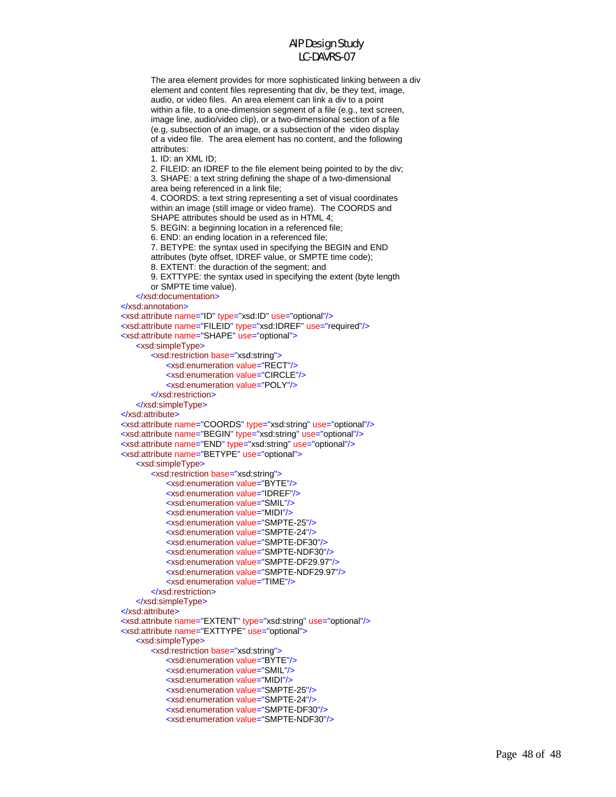The area element provides for more sophisticated linking between a div element and content files representing that div, be they text, image, audio, or video files. An area element can link a div to a point within a file, to a one-dimension segment of a file (e.g., text screen, image line, audio/video clip), or a two-dimensional section of a file (e.g, subsection of an image, or a subsection of the video display of a video file. The area element has no content, and the following attributes:

1. ID: an XML ID;

 2. FILEID: an IDREF to the file element being pointed to by the div; 3. SHAPE: a text string defining the shape of a two-dimensional area being referenced in a link file;

 4. COORDS: a text string representing a set of visual coordinates within an image (still image or video frame). The COORDS and SHAPE attributes should be used as in HTML 4; 5. BEGIN: a beginning location in a referenced file;

6. END: an ending location in a referenced file;

 7. BETYPE: the syntax used in specifying the BEGIN and END attributes (byte offset, IDREF value, or SMPTE time code);

8. EXTENT: the duraction of the segment; and

 9. EXTTYPE: the syntax used in specifying the extent (byte length or SMPTE time value).

</xsd:documentation>

</xsd:annotation>

<xsd:attribute name="ID" type="xsd:ID" use="optional"/>

 <xsd:attribute name="FILEID" type="xsd:IDREF" use="required"/> <xsd:attribute name="SHAPE" use="optional">

<xsd:simpleType>

 <xsd:restriction base="xsd:string"> <xsd:enumeration value="RECT"/> <xsd:enumeration value="CIRCLE"/> <xsd:enumeration value="POLY"/> </xsd:restriction>

</xsd:simpleType>

</xsd:attribute>

 <xsd:attribute name="COORDS" type="xsd:string" use="optional"/> <xsd:attribute name="BEGIN" type="xsd:string" use="optional"/> <xsd:attribute name="END" type="xsd:string" use="optional"/>

<xsd:attribute name="BETYPE" use="optional">

<xsd:simpleType>

```
 <xsd:restriction base="xsd:string">
            <xsd:enumeration value="BYTE"/>
            <xsd:enumeration value="IDREF"/>
            <xsd:enumeration value="SMIL"/>
            <xsd:enumeration value="MIDI"/>
            <xsd:enumeration value="SMPTE-25"/>
            <xsd:enumeration value="SMPTE-24"/>
            <xsd:enumeration value="SMPTE-DF30"/>
            <xsd:enumeration value="SMPTE-NDF30"/>
            <xsd:enumeration value="SMPTE-DF29.97"/>
            <xsd:enumeration value="SMPTE-NDF29.97"/>
            <xsd:enumeration value="TIME"/>
        </xsd:restriction>
    </xsd:simpleType>
 </xsd:attribute>
 <xsd:attribute name="EXTENT" type="xsd:string" use="optional"/>
 <xsd:attribute name="EXTTYPE" use="optional">
    <xsd:simpleType>
        <xsd:restriction base="xsd:string">
            <xsd:enumeration value="BYTE"/>
            <xsd:enumeration value="SMIL"/>
            <xsd:enumeration value="MIDI"/>
            <xsd:enumeration value="SMPTE-25"/>
```
 <xsd:enumeration value="SMPTE-24"/> <xsd:enumeration value="SMPTE-DF30"/>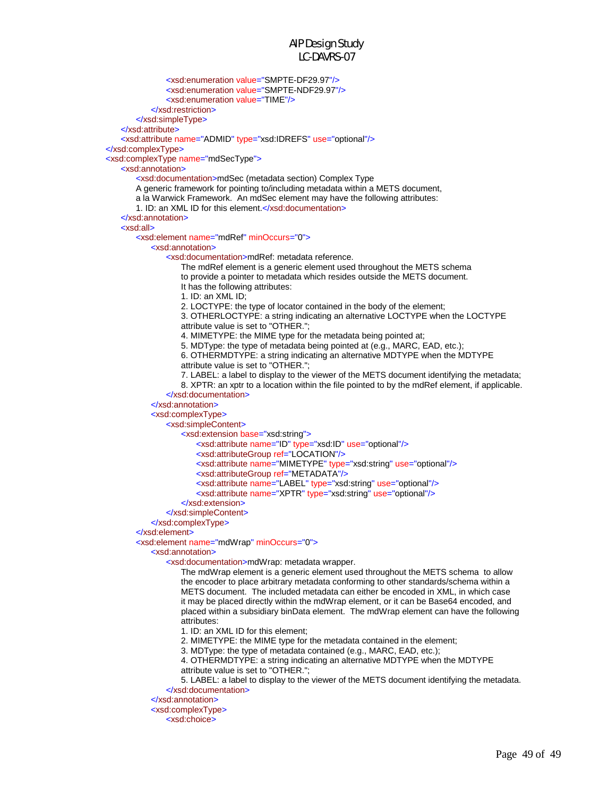<xsd:enumeration value="SMPTE-DF29.97"/> <xsd:enumeration value="SMPTE-NDF29.97"/> <xsd:enumeration value="TIME"/> </xsd:restriction> </xsd:simpleType> </xsd:attribute> <xsd:attribute name="ADMID" type="xsd:IDREFS" use="optional"/> </xsd:complexType> <xsd:complexType name="mdSecType"> <xsd:annotation> <xsd:documentation>mdSec (metadata section) Complex Type A generic framework for pointing to/including metadata within a METS document, a la Warwick Framework. An mdSec element may have the following attributes: 1. ID: an XML ID for this element.</xsd:documentation> </xsd:annotation> <xsd:all> <xsd:element name="mdRef" minOccurs="0"> <xsd:annotation> <xsd:documentation>mdRef: metadata reference. The mdRef element is a generic element used throughout the METS schema to provide a pointer to metadata which resides outside the METS document. It has the following attributes: 1. ID: an XML ID; 2. LOCTYPE: the type of locator contained in the body of the element; 3. OTHERLOCTYPE: a string indicating an alternative LOCTYPE when the LOCTYPE attribute value is set to "OTHER."; 4. MIMETYPE: the MIME type for the metadata being pointed at; 5. MDType: the type of metadata being pointed at (e.g., MARC, EAD, etc.); 6. OTHERMDTYPE: a string indicating an alternative MDTYPE when the MDTYPE attribute value is set to "OTHER."; 7. LABEL: a label to display to the viewer of the METS document identifying the metadata; 8. XPTR: an xptr to a location within the file pointed to by the mdRef element, if applicable. </xsd:documentation> </xsd:annotation> <xsd:complexType> <xsd:simpleContent> <xsd:extension base="xsd:string"> <xsd:attribute name="ID" type="xsd:ID" use="optional"/> <xsd:attributeGroup ref="LOCATION"/> <xsd:attribute name="MIMETYPE" type="xsd:string" use="optional"/> <xsd:attributeGroup ref="METADATA"/> <xsd:attribute name="LABEL" type="xsd:string" use="optional"/> <xsd:attribute name="XPTR" type="xsd:string" use="optional"/> </xsd:extension> </xsd:simpleContent> </xsd:complexType> </xsd:element> <xsd:element name="mdWrap" minOccurs="0"> <xsd:annotation> <xsd:documentation>mdWrap: metadata wrapper. The mdWrap element is a generic element used throughout the METS schema to allow the encoder to place arbitrary metadata conforming to other standards/schema within a METS document. The included metadata can either be encoded in XML, in which case it may be placed directly within the mdWrap element, or it can be Base64 encoded, and placed within a subsidiary binData element. The mdWrap element can have the following attributes: 1. ID: an XML ID for this element; 2. MIMETYPE: the MIME type for the metadata contained in the element; 3. MDType: the type of metadata contained (e.g., MARC, EAD, etc.); 4. OTHERMDTYPE: a string indicating an alternative MDTYPE when the MDTYPE attribute value is set to "OTHER."; 5. LABEL: a label to display to the viewer of the METS document identifying the metadata. </xsd:documentation> </xsd:annotation> <xsd:complexType> <xsd:choice>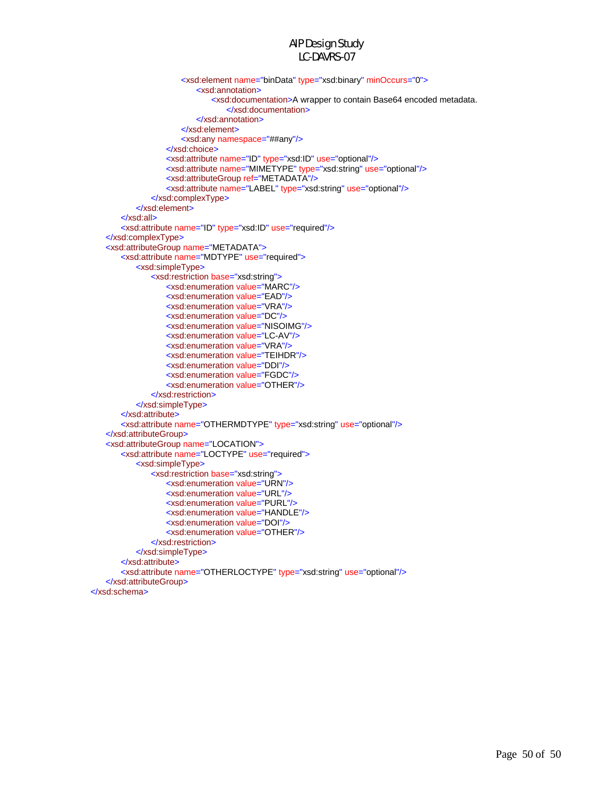```
 <xsd:element name="binData" type="xsd:binary" minOccurs="0">
                           <xsd:annotation>
                               <xsd:documentation>A wrapper to contain Base64 encoded metadata. 
                                   </xsd:documentation>
                           </xsd:annotation>
                       </xsd:element>
                       <xsd:any namespace="##any"/>
                    </xsd:choice>
                   <xsd:attribute name="ID" type="xsd:ID" use="optional"/>
                   <xsd:attribute name="MIMETYPE" type="xsd:string" use="optional"/>
                   <xsd:attributeGroup ref="METADATA"/>
                   <xsd:attribute name="LABEL" type="xsd:string" use="optional"/>
                </xsd:complexType>
            </xsd:element>
        </xsd:all>
        <xsd:attribute name="ID" type="xsd:ID" use="required"/>
   </xsd:complexType>
   <xsd:attributeGroup name="METADATA">
        <xsd:attribute name="MDTYPE" use="required">
            <xsd:simpleType>
               <xsd:restriction base="xsd:string">
                   <xsd:enumeration value="MARC"/>
                   <xsd:enumeration value="EAD"/>
                   <xsd:enumeration value="VRA"/>
                   <xsd:enumeration value="DC"/>
                   <xsd:enumeration value="NISOIMG"/>
                   <xsd:enumeration value="LC-AV"/>
                   <xsd:enumeration value="VRA"/>
                   <xsd:enumeration value="TEIHDR"/>
                   <xsd:enumeration value="DDI"/>
                   <xsd:enumeration value="FGDC"/>
                   <xsd:enumeration value="OTHER"/>
                </xsd:restriction>
            </xsd:simpleType>
        </xsd:attribute>
        <xsd:attribute name="OTHERMDTYPE" type="xsd:string" use="optional"/>
   </xsd:attributeGroup>
   <xsd:attributeGroup name="LOCATION">
        <xsd:attribute name="LOCTYPE" use="required">
            <xsd:simpleType>
               <xsd:restriction base="xsd:string">
                   <xsd:enumeration value="URN"/>
                   <xsd:enumeration value="URL"/>
                   <xsd:enumeration value="PURL"/>
                   <xsd:enumeration value="HANDLE"/>
                   <xsd:enumeration value="DOI"/>
                   <xsd:enumeration value="OTHER"/>
                </xsd:restriction>
            </xsd:simpleType>
        </xsd:attribute>
        <xsd:attribute name="OTHERLOCTYPE" type="xsd:string" use="optional"/>
   </xsd:attributeGroup>
</xsd:schema>
```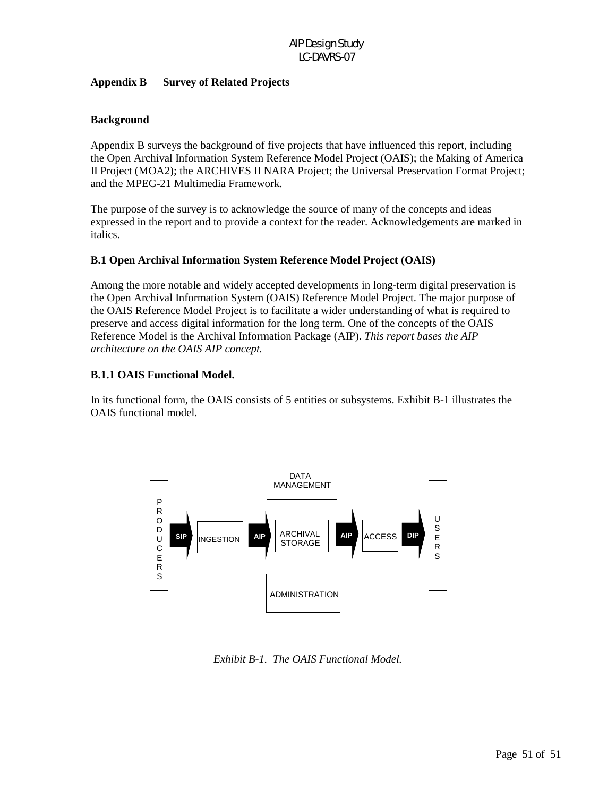#### **Appendix B Survey of Related Projects**

# **Background**

Appendix B surveys the background of five projects that have influenced this report, including the Open Archival Information System Reference Model Project (OAIS); the Making of America II Project (MOA2); the ARCHIVES II NARA Project; the Universal Preservation Format Project; and the MPEG-21 Multimedia Framework.

The purpose of the survey is to acknowledge the source of many of the concepts and ideas expressed in the report and to provide a context for the reader. Acknowledgements are marked in italics.

### **B.1 Open Archival Information System Reference Model Project (OAIS)**

Among the more notable and widely accepted developments in long-term digital preservation is the Open Archival Information System (OAIS) Reference Model Project. The major purpose of the OAIS Reference Model Project is to facilitate a wider understanding of what is required to preserve and access digital information for the long term. One of the concepts of the OAIS Reference Model is the Archival Information Package (AIP). *This report bases the AIP architecture on the OAIS AIP concept.*

### **B.1.1 OAIS Functional Model.**

In its functional form, the OAIS consists of 5 entities or subsystems. Exhibit B-1 illustrates the OAIS functional model.



*Exhibit B-1. The OAIS Functional Model.*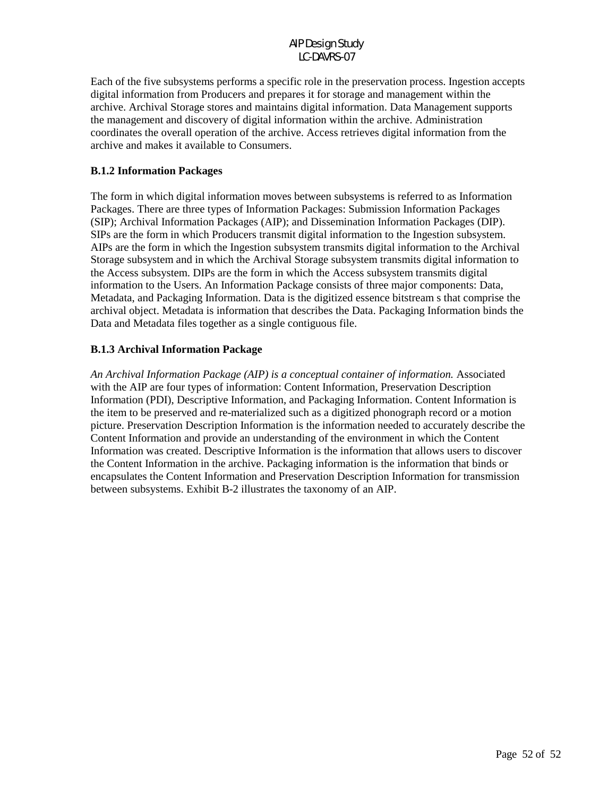Each of the five subsystems performs a specific role in the preservation process. Ingestion accepts digital information from Producers and prepares it for storage and management within the archive. Archival Storage stores and maintains digital information. Data Management supports the management and discovery of digital information within the archive. Administration coordinates the overall operation of the archive. Access retrieves digital information from the archive and makes it available to Consumers.

#### **B.1.2 Information Packages**

The form in which digital information moves between subsystems is referred to as Information Packages. There are three types of Information Packages: Submission Information Packages (SIP); Archival Information Packages (AIP); and Dissemination Information Packages (DIP). SIPs are the form in which Producers transmit digital information to the Ingestion subsystem. AIPs are the form in which the Ingestion subsystem transmits digital information to the Archival Storage subsystem and in which the Archival Storage subsystem transmits digital information to the Access subsystem. DIPs are the form in which the Access subsystem transmits digital information to the Users. An Information Package consists of three major components: Data, Metadata, and Packaging Information. Data is the digitized essence bitstream s that comprise the archival object. Metadata is information that describes the Data. Packaging Information binds the Data and Metadata files together as a single contiguous file.

# **B.1.3 Archival Information Package**

*An Archival Information Package (AIP) is a conceptual container of information.* Associated with the AIP are four types of information: Content Information, Preservation Description Information (PDI), Descriptive Information, and Packaging Information. Content Information is the item to be preserved and re-materialized such as a digitized phonograph record or a motion picture. Preservation Description Information is the information needed to accurately describe the Content Information and provide an understanding of the environment in which the Content Information was created. Descriptive Information is the information that allows users to discover the Content Information in the archive. Packaging information is the information that binds or encapsulates the Content Information and Preservation Description Information for transmission between subsystems. Exhibit B-2 illustrates the taxonomy of an AIP.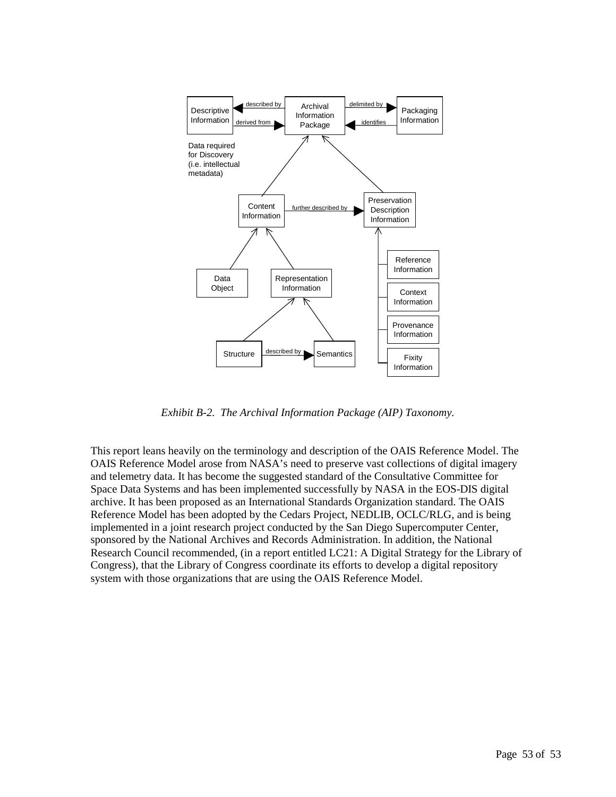

*Exhibit B-2. The Archival Information Package (AIP) Taxonomy.* 

This report leans heavily on the terminology and description of the OAIS Reference Model. The OAIS Reference Model arose from NASA's need to preserve vast collections of digital imagery and telemetry data. It has become the suggested standard of the Consultative Committee for Space Data Systems and has been implemented successfully by NASA in the EOS-DIS digital archive. It has been proposed as an International Standards Organization standard. The OAIS Reference Model has been adopted by the Cedars Project, NEDLIB, OCLC/RLG, and is being implemented in a joint research project conducted by the San Diego Supercomputer Center, sponsored by the National Archives and Records Administration. In addition, the National Research Council recommended, (in a report entitled LC21: A Digital Strategy for the Library of Congress), that the Library of Congress coordinate its efforts to develop a digital repository system with those organizations that are using the OAIS Reference Model.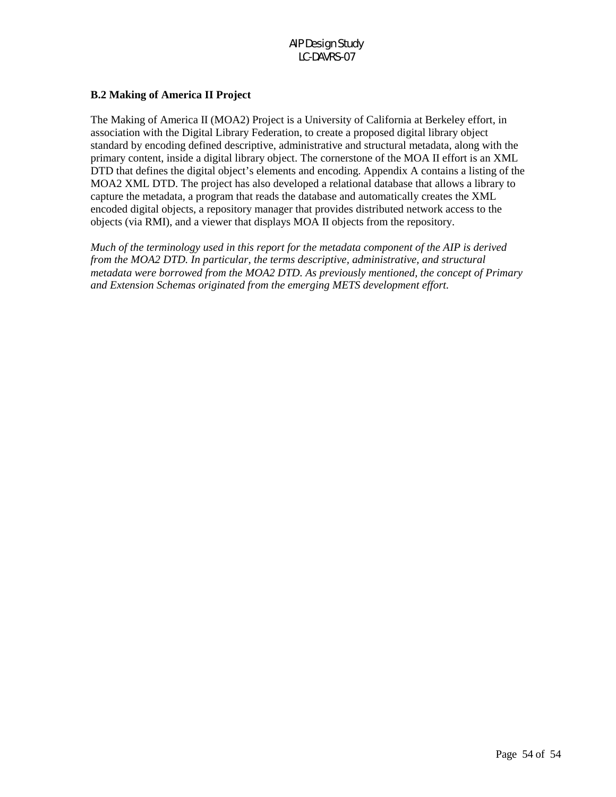# **B.2 Making of America II Project**

The Making of America II (MOA2) Project is a University of California at Berkeley effort, in association with the Digital Library Federation, to create a proposed digital library object standard by encoding defined descriptive, administrative and structural metadata, along with the primary content, inside a digital library object. The cornerstone of the MOA II effort is an XML DTD that defines the digital object's elements and encoding. Appendix A contains a listing of the MOA2 XML DTD. The project has also developed a relational database that allows a library to capture the metadata, a program that reads the database and automatically creates the XML encoded digital objects, a repository manager that provides distributed network access to the objects (via RMI), and a viewer that displays MOA II objects from the repository.

*Much of the terminology used in this report for the metadata component of the AIP is derived from the MOA2 DTD. In particular, the terms descriptive, administrative, and structural metadata were borrowed from the MOA2 DTD. As previously mentioned, the concept of Primary and Extension Schemas originated from the emerging METS development effort.*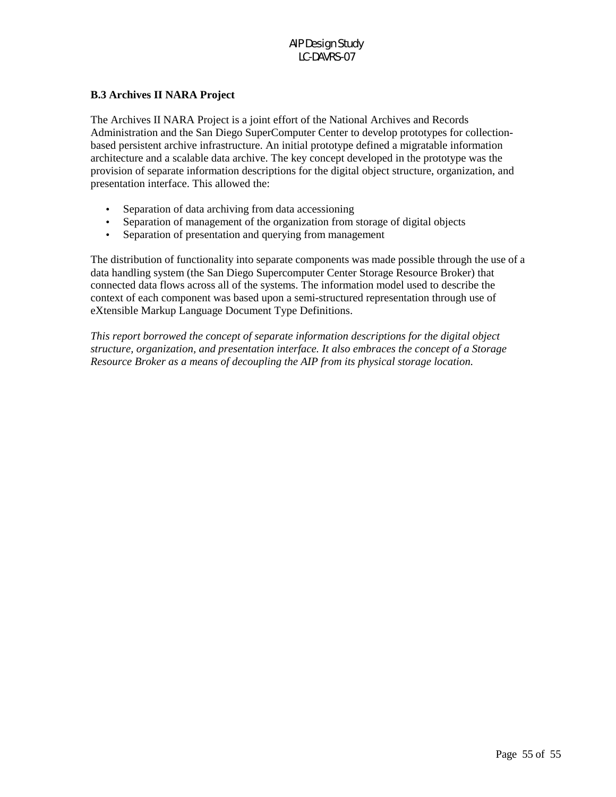# **B.3 Archives II NARA Project**

The Archives II NARA Project is a joint effort of the National Archives and Records Administration and the San Diego SuperComputer Center to develop prototypes for collectionbased persistent archive infrastructure. An initial prototype defined a migratable information architecture and a scalable data archive. The key concept developed in the prototype was the provision of separate information descriptions for the digital object structure, organization, and presentation interface. This allowed the:

- Separation of data archiving from data accessioning
- Separation of management of the organization from storage of digital objects
- Separation of presentation and querying from management

The distribution of functionality into separate components was made possible through the use of a data handling system (the San Diego Supercomputer Center Storage Resource Broker) that connected data flows across all of the systems. The information model used to describe the context of each component was based upon a semi-structured representation through use of eXtensible Markup Language Document Type Definitions.

*This report borrowed the concept of separate information descriptions for the digital object structure, organization, and presentation interface. It also embraces the concept of a Storage Resource Broker as a means of decoupling the AIP from its physical storage location.*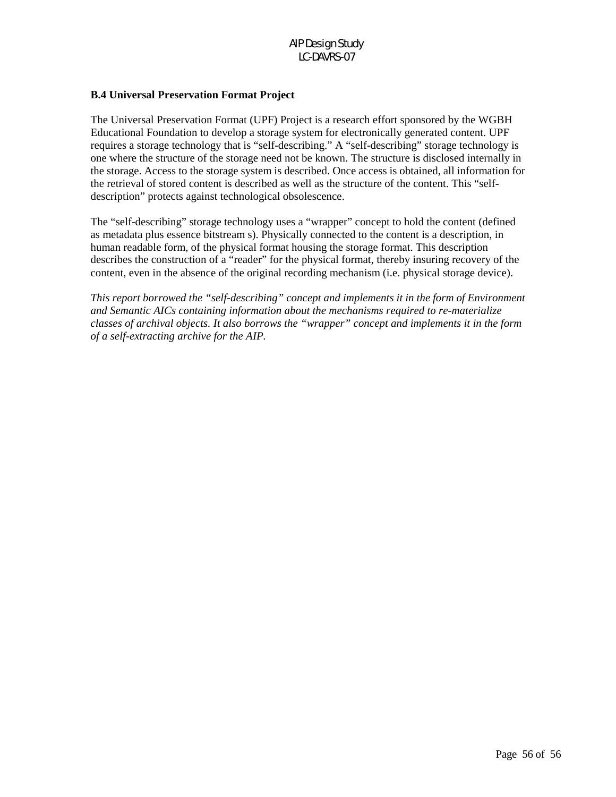# **B.4 Universal Preservation Format Project**

The Universal Preservation Format (UPF) Project is a research effort sponsored by the WGBH Educational Foundation to develop a storage system for electronically generated content. UPF requires a storage technology that is "self-describing." A "self-describing" storage technology is one where the structure of the storage need not be known. The structure is disclosed internally in the storage. Access to the storage system is described. Once access is obtained, all information for the retrieval of stored content is described as well as the structure of the content. This "selfdescription" protects against technological obsolescence.

The "self-describing" storage technology uses a "wrapper" concept to hold the content (defined as metadata plus essence bitstream s). Physically connected to the content is a description, in human readable form, of the physical format housing the storage format. This description describes the construction of a "reader" for the physical format, thereby insuring recovery of the content, even in the absence of the original recording mechanism (i.e. physical storage device).

*This report borrowed the "self-describing" concept and implements it in the form of Environment and Semantic AICs containing information about the mechanisms required to re-materialize classes of archival objects. It also borrows the "wrapper" concept and implements it in the form of a self-extracting archive for the AIP.*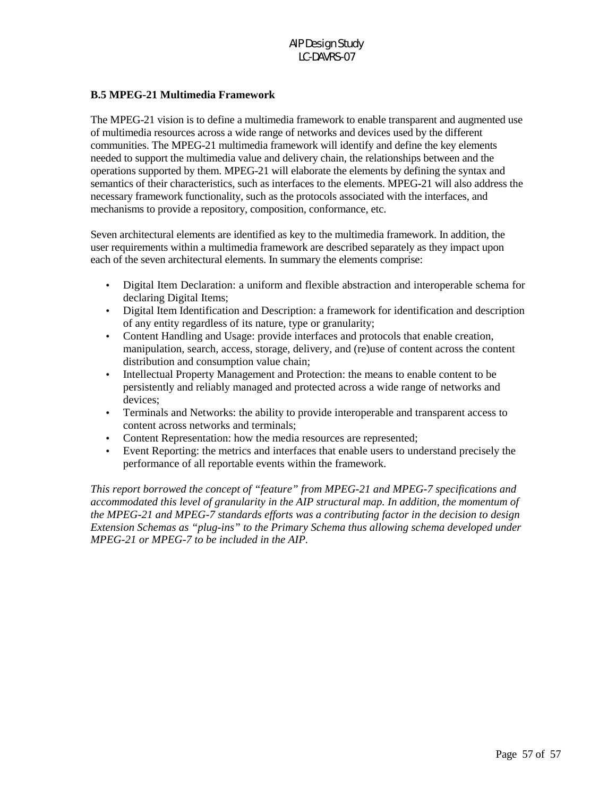# **B.5 MPEG-21 Multimedia Framework**

The MPEG-21 vision is to define a multimedia framework to enable transparent and augmented use of multimedia resources across a wide range of networks and devices used by the different communities. The MPEG-21 multimedia framework will identify and define the key elements needed to support the multimedia value and delivery chain, the relationships between and the operations supported by them. MPEG-21 will elaborate the elements by defining the syntax and semantics of their characteristics, such as interfaces to the elements. MPEG-21 will also address the necessary framework functionality, such as the protocols associated with the interfaces, and mechanisms to provide a repository, composition, conformance, etc.

Seven architectural elements are identified as key to the multimedia framework. In addition, the user requirements within a multimedia framework are described separately as they impact upon each of the seven architectural elements. In summary the elements comprise:

- Digital Item Declaration: a uniform and flexible abstraction and interoperable schema for declaring Digital Items;
- Digital Item Identification and Description: a framework for identification and description of any entity regardless of its nature, type or granularity;
- Content Handling and Usage: provide interfaces and protocols that enable creation, manipulation, search, access, storage, delivery, and (re)use of content across the content distribution and consumption value chain;
- Intellectual Property Management and Protection: the means to enable content to be persistently and reliably managed and protected across a wide range of networks and devices;
- Terminals and Networks: the ability to provide interoperable and transparent access to content across networks and terminals;
- Content Representation: how the media resources are represented;
- Event Reporting: the metrics and interfaces that enable users to understand precisely the performance of all reportable events within the framework.

*This report borrowed the concept of "feature" from MPEG-21 and MPEG-7 specifications and accommodated this level of granularity in the AIP structural map. In addition, the momentum of the MPEG-21 and MPEG-7 standards efforts was a contributing factor in the decision to design Extension Schemas as "plug-ins" to the Primary Schema thus allowing schema developed under MPEG-21 or MPEG-7 to be included in the AIP.*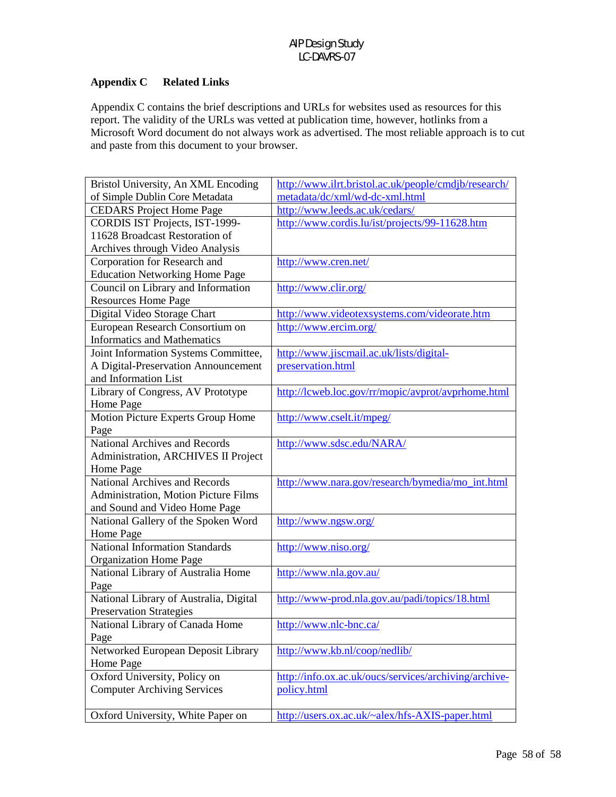#### **Appendix C Related Links**

Appendix C contains the brief descriptions and URLs for websites used as resources for this report. The validity of the URLs was vetted at publication time, however, hotlinks from a Microsoft Word document do not always work as advertised. The most reliable approach is to cut and paste from this document to your browser.

| Bristol University, An XML Encoding    | http://www.ilrt.bristol.ac.uk/people/cmdjb/research/  |
|----------------------------------------|-------------------------------------------------------|
| of Simple Dublin Core Metadata         | metadata/dc/xml/wd-dc-xml.html                        |
| <b>CEDARS</b> Project Home Page        | http://www.leeds.ac.uk/cedars/                        |
| CORDIS IST Projects, IST-1999-         | http://www.cordis.lu/ist/projects/99-11628.htm        |
| 11628 Broadcast Restoration of         |                                                       |
| Archives through Video Analysis        |                                                       |
| Corporation for Research and           | http://www.cren.net/                                  |
| <b>Education Networking Home Page</b>  |                                                       |
| Council on Library and Information     | http://www.clir.org/                                  |
| <b>Resources Home Page</b>             |                                                       |
| Digital Video Storage Chart            | http://www.videotexsystems.com/videorate.htm          |
| European Research Consortium on        | http://www.ercim.org/                                 |
| <b>Informatics and Mathematics</b>     |                                                       |
| Joint Information Systems Committee,   | http://www.jiscmail.ac.uk/lists/digital-              |
| A Digital-Preservation Announcement    | preservation.html                                     |
| and Information List                   |                                                       |
| Library of Congress, AV Prototype      | http://lcweb.loc.gov/rr/mopic/avprot/avprhome.html    |
| Home Page                              |                                                       |
| Motion Picture Experts Group Home      | http://www.cselt.it/mpeg/                             |
| Page                                   |                                                       |
| <b>National Archives and Records</b>   | http://www.sdsc.edu/NARA/                             |
| Administration, ARCHIVES II Project    |                                                       |
| Home Page                              |                                                       |
| <b>National Archives and Records</b>   | http://www.nara.gov/research/bymedia/mo_int.html      |
| Administration, Motion Picture Films   |                                                       |
| and Sound and Video Home Page          |                                                       |
| National Gallery of the Spoken Word    | http://www.ngsw.org/                                  |
| Home Page                              |                                                       |
| <b>National Information Standards</b>  | http://www.niso.org/                                  |
| <b>Organization Home Page</b>          |                                                       |
| National Library of Australia Home     | http://www.nla.gov.au/                                |
| Page                                   |                                                       |
| National Library of Australia, Digital | http://www-prod.nla.gov.au/padi/topics/18.html        |
| <b>Preservation Strategies</b>         |                                                       |
| National Library of Canada Home        | http://www.nlc-bnc.ca/                                |
| Page                                   |                                                       |
| Networked European Deposit Library     | http://www.kb.nl/coop/nedlib/                         |
| Home Page                              |                                                       |
| Oxford University, Policy on           | http://info.ox.ac.uk/oucs/services/archiving/archive- |
| <b>Computer Archiving Services</b>     | policy.html                                           |
|                                        |                                                       |
| Oxford University, White Paper on      | http://users.ox.ac.uk/~alex/hfs-AXIS-paper.html       |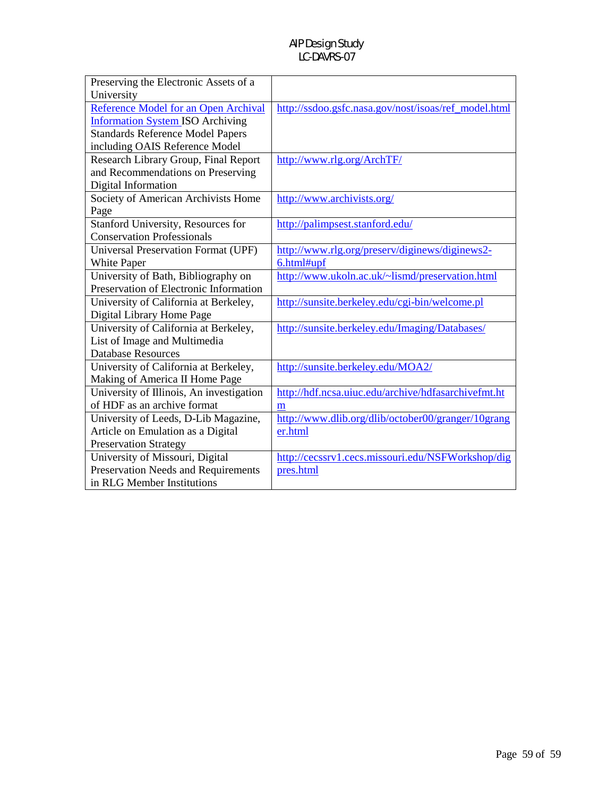| Preserving the Electronic Assets of a      |                                                      |
|--------------------------------------------|------------------------------------------------------|
| University                                 |                                                      |
| Reference Model for an Open Archival       | http://ssdoo.gsfc.nasa.gov/nost/isoas/ref_model.html |
| <b>Information System ISO Archiving</b>    |                                                      |
| <b>Standards Reference Model Papers</b>    |                                                      |
| including OAIS Reference Model             |                                                      |
| Research Library Group, Final Report       | http://www.rlg.org/ArchTF/                           |
| and Recommendations on Preserving          |                                                      |
| Digital Information                        |                                                      |
| Society of American Archivists Home        | http://www.archivists.org/                           |
| Page                                       |                                                      |
| Stanford University, Resources for         | http://palimpsest.stanford.edu/                      |
| <b>Conservation Professionals</b>          |                                                      |
| <b>Universal Preservation Format (UPF)</b> | http://www.rlg.org/preserv/diginews/diginews2-       |
| <b>White Paper</b>                         | 6.html#upf                                           |
| University of Bath, Bibliography on        | http://www.ukoln.ac.uk/~lismd/preservation.html      |
| Preservation of Electronic Information     |                                                      |
| University of California at Berkeley,      | http://sunsite.berkeley.edu/cgi-bin/welcome.pl       |
| Digital Library Home Page                  |                                                      |
| University of California at Berkeley,      | http://sunsite.berkeley.edu/Imaging/Databases/       |
| List of Image and Multimedia               |                                                      |
| <b>Database Resources</b>                  |                                                      |
| University of California at Berkeley,      | http://sunsite.berkeley.edu/MOA2/                    |
| Making of America II Home Page             |                                                      |
| University of Illinois, An investigation   | http://hdf.ncsa.uiuc.edu/archive/hdfasarchivefmt.ht  |
| of HDF as an archive format                | m                                                    |
| University of Leeds, D-Lib Magazine,       | http://www.dlib.org/dlib/october00/granger/10grang   |
| Article on Emulation as a Digital          | er.html                                              |
| <b>Preservation Strategy</b>               |                                                      |
| University of Missouri, Digital            | http://cecssrv1.cecs.missouri.edu/NSFWorkshop/dig    |
| Preservation Needs and Requirements        | pres.html                                            |
| in RLG Member Institutions                 |                                                      |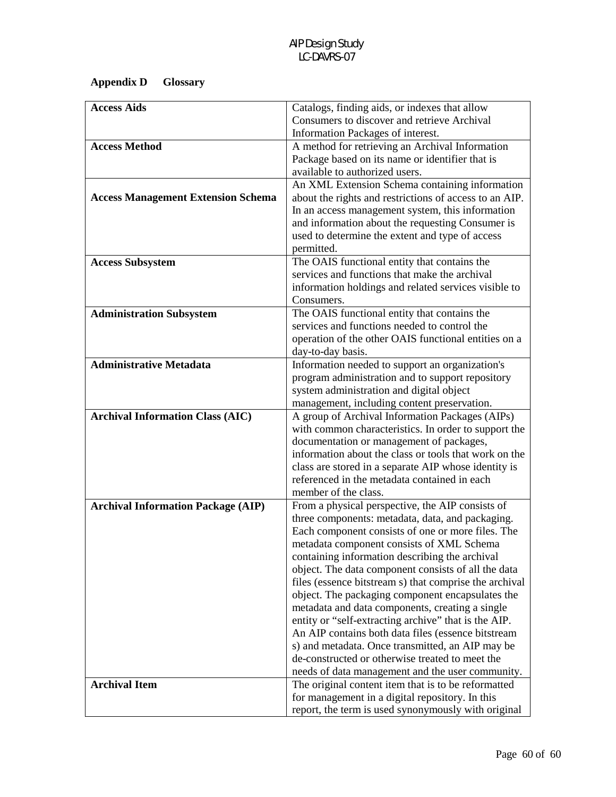# **Appendix D Glossary**

| <b>Access Aids</b>                        | Catalogs, finding aids, or indexes that allow          |
|-------------------------------------------|--------------------------------------------------------|
|                                           | Consumers to discover and retrieve Archival            |
|                                           | Information Packages of interest.                      |
| <b>Access Method</b>                      | A method for retrieving an Archival Information        |
|                                           | Package based on its name or identifier that is        |
|                                           | available to authorized users.                         |
|                                           | An XML Extension Schema containing information         |
| <b>Access Management Extension Schema</b> | about the rights and restrictions of access to an AIP. |
|                                           | In an access management system, this information       |
|                                           | and information about the requesting Consumer is       |
|                                           | used to determine the extent and type of access        |
|                                           | permitted.                                             |
| <b>Access Subsystem</b>                   | The OAIS functional entity that contains the           |
|                                           | services and functions that make the archival          |
|                                           | information holdings and related services visible to   |
|                                           | Consumers.                                             |
| <b>Administration Subsystem</b>           | The OAIS functional entity that contains the           |
|                                           | services and functions needed to control the           |
|                                           | operation of the other OAIS functional entities on a   |
|                                           | day-to-day basis.                                      |
| <b>Administrative Metadata</b>            | Information needed to support an organization's        |
|                                           | program administration and to support repository       |
|                                           | system administration and digital object               |
|                                           | management, including content preservation.            |
| <b>Archival Information Class (AIC)</b>   | A group of Archival Information Packages (AIPs)        |
|                                           | with common characteristics. In order to support the   |
|                                           | documentation or management of packages,               |
|                                           | information about the class or tools that work on the  |
|                                           | class are stored in a separate AIP whose identity is   |
|                                           | referenced in the metadata contained in each           |
|                                           | member of the class.                                   |
| <b>Archival Information Package (AIP)</b> | From a physical perspective, the AIP consists of       |
|                                           | three components: metadata, data, and packaging.       |
|                                           | Each component consists of one or more files. The      |
|                                           | metadata component consists of XML Schema              |
|                                           | containing information describing the archival         |
|                                           | object. The data component consists of all the data    |
|                                           | files (essence bitstream s) that comprise the archival |
|                                           | object. The packaging component encapsulates the       |
|                                           | metadata and data components, creating a single        |
|                                           | entity or "self-extracting archive" that is the AIP.   |
|                                           | An AIP contains both data files (essence bitstream     |
|                                           | s) and metadata. Once transmitted, an AIP may be       |
|                                           | de-constructed or otherwise treated to meet the        |
|                                           | needs of data management and the user community.       |
| <b>Archival Item</b>                      | The original content item that is to be reformatted    |
|                                           | for management in a digital repository. In this        |
|                                           | report, the term is used synonymously with original    |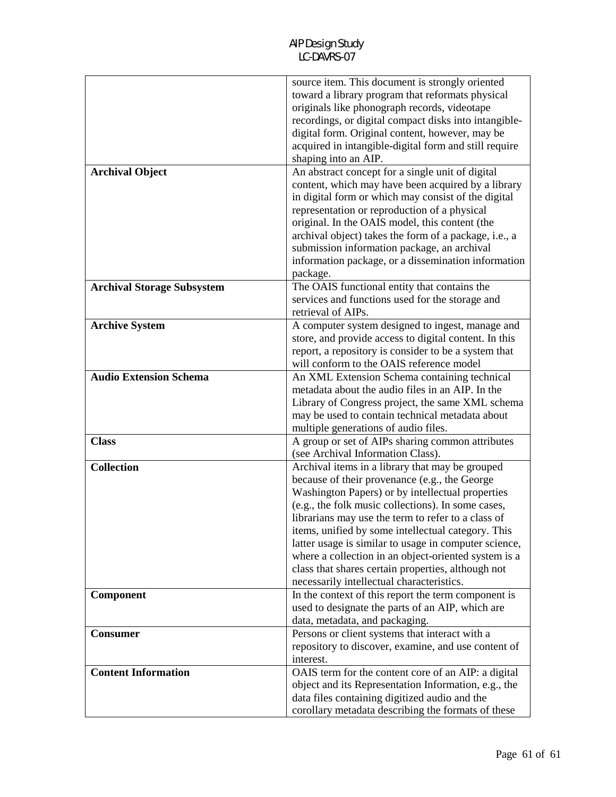| <b>Archival Object</b>            | source item. This document is strongly oriented<br>toward a library program that reformats physical<br>originals like phonograph records, videotape<br>recordings, or digital compact disks into intangible-<br>digital form. Original content, however, may be<br>acquired in intangible-digital form and still require<br>shaping into an AIP.<br>An abstract concept for a single unit of digital                                                                                                                                       |
|-----------------------------------|--------------------------------------------------------------------------------------------------------------------------------------------------------------------------------------------------------------------------------------------------------------------------------------------------------------------------------------------------------------------------------------------------------------------------------------------------------------------------------------------------------------------------------------------|
|                                   | content, which may have been acquired by a library<br>in digital form or which may consist of the digital<br>representation or reproduction of a physical<br>original. In the OAIS model, this content (the<br>archival object) takes the form of a package, i.e., a<br>submission information package, an archival<br>information package, or a dissemination information<br>package.                                                                                                                                                     |
| <b>Archival Storage Subsystem</b> | The OAIS functional entity that contains the<br>services and functions used for the storage and<br>retrieval of AIPs.                                                                                                                                                                                                                                                                                                                                                                                                                      |
| <b>Archive System</b>             | A computer system designed to ingest, manage and<br>store, and provide access to digital content. In this<br>report, a repository is consider to be a system that<br>will conform to the OAIS reference model                                                                                                                                                                                                                                                                                                                              |
| <b>Audio Extension Schema</b>     | An XML Extension Schema containing technical<br>metadata about the audio files in an AIP. In the<br>Library of Congress project, the same XML schema<br>may be used to contain technical metadata about<br>multiple generations of audio files.                                                                                                                                                                                                                                                                                            |
| <b>Class</b>                      | A group or set of AIPs sharing common attributes<br>(see Archival Information Class).                                                                                                                                                                                                                                                                                                                                                                                                                                                      |
| <b>Collection</b>                 | Archival items in a library that may be grouped<br>because of their provenance (e.g., the George<br>Washington Papers) or by intellectual properties<br>(e.g., the folk music collections). In some cases,<br>librarians may use the term to refer to a class of<br>items, unified by some intellectual category. This<br>latter usage is similar to usage in computer science,<br>where a collection in an object-oriented system is a<br>class that shares certain properties, although not<br>necessarily intellectual characteristics. |
| Component                         | In the context of this report the term component is<br>used to designate the parts of an AIP, which are<br>data, metadata, and packaging.                                                                                                                                                                                                                                                                                                                                                                                                  |
| <b>Consumer</b>                   | Persons or client systems that interact with a<br>repository to discover, examine, and use content of<br>interest.                                                                                                                                                                                                                                                                                                                                                                                                                         |
| <b>Content Information</b>        | OAIS term for the content core of an AIP: a digital<br>object and its Representation Information, e.g., the<br>data files containing digitized audio and the<br>corollary metadata describing the formats of these                                                                                                                                                                                                                                                                                                                         |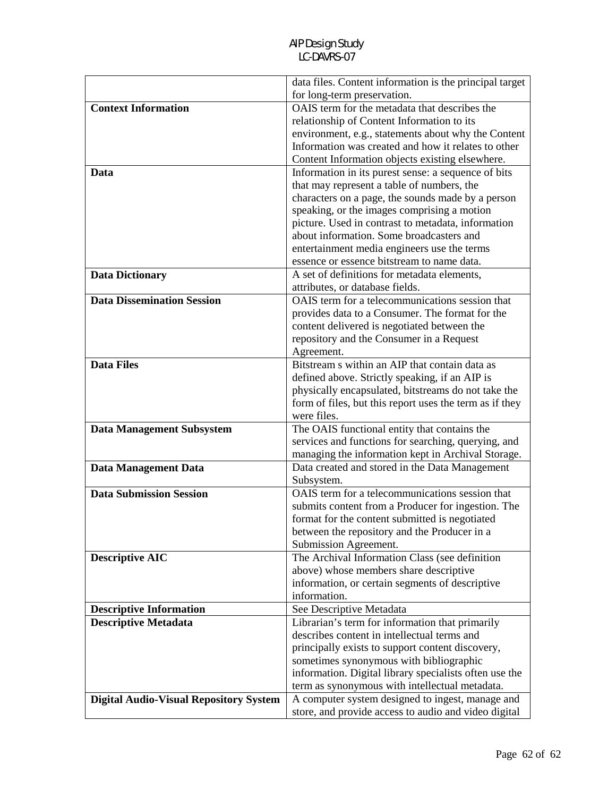|                                               | data files. Content information is the principal target |
|-----------------------------------------------|---------------------------------------------------------|
|                                               | for long-term preservation.                             |
| <b>Context Information</b>                    | OAIS term for the metadata that describes the           |
|                                               | relationship of Content Information to its              |
|                                               | environment, e.g., statements about why the Content     |
|                                               | Information was created and how it relates to other     |
|                                               | Content Information objects existing elsewhere.         |
| Data                                          | Information in its purest sense: a sequence of bits     |
|                                               | that may represent a table of numbers, the              |
|                                               | characters on a page, the sounds made by a person       |
|                                               | speaking, or the images comprising a motion             |
|                                               | picture. Used in contrast to metadata, information      |
|                                               | about information. Some broadcasters and                |
|                                               | entertainment media engineers use the terms             |
|                                               | essence or essence bitstream to name data.              |
| <b>Data Dictionary</b>                        | A set of definitions for metadata elements,             |
|                                               | attributes, or database fields.                         |
| <b>Data Dissemination Session</b>             | OAIS term for a telecommunications session that         |
|                                               | provides data to a Consumer. The format for the         |
|                                               | content delivered is negotiated between the             |
|                                               | repository and the Consumer in a Request                |
|                                               | Agreement.                                              |
| <b>Data Files</b>                             | Bitstream s within an AIP that contain data as          |
|                                               | defined above. Strictly speaking, if an AIP is          |
|                                               | physically encapsulated, bitstreams do not take the     |
|                                               | form of files, but this report uses the term as if they |
|                                               | were files.                                             |
| <b>Data Management Subsystem</b>              | The OAIS functional entity that contains the            |
|                                               | services and functions for searching, querying, and     |
|                                               | managing the information kept in Archival Storage.      |
| Data Management Data                          | Data created and stored in the Data Management          |
|                                               | Subsystem.                                              |
| <b>Data Submission Session</b>                | OAIS term for a telecommunications session that         |
|                                               | submits content from a Producer for ingestion. The      |
|                                               | format for the content submitted is negotiated          |
|                                               | between the repository and the Producer in a            |
|                                               | Submission Agreement.                                   |
| <b>Descriptive AIC</b>                        | The Archival Information Class (see definition          |
|                                               | above) whose members share descriptive                  |
|                                               | information, or certain segments of descriptive         |
|                                               | information.                                            |
| <b>Descriptive Information</b>                | See Descriptive Metadata                                |
| <b>Descriptive Metadata</b>                   | Librarian's term for information that primarily         |
|                                               | describes content in intellectual terms and             |
|                                               | principally exists to support content discovery,        |
|                                               | sometimes synonymous with bibliographic                 |
|                                               | information. Digital library specialists often use the  |
|                                               | term as synonymous with intellectual metadata.          |
| <b>Digital Audio-Visual Repository System</b> | A computer system designed to ingest, manage and        |
|                                               | store, and provide access to audio and video digital    |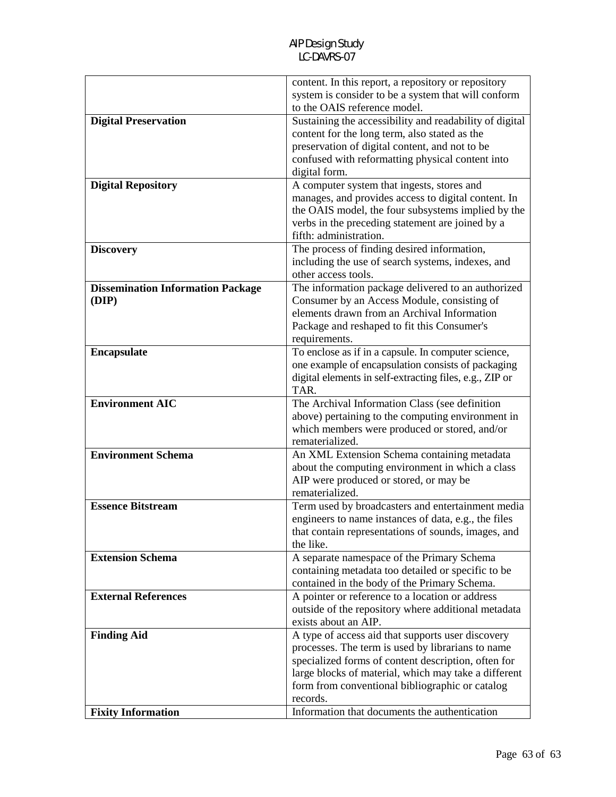|                                          | content. In this report, a repository or repository<br>system is consider to be a system that will conform |
|------------------------------------------|------------------------------------------------------------------------------------------------------------|
|                                          | to the OAIS reference model.                                                                               |
| <b>Digital Preservation</b>              | Sustaining the accessibility and readability of digital                                                    |
|                                          | content for the long term, also stated as the                                                              |
|                                          | preservation of digital content, and not to be                                                             |
|                                          | confused with reformatting physical content into                                                           |
|                                          | digital form.                                                                                              |
| <b>Digital Repository</b>                | A computer system that ingests, stores and                                                                 |
|                                          | manages, and provides access to digital content. In                                                        |
|                                          | the OAIS model, the four subsystems implied by the                                                         |
|                                          | verbs in the preceding statement are joined by a                                                           |
|                                          | fifth: administration.                                                                                     |
| <b>Discovery</b>                         | The process of finding desired information,                                                                |
|                                          | including the use of search systems, indexes, and                                                          |
|                                          | other access tools.                                                                                        |
| <b>Dissemination Information Package</b> | The information package delivered to an authorized                                                         |
| (DIP)                                    | Consumer by an Access Module, consisting of                                                                |
|                                          | elements drawn from an Archival Information                                                                |
|                                          | Package and reshaped to fit this Consumer's                                                                |
|                                          | requirements.                                                                                              |
| <b>Encapsulate</b>                       | To enclose as if in a capsule. In computer science,                                                        |
|                                          | one example of encapsulation consists of packaging                                                         |
|                                          | digital elements in self-extracting files, e.g., ZIP or                                                    |
|                                          | TAR.                                                                                                       |
|                                          | The Archival Information Class (see definition                                                             |
| <b>Environment AIC</b>                   |                                                                                                            |
|                                          | above) pertaining to the computing environment in                                                          |
|                                          | which members were produced or stored, and/or                                                              |
|                                          | rematerialized.                                                                                            |
| <b>Environment Schema</b>                | An XML Extension Schema containing metadata                                                                |
|                                          | about the computing environment in which a class                                                           |
|                                          | AIP were produced or stored, or may be                                                                     |
|                                          | rematerialized.                                                                                            |
| <b>Essence Bitstream</b>                 | Term used by broadcasters and entertainment media                                                          |
|                                          | engineers to name instances of data, e.g., the files                                                       |
|                                          | that contain representations of sounds, images, and                                                        |
|                                          | the like.                                                                                                  |
| <b>Extension Schema</b>                  | A separate namespace of the Primary Schema                                                                 |
|                                          | containing metadata too detailed or specific to be                                                         |
|                                          | contained in the body of the Primary Schema.                                                               |
| <b>External References</b>               | A pointer or reference to a location or address                                                            |
|                                          | outside of the repository where additional metadata<br>exists about an AIP.                                |
| <b>Finding Aid</b>                       | A type of access aid that supports user discovery                                                          |
|                                          | processes. The term is used by librarians to name                                                          |
|                                          | specialized forms of content description, often for                                                        |
|                                          | large blocks of material, which may take a different                                                       |
|                                          | form from conventional bibliographic or catalog                                                            |
|                                          | records.<br>Information that documents the authentication                                                  |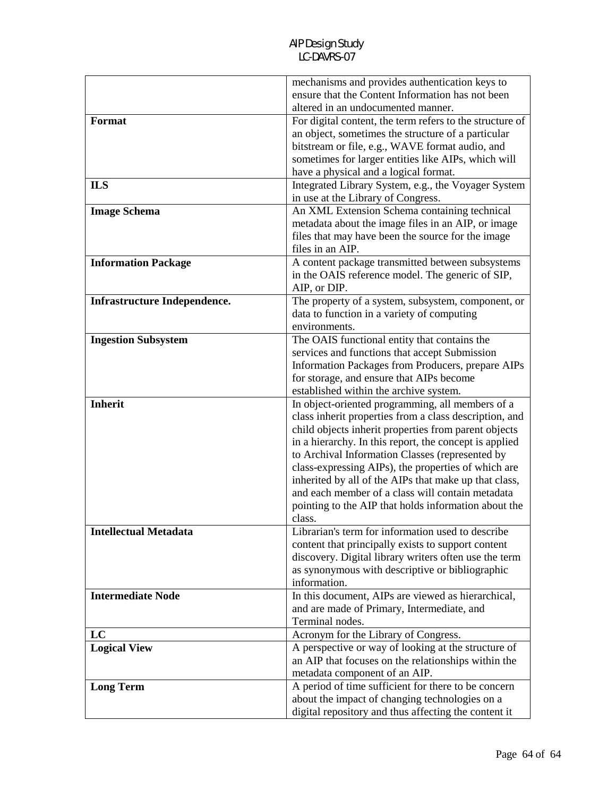|                                     | mechanisms and provides authentication keys to                                                         |
|-------------------------------------|--------------------------------------------------------------------------------------------------------|
|                                     | ensure that the Content Information has not been                                                       |
|                                     | altered in an undocumented manner.                                                                     |
| Format                              | For digital content, the term refers to the structure of                                               |
|                                     | an object, sometimes the structure of a particular                                                     |
|                                     | bitstream or file, e.g., WAVE format audio, and                                                        |
|                                     | sometimes for larger entities like AIPs, which will                                                    |
|                                     | have a physical and a logical format.                                                                  |
| <b>ILS</b>                          | Integrated Library System, e.g., the Voyager System                                                    |
|                                     | in use at the Library of Congress.                                                                     |
| <b>Image Schema</b>                 | An XML Extension Schema containing technical                                                           |
|                                     | metadata about the image files in an AIP, or image                                                     |
|                                     | files that may have been the source for the image                                                      |
|                                     | files in an AIP.                                                                                       |
| <b>Information Package</b>          | A content package transmitted between subsystems                                                       |
|                                     | in the OAIS reference model. The generic of SIP,                                                       |
|                                     | AIP, or DIP.                                                                                           |
| <b>Infrastructure Independence.</b> | The property of a system, subsystem, component, or                                                     |
|                                     | data to function in a variety of computing                                                             |
|                                     | environments.                                                                                          |
| <b>Ingestion Subsystem</b>          | The OAIS functional entity that contains the                                                           |
|                                     | services and functions that accept Submission                                                          |
|                                     | Information Packages from Producers, prepare AIPs                                                      |
|                                     | for storage, and ensure that AIPs become                                                               |
|                                     | established within the archive system.                                                                 |
| <b>Inherit</b>                      | In object-oriented programming, all members of a                                                       |
|                                     | class inherit properties from a class description, and                                                 |
|                                     | child objects inherit properties from parent objects                                                   |
|                                     | in a hierarchy. In this report, the concept is applied                                                 |
|                                     | to Archival Information Classes (represented by                                                        |
|                                     | class-expressing AIPs), the properties of which are                                                    |
|                                     | inherited by all of the AIPs that make up that class,                                                  |
|                                     | and each member of a class will contain metadata                                                       |
|                                     | pointing to the AIP that holds information about the                                                   |
|                                     | class.                                                                                                 |
| <b>Intellectual Metadata</b>        | Librarian's term for information used to describe                                                      |
|                                     | content that principally exists to support content                                                     |
|                                     | discovery. Digital library writers often use the term                                                  |
|                                     | as synonymous with descriptive or bibliographic                                                        |
|                                     | information.                                                                                           |
| <b>Intermediate Node</b>            |                                                                                                        |
|                                     | In this document, AIPs are viewed as hierarchical,                                                     |
|                                     | and are made of Primary, Intermediate, and                                                             |
|                                     | Terminal nodes.                                                                                        |
| LC                                  | Acronym for the Library of Congress.                                                                   |
| <b>Logical View</b>                 | A perspective or way of looking at the structure of                                                    |
|                                     | an AIP that focuses on the relationships within the                                                    |
|                                     | metadata component of an AIP.                                                                          |
| <b>Long Term</b>                    | A period of time sufficient for there to be concern                                                    |
|                                     | about the impact of changing technologies on a<br>digital repository and thus affecting the content it |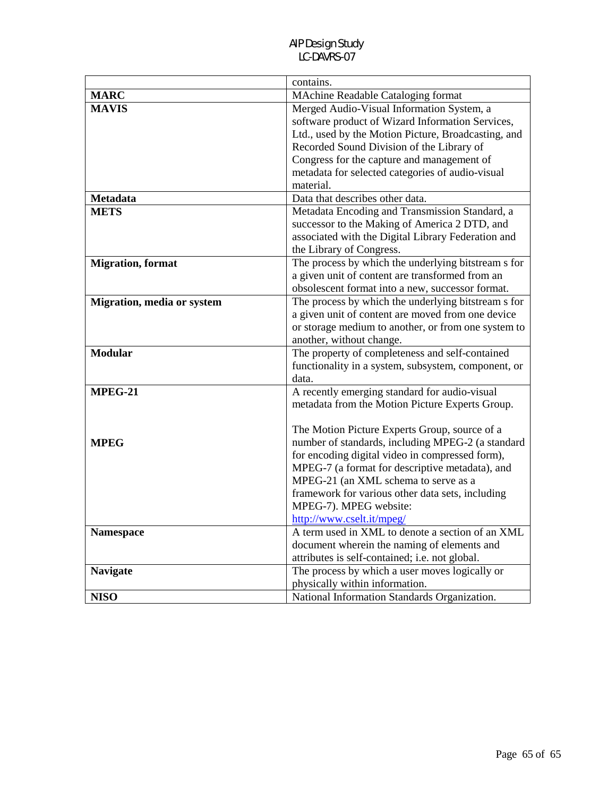|                            | contains.                                           |
|----------------------------|-----------------------------------------------------|
| <b>MARC</b>                | <b>MAchine Readable Cataloging format</b>           |
| <b>MAVIS</b>               | Merged Audio-Visual Information System, a           |
|                            | software product of Wizard Information Services,    |
|                            | Ltd., used by the Motion Picture, Broadcasting, and |
|                            | Recorded Sound Division of the Library of           |
|                            | Congress for the capture and management of          |
|                            | metadata for selected categories of audio-visual    |
|                            | material.                                           |
| <b>Metadata</b>            | Data that describes other data.                     |
| <b>METS</b>                | Metadata Encoding and Transmission Standard, a      |
|                            | successor to the Making of America 2 DTD, and       |
|                            | associated with the Digital Library Federation and  |
|                            | the Library of Congress.                            |
| <b>Migration</b> , format  | The process by which the underlying bitstream s for |
|                            | a given unit of content are transformed from an     |
|                            | obsolescent format into a new, successor format.    |
| Migration, media or system | The process by which the underlying bitstream s for |
|                            | a given unit of content are moved from one device   |
|                            | or storage medium to another, or from one system to |
|                            | another, without change.                            |
| <b>Modular</b>             | The property of completeness and self-contained     |
|                            | functionality in a system, subsystem, component, or |
|                            | data.                                               |
| MPEG-21                    | A recently emerging standard for audio-visual       |
|                            | metadata from the Motion Picture Experts Group.     |
|                            |                                                     |
|                            | The Motion Picture Experts Group, source of a       |
| <b>MPEG</b>                | number of standards, including MPEG-2 (a standard   |
|                            | for encoding digital video in compressed form),     |
|                            | MPEG-7 (a format for descriptive metadata), and     |
|                            | MPEG-21 (an XML schema to serve as a                |
|                            | framework for various other data sets, including    |
|                            | MPEG-7). MPEG website:                              |
|                            | http://www.cselt.it/mpeg/                           |
| <b>Namespace</b>           | A term used in XML to denote a section of an XML    |
|                            | document wherein the naming of elements and         |
|                            | attributes is self-contained; i.e. not global.      |
| <b>Navigate</b>            | The process by which a user moves logically or      |
|                            | physically within information.                      |
| <b>NISO</b>                | National Information Standards Organization.        |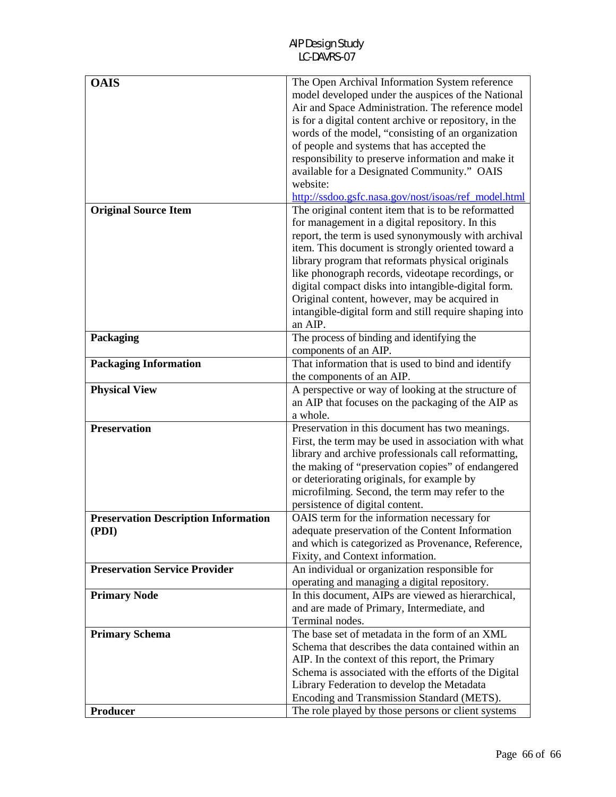| <b>OAIS</b>                                 | The Open Archival Information System reference         |
|---------------------------------------------|--------------------------------------------------------|
|                                             | model developed under the auspices of the National     |
|                                             | Air and Space Administration. The reference model      |
|                                             | is for a digital content archive or repository, in the |
|                                             | words of the model, "consisting of an organization     |
|                                             | of people and systems that has accepted the            |
|                                             | responsibility to preserve information and make it     |
|                                             | available for a Designated Community." OAIS            |
|                                             | website:                                               |
|                                             | http://ssdoo.gsfc.nasa.gov/nost/isoas/ref_model.html   |
| <b>Original Source Item</b>                 | The original content item that is to be reformatted    |
|                                             | for management in a digital repository. In this        |
|                                             |                                                        |
|                                             | report, the term is used synonymously with archival    |
|                                             | item. This document is strongly oriented toward a      |
|                                             | library program that reformats physical originals      |
|                                             | like phonograph records, videotape recordings, or      |
|                                             | digital compact disks into intangible-digital form.    |
|                                             | Original content, however, may be acquired in          |
|                                             | intangible-digital form and still require shaping into |
|                                             | an AIP.                                                |
| Packaging                                   | The process of binding and identifying the             |
|                                             | components of an AIP.                                  |
| <b>Packaging Information</b>                | That information that is used to bind and identify     |
|                                             | the components of an AIP.                              |
| <b>Physical View</b>                        | A perspective or way of looking at the structure of    |
|                                             | an AIP that focuses on the packaging of the AIP as     |
|                                             | a whole.                                               |
| <b>Preservation</b>                         | Preservation in this document has two meanings.        |
|                                             | First, the term may be used in association with what   |
|                                             | library and archive professionals call reformatting,   |
|                                             |                                                        |
|                                             | the making of "preservation copies" of endangered      |
|                                             | or deteriorating originals, for example by             |
|                                             | microfilming. Second, the term may refer to the        |
|                                             | persistence of digital content.                        |
| <b>Preservation Description Information</b> | OAIS term for the information necessary for            |
| (PDI)                                       | adequate preservation of the Content Information       |
|                                             | and which is categorized as Provenance, Reference,     |
|                                             | Fixity, and Context information.                       |
| <b>Preservation Service Provider</b>        | An individual or organization responsible for          |
|                                             | operating and managing a digital repository.           |
| <b>Primary Node</b>                         | In this document, AIPs are viewed as hierarchical,     |
|                                             | and are made of Primary, Intermediate, and             |
|                                             | Terminal nodes.                                        |
| <b>Primary Schema</b>                       | The base set of metadata in the form of an XML         |
|                                             | Schema that describes the data contained within an     |
|                                             | AIP. In the context of this report, the Primary        |
|                                             | Schema is associated with the efforts of the Digital   |
|                                             | Library Federation to develop the Metadata             |
|                                             |                                                        |
|                                             | Encoding and Transmission Standard (METS).             |
| <b>Producer</b>                             | The role played by those persons or client systems     |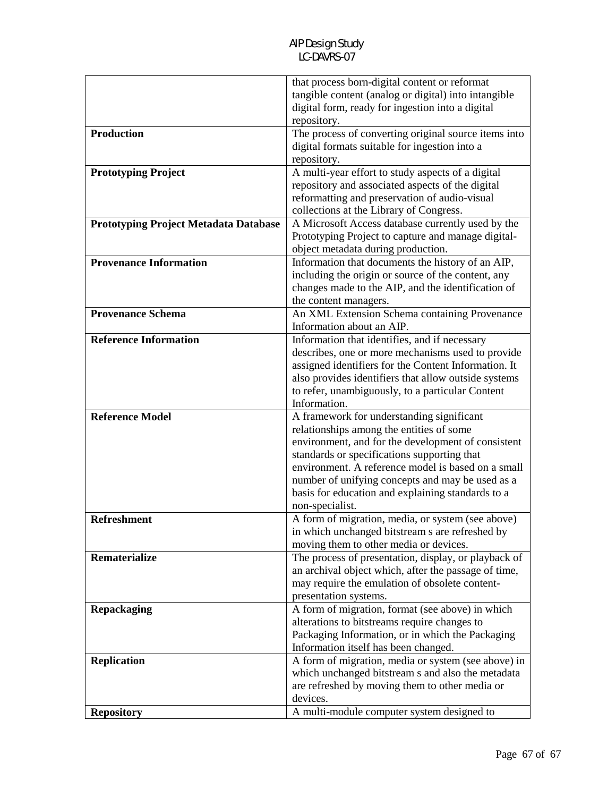|                                              | that process born-digital content or reformat        |
|----------------------------------------------|------------------------------------------------------|
|                                              | tangible content (analog or digital) into intangible |
|                                              | digital form, ready for ingestion into a digital     |
|                                              | repository.                                          |
| <b>Production</b>                            | The process of converting original source items into |
|                                              | digital formats suitable for ingestion into a        |
|                                              | repository.                                          |
| <b>Prototyping Project</b>                   | A multi-year effort to study aspects of a digital    |
|                                              | repository and associated aspects of the digital     |
|                                              | reformatting and preservation of audio-visual        |
|                                              | collections at the Library of Congress.              |
| <b>Prototyping Project Metadata Database</b> | A Microsoft Access database currently used by the    |
|                                              | Prototyping Project to capture and manage digital-   |
|                                              | object metadata during production.                   |
| <b>Provenance Information</b>                | Information that documents the history of an AIP,    |
|                                              | including the origin or source of the content, any   |
|                                              | changes made to the AIP, and the identification of   |
|                                              | the content managers.                                |
| <b>Provenance Schema</b>                     | An XML Extension Schema containing Provenance        |
|                                              | Information about an AIP.                            |
| <b>Reference Information</b>                 | Information that identifies, and if necessary        |
|                                              | describes, one or more mechanisms used to provide    |
|                                              | assigned identifiers for the Content Information. It |
|                                              | also provides identifiers that allow outside systems |
|                                              | to refer, unambiguously, to a particular Content     |
|                                              | Information.                                         |
| <b>Reference Model</b>                       | A framework for understanding significant            |
|                                              | relationships among the entities of some             |
|                                              | environment, and for the development of consistent   |
|                                              | standards or specifications supporting that          |
|                                              | environment. A reference model is based on a small   |
|                                              | number of unifying concepts and may be used as a     |
|                                              | basis for education and explaining standards to a    |
|                                              | non-specialist.                                      |
| <b>Refreshment</b>                           | A form of migration, media, or system (see above)    |
|                                              | in which unchanged bitstream s are refreshed by      |
|                                              | moving them to other media or devices.               |
| Rematerialize                                | The process of presentation, display, or playback of |
|                                              | an archival object which, after the passage of time, |
|                                              | may require the emulation of obsolete content-       |
|                                              | presentation systems.                                |
| <b>Repackaging</b>                           | A form of migration, format (see above) in which     |
|                                              | alterations to bitstreams require changes to         |
|                                              | Packaging Information, or in which the Packaging     |
|                                              | Information itself has been changed.                 |
| <b>Replication</b>                           | A form of migration, media or system (see above) in  |
|                                              | which unchanged bitstream s and also the metadata    |
|                                              | are refreshed by moving them to other media or       |
|                                              | devices.                                             |
| <b>Repository</b>                            | A multi-module computer system designed to           |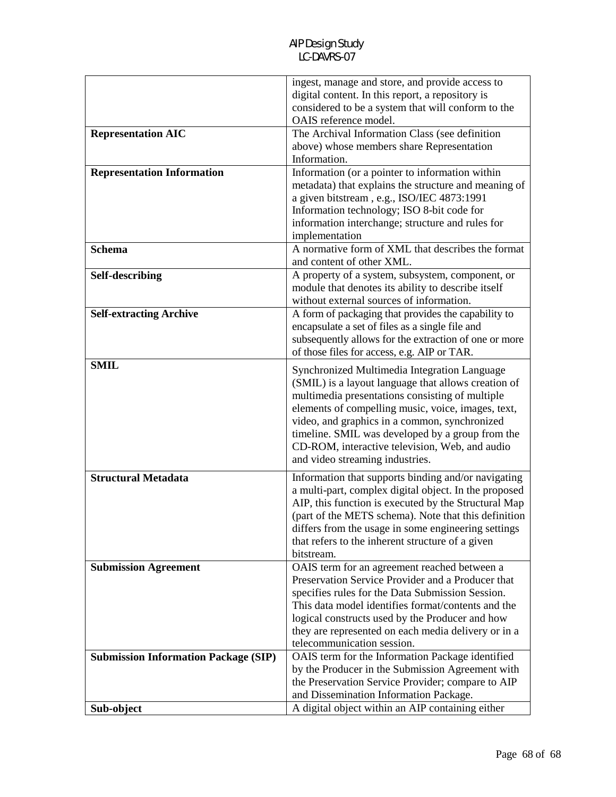|                                             | ingest, manage and store, and provide access to<br>digital content. In this report, a repository is<br>considered to be a system that will conform to the<br>OAIS reference model.                                                                                                                                                                                                                     |
|---------------------------------------------|--------------------------------------------------------------------------------------------------------------------------------------------------------------------------------------------------------------------------------------------------------------------------------------------------------------------------------------------------------------------------------------------------------|
| <b>Representation AIC</b>                   | The Archival Information Class (see definition<br>above) whose members share Representation<br>Information.                                                                                                                                                                                                                                                                                            |
| <b>Representation Information</b>           | Information (or a pointer to information within<br>metadata) that explains the structure and meaning of<br>a given bitstream, e.g., ISO/IEC 4873:1991<br>Information technology; ISO 8-bit code for<br>information interchange; structure and rules for<br>implementation                                                                                                                              |
| <b>Schema</b>                               | A normative form of XML that describes the format<br>and content of other XML.                                                                                                                                                                                                                                                                                                                         |
| Self-describing                             | A property of a system, subsystem, component, or<br>module that denotes its ability to describe itself<br>without external sources of information.                                                                                                                                                                                                                                                     |
| <b>Self-extracting Archive</b>              | A form of packaging that provides the capability to<br>encapsulate a set of files as a single file and<br>subsequently allows for the extraction of one or more<br>of those files for access, e.g. AIP or TAR.                                                                                                                                                                                         |
| <b>SMIL</b>                                 | Synchronized Multimedia Integration Language<br>(SMIL) is a layout language that allows creation of<br>multimedia presentations consisting of multiple<br>elements of compelling music, voice, images, text,<br>video, and graphics in a common, synchronized<br>timeline. SMIL was developed by a group from the<br>CD-ROM, interactive television, Web, and audio<br>and video streaming industries. |
| <b>Structural Metadata</b>                  | Information that supports binding and/or navigating<br>a multi-part, complex digital object. In the proposed<br>AIP, this function is executed by the Structural Map<br>(part of the METS schema). Note that this definition<br>differs from the usage in some engineering settings<br>that refers to the inherent structure of a given<br>bitstream.                                                  |
| <b>Submission Agreement</b>                 | OAIS term for an agreement reached between a<br>Preservation Service Provider and a Producer that<br>specifies rules for the Data Submission Session.<br>This data model identifies format/contents and the<br>logical constructs used by the Producer and how<br>they are represented on each media delivery or in a<br>telecommunication session.                                                    |
| <b>Submission Information Package (SIP)</b> | OAIS term for the Information Package identified<br>by the Producer in the Submission Agreement with<br>the Preservation Service Provider; compare to AIP<br>and Dissemination Information Package.                                                                                                                                                                                                    |
| Sub-object                                  | A digital object within an AIP containing either                                                                                                                                                                                                                                                                                                                                                       |